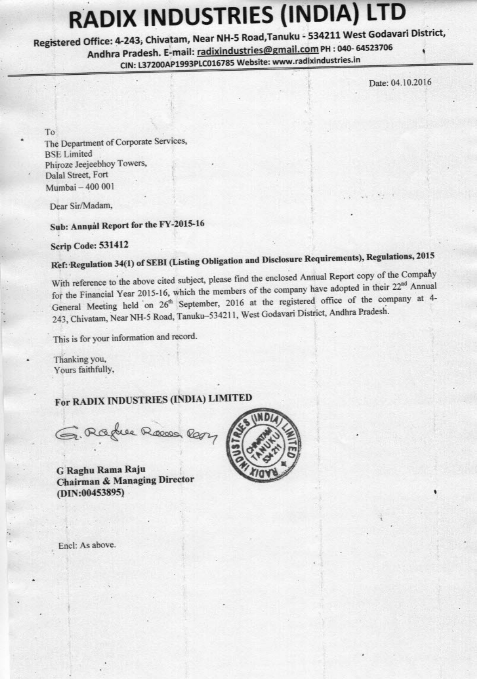Registered Office: 4-243, Chivatam, Near NH-5 Road, Tanuku - 534211 West Godavari District, Andhra Pradesh. E-mail: radixindustries@gmail.com PH: 040-64523706 CIN: L37200AP1993PLC016785 Website: www.radixindustries.in

Date: 04.10.2016

To

The Department of Corporate Services, **BSE** Limited Phiroze Jeejeebhoy Towers, Dalal Street, Fort Mumbai - 400 001

Dear Sir/Madam,

Sub: Annual Report for the FY-2015-16

Scrip Code: 531412

# Ref: Regulation 34(1) of SEBI (Listing Obligation and Disclosure Requirements), Regulations, 2015

With reference to the above cited subject, please find the enclosed Annual Report copy of the Company for the Financial Year 2015-16, which the members of the company have adopted in their 22<sup>nd</sup> Annual General Meeting held on 26<sup>th</sup> September, 2016 at the registered office of the company at 4-243, Chivatam, Near NH-5 Road, Tanuku-534211, West Godavari District, Andhra Pradesh.

This is for your information and record.

Thanking you, Yours faithfully,

# For RADIX INDUSTRIES (INDIA) LIMITED

G. Radue Room Ren

G Raghu Rama Raju **Chairman & Managing Director**  $(DIN:00453895)$ 



Encl: As above.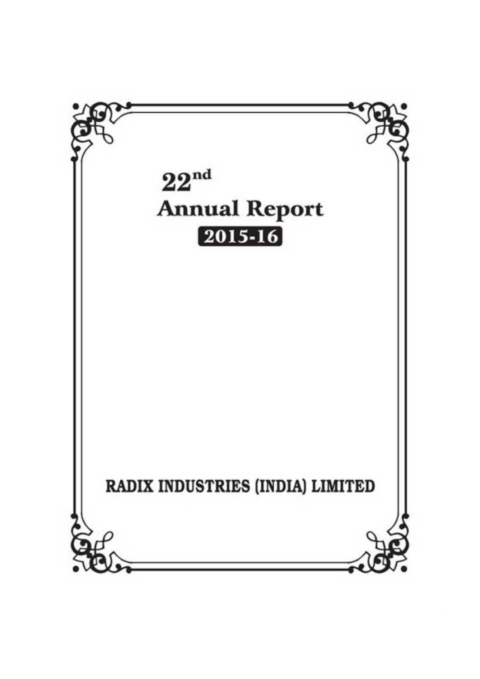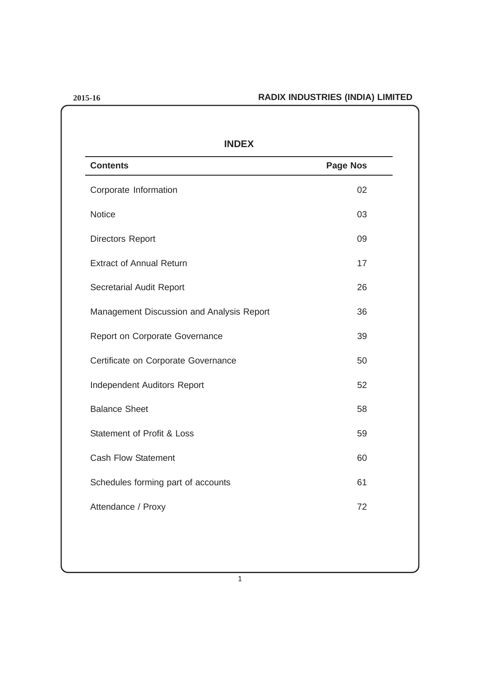| <b>Contents</b>                           | <b>Page Nos</b> |
|-------------------------------------------|-----------------|
| Corporate Information                     | 02              |
| <b>Notice</b>                             | 03              |
| <b>Directors Report</b>                   | 09              |
| <b>Extract of Annual Return</b>           | 17              |
| <b>Secretarial Audit Report</b>           | 26              |
| Management Discussion and Analysis Report | 36              |
| Report on Corporate Governance            | 39              |
| Certificate on Corporate Governance       | 50              |
| <b>Independent Auditors Report</b>        | 52              |
| <b>Balance Sheet</b>                      | 58              |
| <b>Statement of Profit &amp; Loss</b>     | 59              |
| <b>Cash Flow Statement</b>                | 60              |
| Schedules forming part of accounts        | 61              |
| Attendance / Proxy                        | 72              |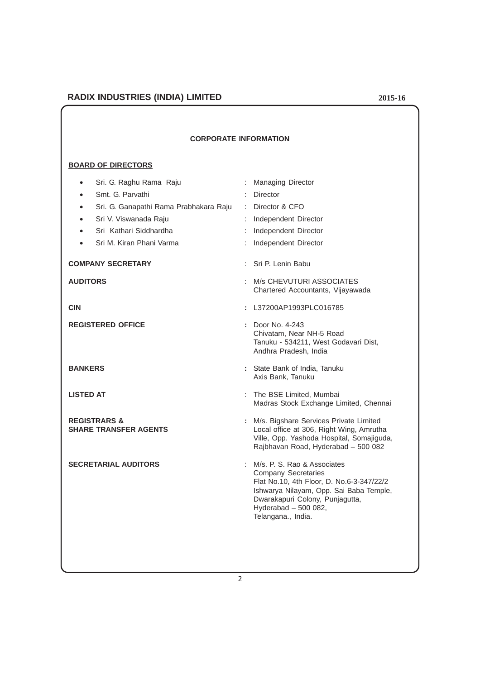$\sqrt{ }$ 

**2015-16**

| <b>CORPORATE INFORMATION</b>                                                                                                                                                                                                          |                                                                                                                                                                                                                                    |  |  |  |  |  |  |  |
|---------------------------------------------------------------------------------------------------------------------------------------------------------------------------------------------------------------------------------------|------------------------------------------------------------------------------------------------------------------------------------------------------------------------------------------------------------------------------------|--|--|--|--|--|--|--|
| <b>BOARD OF DIRECTORS</b>                                                                                                                                                                                                             |                                                                                                                                                                                                                                    |  |  |  |  |  |  |  |
| Sri. G. Raghu Rama Raju<br>$\bullet$<br>Smt. G. Parvathi<br>$\bullet$<br>Sri. G. Ganapathi Rama Prabhakara Raju<br>$\bullet$<br>Sri V. Viswanada Raju<br>Sri Kathari Siddhardha<br>$\bullet$<br>Sri M. Kiran Phani Varma<br>$\bullet$ | : Managing Director<br>$\therefore$ Director<br>: Director & CFO<br>: Independent Director<br>: Independent Director<br>Independent Director                                                                                       |  |  |  |  |  |  |  |
| <b>COMPANY SECRETARY</b>                                                                                                                                                                                                              | : Sri P. Lenin Babu                                                                                                                                                                                                                |  |  |  |  |  |  |  |
| <b>AUDITORS</b>                                                                                                                                                                                                                       | : M/s CHEVUTURI ASSOCIATES<br>Chartered Accountants, Vijayawada                                                                                                                                                                    |  |  |  |  |  |  |  |
| <b>CIN</b>                                                                                                                                                                                                                            | : L37200AP1993PLC016785                                                                                                                                                                                                            |  |  |  |  |  |  |  |
| <b>REGISTERED OFFICE</b>                                                                                                                                                                                                              | : Door No. 4-243<br>Chivatam, Near NH-5 Road<br>Tanuku - 534211, West Godavari Dist,<br>Andhra Pradesh, India                                                                                                                      |  |  |  |  |  |  |  |
| <b>BANKERS</b>                                                                                                                                                                                                                        | : State Bank of India, Tanuku<br>Axis Bank, Tanuku                                                                                                                                                                                 |  |  |  |  |  |  |  |
| <b>LISTED AT</b>                                                                                                                                                                                                                      | : The BSE Limited, Mumbai<br>Madras Stock Exchange Limited, Chennai                                                                                                                                                                |  |  |  |  |  |  |  |
| <b>REGISTRARS &amp;</b><br><b>SHARE TRANSFER AGENTS</b>                                                                                                                                                                               | : M/s. Bigshare Services Private Limited<br>Local office at 306, Right Wing, Amrutha<br>Ville, Opp. Yashoda Hospital, Somajiguda,<br>Rajbhavan Road, Hyderabad - 500 082                                                           |  |  |  |  |  |  |  |
| <b>SECRETARIAL AUDITORS</b>                                                                                                                                                                                                           | M/s. P. S. Rao & Associates<br><b>Company Secretaries</b><br>Flat No.10, 4th Floor, D. No.6-3-347/22/2<br>Ishwarya Nilayam, Opp. Sai Baba Temple,<br>Dwarakapuri Colony, Punjagutta,<br>Hyderabad - 500 082,<br>Telangana., India. |  |  |  |  |  |  |  |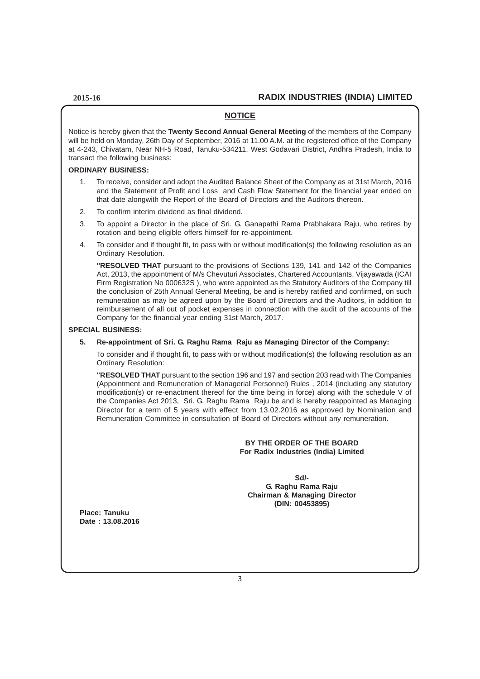# **NOTICE**

Notice is hereby given that the **Twenty Second Annual General Meeting** of the members of the Company will be held on Monday, 26th Day of September, 2016 at 11.00 A.M. at the registered office of the Company at 4-243, Chivatam, Near NH-5 Road, Tanuku-534211, West Godavari District, Andhra Pradesh, India to transact the following business:

#### **ORDINARY BUSINESS:**

- 1. To receive, consider and adopt the Audited Balance Sheet of the Company as at 31st March, 2016 and the Statement of Profit and Loss and Cash Flow Statement for the financial year ended on that date alongwith the Report of the Board of Directors and the Auditors thereon.
- 2. To confirm interim dividend as final dividend.
- 3. To appoint a Director in the place of Sri. G. Ganapathi Rama Prabhakara Raju, who retires by rotation and being eligible offers himself for re-appointment.
- 4. To consider and if thought fit, to pass with or without modification(s) the following resolution as an Ordinary Resolution.

**"RESOLVED THAT** pursuant to the provisions of Sections 139, 141 and 142 of the Companies Act, 2013, the appointment of M/s Chevuturi Associates, Chartered Accountants, Vijayawada (ICAI Firm Registration No 000632S ), who were appointed as the Statutory Auditors of the Company till the conclusion of 25th Annual General Meeting, be and is hereby ratified and confirmed, on such remuneration as may be agreed upon by the Board of Directors and the Auditors, in addition to reimbursement of all out of pocket expenses in connection with the audit of the accounts of the Company for the financial year ending 31st March, 2017.

# **SPECIAL BUSINESS:**

# **5. Re-appointment of Sri. G. Raghu Rama Raju as Managing Director of the Company:**

To consider and if thought fit, to pass with or without modification(s) the following resolution as an Ordinary Resolution:

**"RESOLVED THAT** pursuant to the section 196 and 197 and section 203 read with The Companies (Appointment and Remuneration of Managerial Personnel) Rules , 2014 (including any statutory modification(s) or re-enactment thereof for the time being in force) along with the schedule V of the Companies Act 2013, Sri. G. Raghu Rama Raju be and is hereby reappointed as Managing Director for a term of 5 years with effect from 13.02.2016 as approved by Nomination and Remuneration Committee in consultation of Board of Directors without any remuneration.

### **BY THE ORDER OF THE BOARD For Radix Industries (India) Limited**

**Sd/-**

**G. Raghu Rama Raju Chairman & Managing Director (DIN: 00453895)**

**Place: Tanuku Date : 13.08.2016**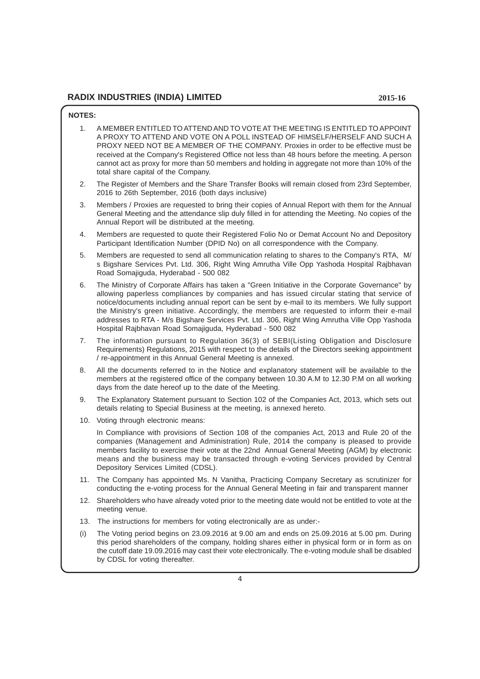# **NOTES:**

- 1. A MEMBER ENTITLED TO ATTEND AND TO VOTE AT THE MEETING IS ENTITLED TO APPOINT A PROXY TO ATTEND AND VOTE ON A POLL INSTEAD OF HIMSELF/HERSELF AND SUCH A PROXY NEED NOT BE A MEMBER OF THE COMPANY. Proxies in order to be effective must be received at the Company's Registered Office not less than 48 hours before the meeting. A person cannot act as proxy for more than 50 members and holding in aggregate not more than 10% of the total share capital of the Company.
- 2. The Register of Members and the Share Transfer Books will remain closed from 23rd September, 2016 to 26th September, 2016 (both days inclusive)
- 3. Members / Proxies are requested to bring their copies of Annual Report with them for the Annual General Meeting and the attendance slip duly filled in for attending the Meeting. No copies of the Annual Report will be distributed at the meeting.
- 4. Members are requested to quote their Registered Folio No or Demat Account No and Depository Participant Identification Number (DPID No) on all correspondence with the Company.
- 5. Members are requested to send all communication relating to shares to the Company's RTA, M/ s Bigshare Services Pvt. Ltd. 306, Right Wing Amrutha Ville Opp Yashoda Hospital Rajbhavan Road Somajiguda, Hyderabad - 500 082
- 6. The Ministry of Corporate Affairs has taken a "Green Initiative in the Corporate Governance" by allowing paperless compliances by companies and has issued circular stating that service of notice/documents including annual report can be sent by e-mail to its members. We fully support the Ministry's green initiative. Accordingly, the members are requested to inform their e-mail addresses to RTA - M/s Bigshare Services Pvt. Ltd. 306, Right Wing Amrutha Ville Opp Yashoda Hospital Rajbhavan Road Somajiguda, Hyderabad - 500 082
- 7. The information pursuant to Regulation 36(3) of SEBI(Listing Obligation and Disclosure Requirements) Regulations, 2015 with respect to the details of the Directors seeking appointment / re-appointment in this Annual General Meeting is annexed.
- 8. All the documents referred to in the Notice and explanatory statement will be available to the members at the registered office of the company between 10.30 A.M to 12.30 P.M on all working days from the date hereof up to the date of the Meeting.
- 9. The Explanatory Statement pursuant to Section 102 of the Companies Act, 2013, which sets out details relating to Special Business at the meeting, is annexed hereto.
- 10. Voting through electronic means:

In Compliance with provisions of Section 108 of the companies Act, 2013 and Rule 20 of the companies (Management and Administration) Rule, 2014 the company is pleased to provide members facility to exercise their vote at the 22nd Annual General Meeting (AGM) by electronic means and the business may be transacted through e-voting Services provided by Central Depository Services Limited (CDSL).

- 11. The Company has appointed Ms. N Vanitha, Practicing Company Secretary as scrutinizer for conducting the e-voting process for the Annual General Meeting in fair and transparent manner
- 12. Shareholders who have already voted prior to the meeting date would not be entitled to vote at the meeting venue.
- 13. The instructions for members for voting electronically are as under:-
- (i) The Voting period begins on 23.09.2016 at 9.00 am and ends on 25.09.2016 at 5.00 pm. During this period shareholders of the company, holding shares either in physical form or in form as on the cutoff date 19.09.2016 may cast their vote electronically. The e-voting module shall be disabled by CDSL for voting thereafter.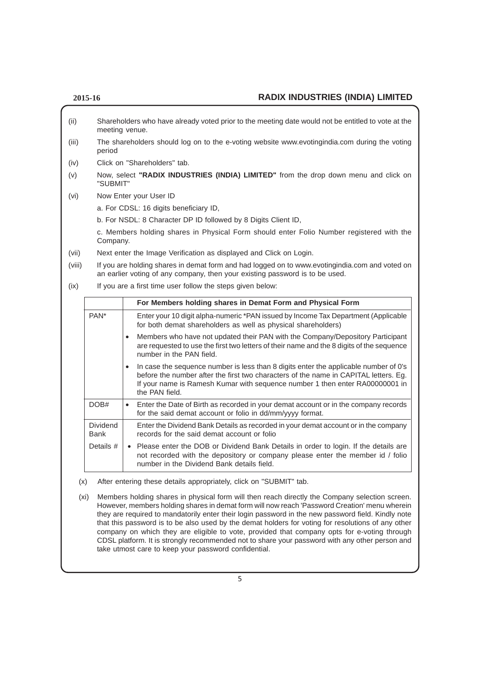- (ii) Shareholders who have already voted prior to the meeting date would not be entitled to vote at the meeting venue. (iii) The shareholders should log on to the e-voting website www.evotingindia.com during the voting period (iv) Click on "Shareholders" tab. (v) Now, select **"RADIX INDUSTRIES (INDIA) LIMITED"** from the drop down menu and click on "SUBMIT" (vi) Now Enter your User ID a. For CDSL: 16 digits beneficiary ID, b. For NSDL: 8 Character DP ID followed by 8 Digits Client ID, c. Members holding shares in Physical Form should enter Folio Number registered with the Company. (vii) Next enter the Image Verification as displayed and Click on Login. (viii) If you are holding shares in demat form and had logged on to www.evotingindia.com and voted on an earlier voting of any company, then your existing password is to be used. (ix) If you are a first time user follow the steps given below: **For Members holding shares in Demat Form and Physical Form** PAN\* Enter your 10 digit alpha-numeric \*PAN issued by Income Tax Department (Applicable for both demat shareholders as well as physical shareholders) • Members who have not updated their PAN with the Company/Depository Participant are requested to use the first two letters of their name and the 8 digits of the sequence
	- number in the PAN field. • In case the sequence number is less than 8 digits enter the applicable number of 0's before the number after the first two characters of the name in CAPITAL letters. Eg. If your name is Ramesh Kumar with sequence number 1 then enter RA00000001 in the PAN field. DOB# • Enter the Date of Birth as recorded in your demat account or in the company records for the said demat account or folio in dd/mm/yyyy format. Dividend **Enter the Dividend Bank Details as recorded in your demat account or in the company**
	- Bank Fecords for the said demat account or folio Details  $\# \cdot$  Please enter the DOB or Dividend Bank Details in order to login. If the details are
	- not recorded with the depository or company please enter the member id / folio number in the Dividend Bank details field.
	- (x) After entering these details appropriately, click on "SUBMIT" tab.
	- (xi) Members holding shares in physical form will then reach directly the Company selection screen. However, members holding shares in demat form will now reach 'Password Creation' menu wherein they are required to mandatorily enter their login password in the new password field. Kindly note that this password is to be also used by the demat holders for voting for resolutions of any other company on which they are eligible to vote, provided that company opts for e-voting through CDSL platform. It is strongly recommended not to share your password with any other person and take utmost care to keep your password confidential.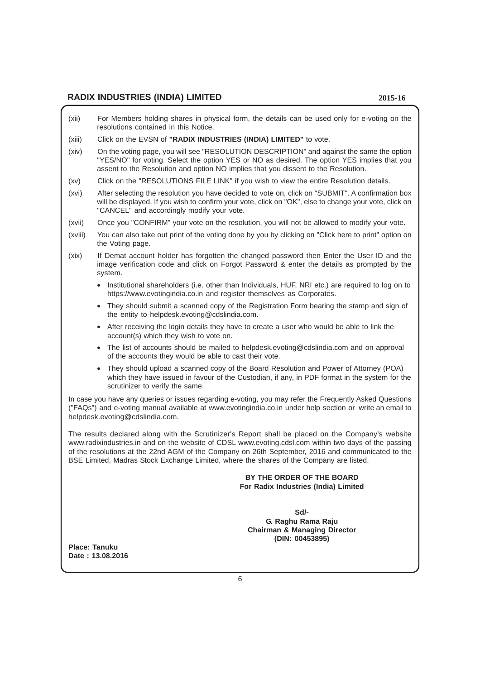- (xii) For Members holding shares in physical form, the details can be used only for e-voting on the resolutions contained in this Notice.
- (xiii) Click on the EVSN of **"RADIX INDUSTRIES (INDIA) LIMITED"** to vote.
- (xiv) On the voting page, you will see "RESOLUTION DESCRIPTION" and against the same the option "YES/NO" for voting. Select the option YES or NO as desired. The option YES implies that you assent to the Resolution and option NO implies that you dissent to the Resolution.
- (xv) Click on the "RESOLUTIONS FILE LINK" if you wish to view the entire Resolution details.
- (xvi) After selecting the resolution you have decided to vote on, click on "SUBMIT". A confirmation box will be displayed. If you wish to confirm your vote, click on "OK", else to change your vote, click on "CANCEL" and accordingly modify your vote.
- (xvii) Once you "CONFIRM" your vote on the resolution, you will not be allowed to modify your vote.
- (xviii) You can also take out print of the voting done by you by clicking on "Click here to print" option on the Voting page.
- (xix) If Demat account holder has forgotten the changed password then Enter the User ID and the image verification code and click on Forgot Password & enter the details as prompted by the system.
	- Institutional shareholders (i.e. other than Individuals, HUF, NRI etc.) are required to log on to https://www.evotingindia.co.in and register themselves as Corporates.
	- They should submit a scanned copy of the Registration Form bearing the stamp and sign of the entity to helpdesk.evoting@cdslindia.com.
	- After receiving the login details they have to create a user who would be able to link the account(s) which they wish to vote on.
	- The list of accounts should be mailed to helpdesk.evoting@cdslindia.com and on approval of the accounts they would be able to cast their vote.
	- They should upload a scanned copy of the Board Resolution and Power of Attorney (POA) which they have issued in favour of the Custodian, if any, in PDF format in the system for the scrutinizer to verify the same.

In case you have any queries or issues regarding e-voting, you may refer the Frequently Asked Questions ("FAQs") and e-voting manual available at www.evotingindia.co.in under help section or write an email to helpdesk.evoting@cdslindia.com.

The results declared along with the Scrutinizer's Report shall be placed on the Company's website www.radixindustries.in and on the website of CDSL www.evoting.cdsl.com within two days of the passing of the resolutions at the 22nd AGM of the Company on 26th September, 2016 and communicated to the BSE Limited, Madras Stock Exchange Limited, where the shares of the Company are listed.

# **BY THE ORDER OF THE BOARD For Radix Industries (India) Limited**

**Sd/- G. Raghu Rama Raju Chairman & Managing Director (DIN: 00453895)**

**Place: Tanuku Date : 13.08.2016**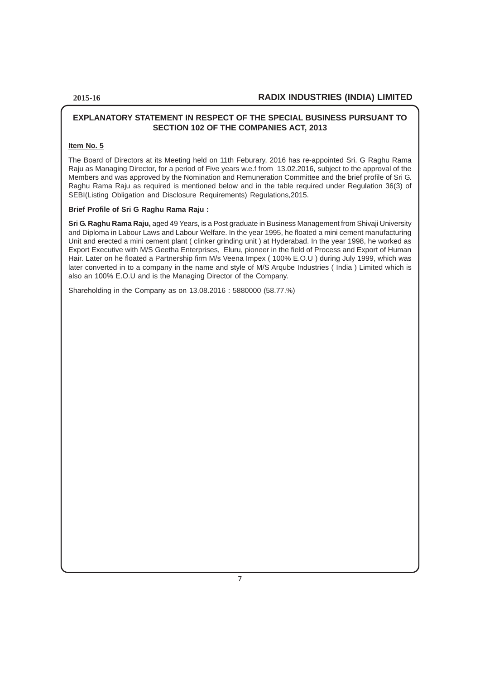# **EXPLANATORY STATEMENT IN RESPECT OF THE SPECIAL BUSINESS PURSUANT TO SECTION 102 OF THE COMPANIES ACT, 2013**

# **Item No. 5**

The Board of Directors at its Meeting held on 11th Feburary, 2016 has re-appointed Sri. G Raghu Rama Raju as Managing Director, for a period of Five years w.e.f from 13.02.2016, subject to the approval of the Members and was approved by the Nomination and Remuneration Committee and the brief profile of Sri G. Raghu Rama Raju as required is mentioned below and in the table required under Regulation 36(3) of SEBI(Listing Obligation and Disclosure Requirements) Regulations,2015.

# **Brief Profile of Sri G Raghu Rama Raju :**

**Sri G. Raghu Rama Raju,** aged 49 Years, is a Post graduate in Business Management from Shivaji University and Diploma in Labour Laws and Labour Welfare. In the year 1995, he floated a mini cement manufacturing Unit and erected a mini cement plant ( clinker grinding unit ) at Hyderabad. In the year 1998, he worked as Export Executive with M/S Geetha Enterprises, Eluru, pioneer in the field of Process and Export of Human Hair. Later on he floated a Partnership firm M/s Veena Impex ( 100% E.O.U ) during July 1999, which was later converted in to a company in the name and style of M/S Arqube Industries ( India ) Limited which is also an 100% E.O.U and is the Managing Director of the Company.

Shareholding in the Company as on 13.08.2016 : 5880000 (58.77.%)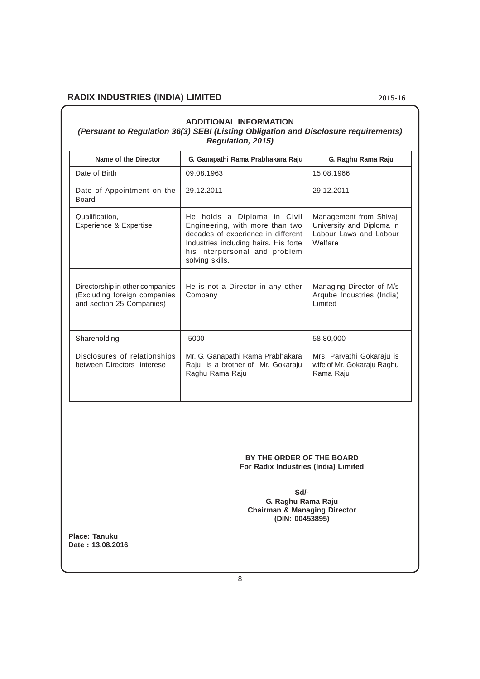**2015-16**

# **ADDITIONAL INFORMATION**

# *(Persuant to Regulation 36(3) SEBI (Listing Obligation and Disclosure requirements) Regulation, 2015)*

| Name of the Director                                                                         | G. Ganapathi Rama Prabhakara Raju                                                                                                                                                                 | G. Raghu Rama Raju                                                                        |  |  |
|----------------------------------------------------------------------------------------------|---------------------------------------------------------------------------------------------------------------------------------------------------------------------------------------------------|-------------------------------------------------------------------------------------------|--|--|
| Date of Birth                                                                                | 09.08.1963                                                                                                                                                                                        | 15.08.1966                                                                                |  |  |
| Date of Appointment on the<br><b>Board</b>                                                   | 29.12.2011                                                                                                                                                                                        | 29.12.2011                                                                                |  |  |
| Qualification,<br>Experience & Expertise                                                     | He holds a Diploma in Civil<br>Engineering, with more than two<br>decades of experience in different<br>Industries including hairs. His forte<br>his interpersonal and problem<br>solving skills. | Management from Shivaji<br>University and Diploma in<br>Labour Laws and Labour<br>Welfare |  |  |
| Directorship in other companies<br>(Excluding foreign companies<br>and section 25 Companies) | He is not a Director in any other<br>Company                                                                                                                                                      | Managing Director of M/s<br>Arqube Industries (India)<br>Limited                          |  |  |
| Shareholding                                                                                 | 5000                                                                                                                                                                                              | 58,80,000                                                                                 |  |  |
| Disclosures of relationships<br>between Directors interese                                   | Mr. G. Ganapathi Rama Prabhakara<br>Raju is a brother of Mr. Gokaraju<br>Raghu Rama Raju                                                                                                          | Mrs. Parvathi Gokaraju is<br>wife of Mr. Gokaraju Raghu<br>Rama Raju                      |  |  |

# **BY THE ORDER OF THE BOARD For Radix Industries (India) Limited**

**Sd/- G. Raghu Rama Raju Chairman & Managing Director (DIN: 00453895)**

**Place: Tanuku Date : 13.08.2016**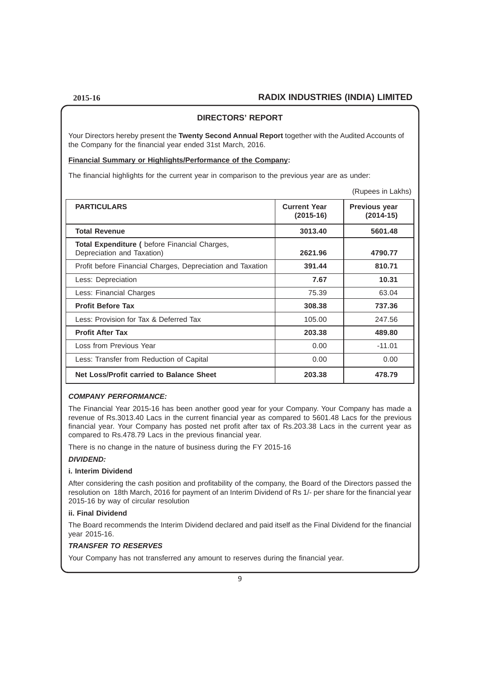## **DIRECTORS' REPORT**

Your Directors hereby present the **Twenty Second Annual Report** together with the Audited Accounts of the Company for the financial year ended 31st March, 2016.

# **Financial Summary or Highlights/Performance of the Company:**

The financial highlights for the current year in comparison to the previous year are as under:

|                                                                                    |                                    | (Rupees in Lakhs)                   |
|------------------------------------------------------------------------------------|------------------------------------|-------------------------------------|
| <b>PARTICULARS</b>                                                                 | <b>Current Year</b><br>$(2015-16)$ | <b>Previous year</b><br>$(2014-15)$ |
| <b>Total Revenue</b>                                                               | 3013.40                            | 5601.48                             |
| <b>Total Expenditure (</b> before Financial Charges,<br>Depreciation and Taxation) | 2621.96                            | 4790.77                             |
| Profit before Financial Charges, Depreciation and Taxation                         | 391.44                             | 810.71                              |
| Less: Depreciation                                                                 | 7.67                               | 10.31                               |
| Less: Financial Charges                                                            | 75.39                              | 63.04                               |
| <b>Profit Before Tax</b>                                                           | 308.38                             | 737.36                              |
| Less: Provision for Tax & Deferred Tax                                             | 105.00                             | 247.56                              |
| <b>Profit After Tax</b>                                                            | 203.38                             | 489.80                              |
| Loss from Previous Year                                                            | 0.00                               | $-11.01$                            |
| Less: Transfer from Reduction of Capital                                           | 0.00                               | 0.00                                |
| <b>Net Loss/Profit carried to Balance Sheet</b>                                    | 203.38                             | 478.79                              |

# *COMPANY PERFORMANCE:*

The Financial Year 2015-16 has been another good year for your Company. Your Company has made a revenue of Rs.3013.40 Lacs in the current financial year as compared to 5601.48 Lacs for the previous financial year. Your Company has posted net profit after tax of Rs.203.38 Lacs in the current year as compared to Rs.478.79 Lacs in the previous financial year.

There is no change in the nature of business during the FY 2015-16

# *DIVIDEND:*

# **i. Interim Dividend**

After considering the cash position and profitability of the company, the Board of the Directors passed the resolution on 18th March, 2016 for payment of an Interim Dividend of Rs 1/- per share for the financial year 2015-16 by way of circular resolution

### **ii. Final Dividend**

The Board recommends the Interim Dividend declared and paid itself as the Final Dividend for the financial year 2015-16.

# *TRANSFER TO RESERVES*

Your Company has not transferred any amount to reserves during the financial year.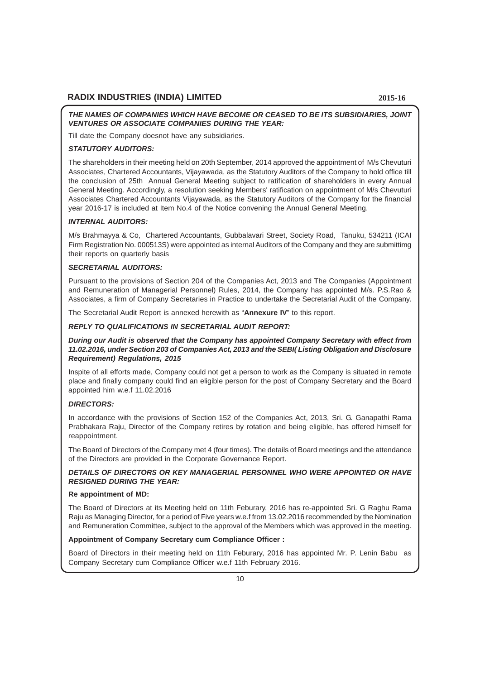Till date the Company doesnot have any subsidiaries.

# *STATUTORY AUDITORS:*

The shareholders in their meeting held on 20th September, 2014 approved the appointment of M/s Chevuturi Associates, Chartered Accountants, Vijayawada, as the Statutory Auditors of the Company to hold office till the conclusion of 25th Annual General Meeting subject to ratification of shareholders in every Annual General Meeting. Accordingly, a resolution seeking Members' ratification on appointment of M/s Chevuturi Associates Chartered Accountants Vijayawada, as the Statutory Auditors of the Company for the financial year 2016-17 is included at Item No.4 of the Notice convening the Annual General Meeting.

# *INTERNAL AUDITORS:*

M/s Brahmayya & Co, Chartered Accountants, Gubbalavari Street, Society Road, Tanuku, 534211 (ICAI Firm Registration No. 000513S) were appointed as internal Auditors of the Company and they are submittimg their reports on quarterly basis

#### *SECRETARIAL AUDITORS:*

Pursuant to the provisions of Section 204 of the Companies Act, 2013 and The Companies (Appointment and Remuneration of Managerial Personnel) Rules, 2014, the Company has appointed M/s. P.S.Rao & Associates, a firm of Company Secretaries in Practice to undertake the Secretarial Audit of the Company.

The Secretarial Audit Report is annexed herewith as "**Annexure IV**" to this report.

*REPLY TO QUALIFICATIONS IN SECRETARIAL AUDIT REPORT:*

*During our Audit is observed that the Company has appointed Company Secretary with effect from 11.02.2016, under Section 203 of Companies Act, 2013 and the SEBI( Listing Obligation and Disclosure Requirement) Regulations, 2015*

Inspite of all efforts made, Company could not get a person to work as the Company is situated in remote place and finally company could find an eligible person for the post of Company Secretary and the Board appointed him w.e.f 11.02.2016

# *DIRECTORS:*

In accordance with the provisions of Section 152 of the Companies Act, 2013, Sri. G. Ganapathi Rama Prabhakara Raju, Director of the Company retires by rotation and being eligible, has offered himself for reappointment.

The Board of Directors of the Company met 4 (four times). The details of Board meetings and the attendance of the Directors are provided in the Corporate Governance Report.

# *DETAILS OF DIRECTORS OR KEY MANAGERIAL PERSONNEL WHO WERE APPOINTED OR HAVE RESIGNED DURING THE YEAR:*

# **Re appointment of MD:**

The Board of Directors at its Meeting held on 11th Feburary, 2016 has re-appointed Sri. G Raghu Rama Raju as Managing Director, for a period of Five years w.e.f from 13.02.2016 recommended by the Nomination and Remuneration Committee, subject to the approval of the Members which was approved in the meeting.

# **Appointment of Company Secretary cum Compliance Officer :**

Board of Directors in their meeting held on 11th Feburary, 2016 has appointed Mr. P. Lenin Babu as Company Secretary cum Compliance Officer w.e.f 11th February 2016.

**2015-16**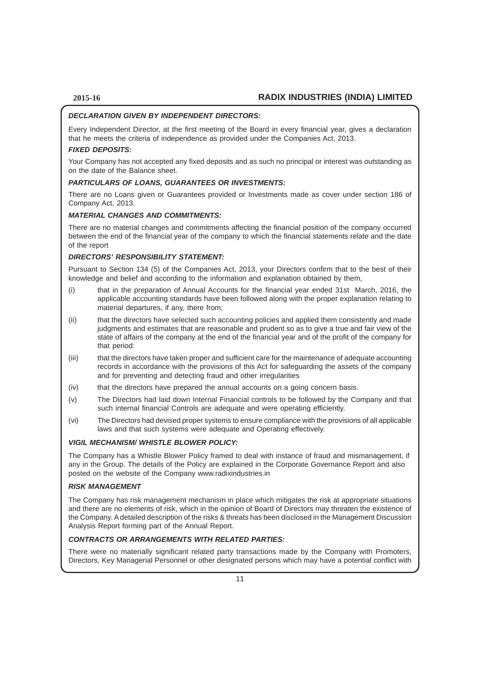## *DECLARATION GIVEN BY INDEPENDENT DIRECTORS:*

Every Independent Director, at the first meeting of the Board in every financial year, gives a declaration that he meets the criteria of independence as provided under the Companies Act, 2013.

#### *FIXED DEPOSITS:*

Your Company has not accepted any fixed deposits and as such no principal or interest was outstanding as on the date of the Balance sheet.

# *PARTICULARS OF LOANS, GUARANTEES OR INVESTMENTS:*

There are no Loans given or Guarantees provided or Investments made as cover under section 186 of Company Act, 2013.

### *MATERIAL CHANGES AND COMMITMENTS:*

There are no material changes and commitments affecting the financial position of the company occurred between the end of the financial year of the company to which the financial statements relate and the date of the report

#### *DIRECTORS' RESPONSIBILITY STATEMENT:*

Pursuant to Section 134 (5) of the Companies Act, 2013, your Directors confirm that to the best of their knowledge and belief and according to the information and explanation obtained by them,

- (i) that in the preparation of Annual Accounts for the financial year ended 31st March, 2016, the applicable accounting standards have been followed along with the proper explanation relating to material departures, if any, there from;
- (ii) that the directors have selected such accounting policies and applied them consistently and made judgments and estimates that are reasonable and prudent so as to give a true and fair view of the state of affairs of the company at the end of the financial year and of the profit of the company for that period:
- (iii) that the directors have taken proper and sufficient care for the maintenance of adequate accounting records in accordance with the provisions of this Act for safeguarding the assets of the company and for preventing and detecting fraud and other irregularities
- (iv) that the directors have prepared the annual accounts on a going concern basis.
- (v) The Directors had laid down Internal Financial controls to be followed by the Company and that such internal financial Controls are adequate and were operating efficiently.
- (vi) The Directors had devised proper systems to ensure compliance with the provisions of all applicable laws and that such systems were adequate and Operating effectively.

# *VIGIL MECHANISM/ WHISTLE BLOWER POLICY:*

The Company has a Whistle Blower Policy framed to deal with instance of fraud and mismanagement, if any in the Group. The details of the Policy are explained in the Corporate Governance Report and also posted on the website of the Company www.radixindustries.in

#### *RISK MANAGEMENT*

The Company has risk management mechanism in place which mitigates the risk at appropriate situations and there are no elements of risk, which in the opinion of Board of Directors may threaten the existence of the Company. A detailed description of the risks & threats has been disclosed in the Management Discussion Analysis Report forming part of the Annual Report.

# *CONTRACTS OR ARRANGEMENTS WITH RELATED PARTIES:*

There were no materially significant related party transactions made by the Company with Promoters, Directors, Key Managerial Personnel or other designated persons which may have a potential conflict with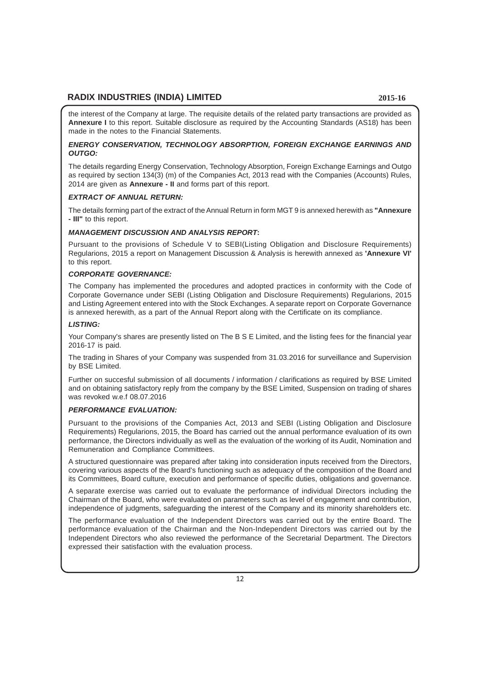the interest of the Company at large. The requisite details of the related party transactions are provided as **Annexure I** to this report. Suitable disclosure as required by the Accounting Standards (AS18) has been made in the notes to the Financial Statements.

# *ENERGY CONSERVATION, TECHNOLOGY ABSORPTION, FOREIGN EXCHANGE EARNINGS AND OUTGO:*

The details regarding Energy Conservation, Technology Absorption, Foreign Exchange Earnings and Outgo as required by section 134(3) (m) of the Companies Act, 2013 read with the Companies (Accounts) Rules, 2014 are given as **Annexure - II** and forms part of this report.

# *EXTRACT OF ANNUAL RETURN:*

The details forming part of the extract of the Annual Return in form MGT 9 is annexed herewith as **"Annexure - III"** to this report.

# *MANAGEMENT DISCUSSION AND ANALYSIS REPORT***:**

Pursuant to the provisions of Schedule V to SEBI(Listing Obligation and Disclosure Requirements) Regularions, 2015 a report on Management Discussion & Analysis is herewith annexed as **'Annexure VI'** to this report.

# *CORPORATE GOVERNANCE:*

The Company has implemented the procedures and adopted practices in conformity with the Code of Corporate Governance under SEBI (Listing Obligation and Disclosure Requirements) Regularions, 2015 and Listing Agreement entered into with the Stock Exchanges. A separate report on Corporate Governance is annexed herewith, as a part of the Annual Report along with the Certificate on its compliance.

# *LISTING:*

Your Company's shares are presently listed on The B S E Limited, and the listing fees for the financial year 2016-17 is paid.

The trading in Shares of your Company was suspended from 31.03.2016 for surveillance and Supervision by BSE Limited.

Further on succesful submission of all documents / information / clarifications as required by BSE Limited and on obtaining satisfactory reply from the company by the BSE Limited, Suspension on trading of shares was revoked w.e.f 08.07.2016

# *PERFORMANCE EVALUATION:*

Pursuant to the provisions of the Companies Act, 2013 and SEBI (Listing Obligation and Disclosure Requirements) Regularions, 2015, the Board has carried out the annual performance evaluation of its own performance, the Directors individually as well as the evaluation of the working of its Audit, Nomination and Remuneration and Compliance Committees.

A structured questionnaire was prepared after taking into consideration inputs received from the Directors, covering various aspects of the Board's functioning such as adequacy of the composition of the Board and its Committees, Board culture, execution and performance of specific duties, obligations and governance.

A separate exercise was carried out to evaluate the performance of individual Directors including the Chairman of the Board, who were evaluated on parameters such as level of engagement and contribution, independence of judgments, safeguarding the interest of the Company and its minority shareholders etc.

The performance evaluation of the Independent Directors was carried out by the entire Board. The performance evaluation of the Chairman and the Non-Independent Directors was carried out by the Independent Directors who also reviewed the performance of the Secretarial Department. The Directors expressed their satisfaction with the evaluation process.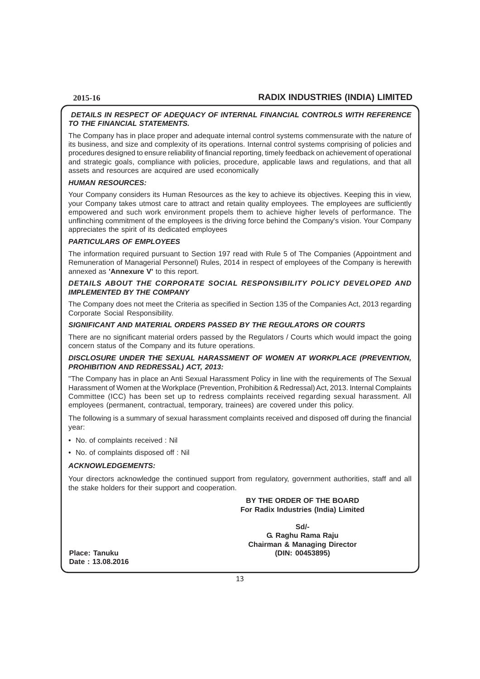# *DETAILS IN RESPECT OF ADEQUACY OF INTERNAL FINANCIAL CONTROLS WITH REFERENCE TO THE FINANCIAL STATEMENTS.*

The Company has in place proper and adequate internal control systems commensurate with the nature of its business, and size and complexity of its operations. Internal control systems comprising of policies and procedures designed to ensure reliability of financial reporting, timely feedback on achievement of operational and strategic goals, compliance with policies, procedure, applicable laws and regulations, and that all assets and resources are acquired are used economically

# *HUMAN RESOURCES:*

Your Company considers its Human Resources as the key to achieve its objectives. Keeping this in view, your Company takes utmost care to attract and retain quality employees. The employees are sufficiently empowered and such work environment propels them to achieve higher levels of performance. The unflinching commitment of the employees is the driving force behind the Company's vision. Your Company appreciates the spirit of its dedicated employees

# *PARTICULARS OF EMPLOYEES*

The information required pursuant to Section 197 read with Rule 5 of The Companies (Appointment and Remuneration of Managerial Personnel) Rules, 2014 in respect of employees of the Company is herewith annexed as **'Annexure V'** to this report.

# *DETAILS ABOUT THE CORPORATE SOCIAL RESPONSIBILITY POLICY DEVELOPED AND IMPLEMENTED BY THE COMPANY*

The Company does not meet the Criteria as specified in Section 135 of the Companies Act, 2013 regarding Corporate Social Responsibility.

# *SIGNIFICANT AND MATERIAL ORDERS PASSED BY THE REGULATORS OR COURTS*

There are no significant material orders passed by the Regulators / Courts which would impact the going concern status of the Company and its future operations.

# *DISCLOSURE UNDER THE SEXUAL HARASSMENT OF WOMEN AT WORKPLACE (PREVENTION, PROHIBITION AND REDRESSAL) ACT, 2013:*

"The Company has in place an Anti Sexual Harassment Policy in line with the requirements of The Sexual Harassment of Women at the Workplace (Prevention, Prohibition & Redressal) Act, 2013. Internal Complaints Committee (ICC) has been set up to redress complaints received regarding sexual harassment. All employees (permanent, contractual, temporary, trainees) are covered under this policy.

The following is a summary of sexual harassment complaints received and disposed off during the financial year:

- No. of complaints received : Nil
- No. of complaints disposed off : Nil

# *ACKNOWLEDGEMENTS:*

Your directors acknowledge the continued support from regulatory, government authorities, staff and all the stake holders for their support and cooperation.

# **BY THE ORDER OF THE BOARD For Radix Industries (India) Limited**

**Sd/- G. Raghu Rama Raju Chairman & Managing Director Place: Tanuku (DIN: 00453895)**

**Date : 13.08.2016**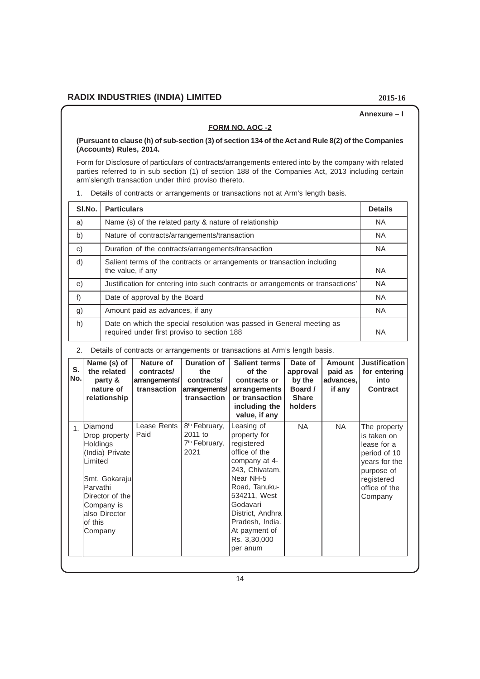# **Annexure – I**

**2015-16**

# **FORM NO. AOC -2**

# **(Pursuant to clause (h) of sub-section (3) of section 134 of the Act and Rule 8(2) of the Companies (Accounts) Rules, 2014.**

Form for Disclosure of particulars of contracts/arrangements entered into by the company with related parties referred to in sub section (1) of section 188 of the Companies Act, 2013 including certain arm'slength transaction under third proviso thereto.

1. Details of contracts or arrangements or transactions not at Arm's length basis.

| SI.No.       | <b>Particulars</b>                                                                                                   | <b>Details</b> |
|--------------|----------------------------------------------------------------------------------------------------------------------|----------------|
| a)           | Name (s) of the related party & nature of relationship                                                               | <b>NA</b>      |
| b)           | Nature of contracts/arrangements/transaction                                                                         | NA.            |
| $\mathbf{C}$ | Duration of the contracts/arrangements/transaction                                                                   | <b>NA</b>      |
| d)           | Salient terms of the contracts or arrangements or transaction including<br>the value, if any                         | <b>NA</b>      |
| e)           | Justification for entering into such contracts or arrangements or transactions'                                      | <b>NA</b>      |
| f)           | Date of approval by the Board                                                                                        | <b>NA</b>      |
| g)           | Amount paid as advances, if any                                                                                      | <b>NA</b>      |
| h)           | Date on which the special resolution was passed in General meeting as<br>required under first proviso to section 188 | ΝA             |

2. Details of contracts or arrangements or transactions at Arm's length basis.

| S.<br>No.      | Name (s) of<br>the related<br>party &<br>nature of<br>relationship                                                                                                                | Nature of<br>contracts/<br>arrangements/<br>transaction | Duration of<br>the<br>contracts/<br>arrangements/<br>transaction          | <b>Salient terms</b><br>of the<br>contracts or<br>arrangements<br>or transaction<br>including the<br>value, if any                                                                                                                         | Date of<br>approval<br>by the<br>Board /<br><b>Share</b><br>holders | <b>Amount</b><br>paid as<br>advances,<br>if any | <b>Justification</b><br>for entering<br>into<br><b>Contract</b>                                                                     |
|----------------|-----------------------------------------------------------------------------------------------------------------------------------------------------------------------------------|---------------------------------------------------------|---------------------------------------------------------------------------|--------------------------------------------------------------------------------------------------------------------------------------------------------------------------------------------------------------------------------------------|---------------------------------------------------------------------|-------------------------------------------------|-------------------------------------------------------------------------------------------------------------------------------------|
| 1 <sub>1</sub> | <b>IDiamond</b><br>Drop property<br>Holdings<br>(India) Private<br>Limited<br>Smt. Gokaraju<br>Parvathi<br>Director of the<br>Company is<br>lalso Director<br>lof this<br>Company | Lease Rents<br>Paid                                     | 8 <sup>th</sup> February,<br>2011 to<br>7 <sup>th</sup> February,<br>2021 | Leasing of<br>property for<br>registered<br>office of the<br>company at 4-<br>243, Chivatam,<br>Near NH-5<br>Road, Tanuku-<br>534211, West<br>Godavari<br>District, Andhra<br>Pradesh, India.<br>At payment of<br>Rs. 3,30,000<br>per anum | <b>NA</b>                                                           | <b>NA</b>                                       | The property<br>is taken on<br>lease for a<br>period of 10<br>years for the<br>purpose of<br>registered<br>office of the<br>Company |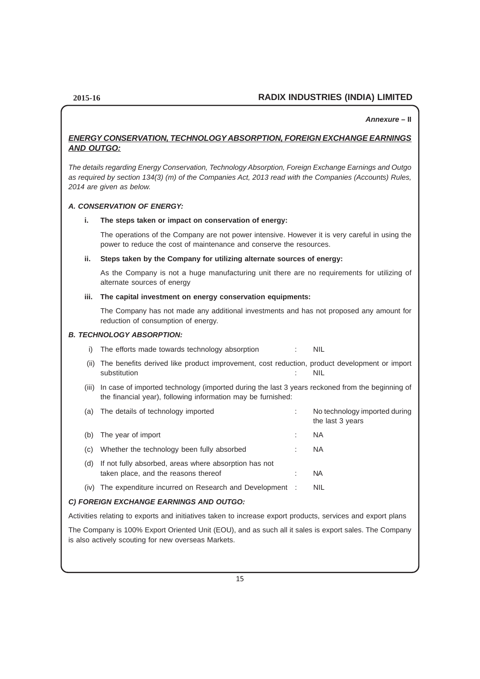#### *Annexure –* **II**

# *ENERGY CONSERVATION, TECHNOLOGYABSORPTION, FOREIGN EXCHANGE EARNINGS AND OUTGO:*

*The details regarding Energy Conservation, Technology Absorption, Foreign Exchange Earnings and Outgo as required by section 134(3) (m) of the Companies Act, 2013 read with the Companies (Accounts) Rules, 2014 are given as below.*

#### *A. CONSERVATION OF ENERGY:*

#### **i. The steps taken or impact on conservation of energy:**

The operations of the Company are not power intensive. However it is very careful in using the power to reduce the cost of maintenance and conserve the resources.

#### **ii. Steps taken by the Company for utilizing alternate sources of energy:**

As the Company is not a huge manufacturing unit there are no requirements for utilizing of alternate sources of energy

# **iii. The capital investment on energy conservation equipments:**

The Company has not made any additional investments and has not proposed any amount for reduction of consumption of energy.

# *B. TECHNOLOGY ABSORPTION:*

- i) The efforts made towards technology absorption : NIL
- (ii) The benefits derived like product improvement, cost reduction, product development or import substitution : NIL
- (iii) In case of imported technology (imported during the last 3 years reckoned from the beginning of the financial year), following information may be furnished:

| (a) | The details of technology imported                                                            |   | No technology imported during<br>the last 3 years |
|-----|-----------------------------------------------------------------------------------------------|---|---------------------------------------------------|
| (b) | The year of import                                                                            |   | NA.                                               |
| (C) | Whether the technology been fully absorbed                                                    |   | NA.                                               |
| (d) | If not fully absorbed, areas where absorption has not<br>taken place, and the reasons thereof | ÷ | NA.                                               |
|     | (iv) The expenditure incurred on Research and Development :                                   |   | <b>NIL</b>                                        |

# *C) FOREIGN EXCHANGE EARNINGS AND OUTGO:*

Activities relating to exports and initiatives taken to increase export products, services and export plans

The Company is 100% Export Oriented Unit (EOU), and as such all it sales is export sales. The Company is also actively scouting for new overseas Markets.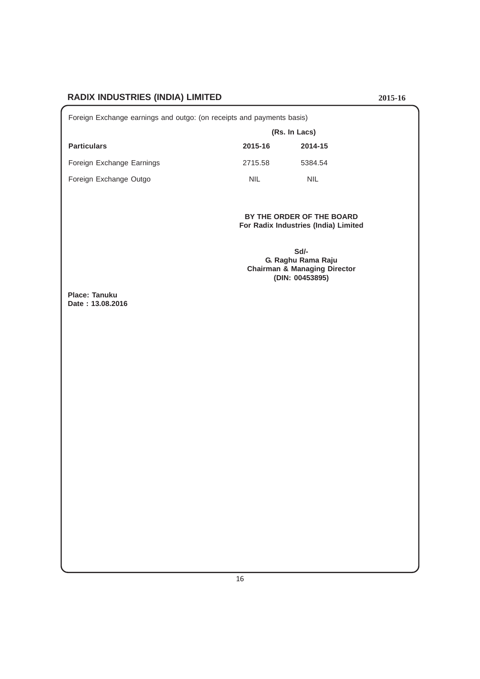Foreign Exchange earnings and outgo: (on receipts and payments basis)

|                           |         | (Rs. In Lacs) |
|---------------------------|---------|---------------|
| <b>Particulars</b>        | 2015-16 | 2014-15       |
| Foreign Exchange Earnings | 2715.58 | 5384.54       |
| Foreign Exchange Outgo    | NIL     | NIL           |

**BY THE ORDER OF THE BOARD For Radix Industries (India) Limited**

**Sd/-**

**G. Raghu Rama Raju Chairman & Managing Director (DIN: 00453895)**

**Place: Tanuku Date : 13.08.2016**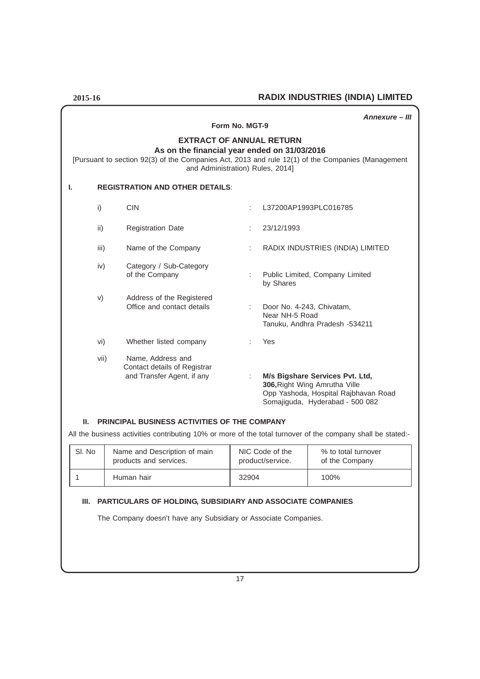|        |      | <b>EXTRACT OF ANNUAL RETURN</b>                                                                                                                                                       | Form No. MGT-9 |                                             | <b>Annexure – III</b>                                                                                                                       |
|--------|------|---------------------------------------------------------------------------------------------------------------------------------------------------------------------------------------|----------------|---------------------------------------------|---------------------------------------------------------------------------------------------------------------------------------------------|
|        |      | As on the financial year ended on 31/03/2016<br>[Pursuant to section 92(3) of the Companies Act, 2013 and rule 12(1) of the Companies (Management<br>and Administration) Rules, 2014] |                |                                             |                                                                                                                                             |
| Τ.     |      | <b>REGISTRATION AND OTHER DETAILS:</b>                                                                                                                                                |                |                                             |                                                                                                                                             |
|        | i)   | <b>CIN</b>                                                                                                                                                                            |                | L37200AP1993PLC016785                       |                                                                                                                                             |
|        | ii)  | <b>Registration Date</b>                                                                                                                                                              |                | 23/12/1993                                  |                                                                                                                                             |
|        | iii) | Name of the Company                                                                                                                                                                   |                |                                             | RADIX INDUSTRIES (INDIA) LIMITED                                                                                                            |
|        | iv)  | Category / Sub-Category<br>of the Company                                                                                                                                             | ÷.             | by Shares                                   | Public Limited, Company Limited                                                                                                             |
|        | V)   | Address of the Registered<br>Office and contact details                                                                                                                               |                | Door No. 4-243, Chivatam,<br>Near NH-5 Road | Tanuku, Andhra Pradesh -534211                                                                                                              |
|        | vi)  | Whether listed company                                                                                                                                                                | ÷              | Yes                                         |                                                                                                                                             |
|        | vii) | Name, Address and<br>Contact details of Registrar<br>and Transfer Agent, if any                                                                                                       | ÷.             |                                             | M/s Bigshare Services Pvt. Ltd,<br>306, Right Wing Amrutha Ville<br>Opp Yashoda, Hospital Rajbhavan Road<br>Somajiguda, Hyderabad - 500 082 |
| Ш.     |      | PRINCIPAL BUSINESS ACTIVITIES OF THE COMPANY<br>All the business activities contributing 10% or more of the total turnover of the company shall be stated:-                           |                |                                             |                                                                                                                                             |
| SI. No |      | Name and Description of main<br>products and services.                                                                                                                                |                | NIC Code of the<br>product/service.         | % to total turnover<br>of the Company                                                                                                       |
| 1      |      | Human hair                                                                                                                                                                            | 32904          |                                             | 100%                                                                                                                                        |
| Ш.     |      | <b>PARTICULARS OF HOLDING, SUBSIDIARY AND ASSOCIATE COMPANIES</b><br>The Company doesn't have any Subsidiary or Associate Companies.                                                  |                |                                             |                                                                                                                                             |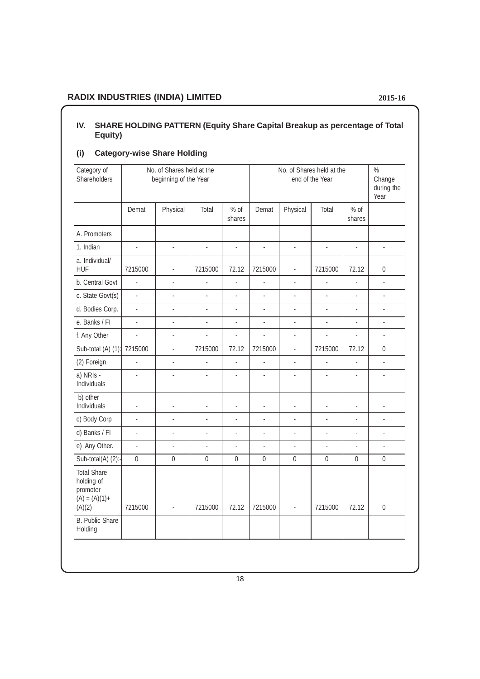# **IV. SHARE HOLDING PATTERN (Equity Share Capital Breakup as percentage of Total Equity)**

# **(i) Category-wise Share Holding**

| Category of<br>Shareholders                                                |                          | No. of Shares held at the<br>beginning of the Year |                  | No. of Shares held at the<br>end of the Year |                          |                          |                  | $\%$<br>Change<br>during the<br>Year |                          |
|----------------------------------------------------------------------------|--------------------------|----------------------------------------------------|------------------|----------------------------------------------|--------------------------|--------------------------|------------------|--------------------------------------|--------------------------|
|                                                                            | Demat                    | Physical                                           | Total            | $%$ of<br>shares                             | Demat                    | Physical                 | Total            | $%$ of<br>shares                     |                          |
| A. Promoters                                                               |                          |                                                    |                  |                                              |                          |                          |                  |                                      |                          |
| 1. Indian                                                                  | L.                       | L.                                                 | L.               | $\overline{a}$                               | ÷,                       | ä,                       | L.               | $\overline{a}$                       | L.                       |
| a. Individual/<br><b>HUF</b>                                               | 7215000                  | $\overline{\phantom{a}}$                           | 7215000          | 72.12                                        | 7215000                  | ÷,                       | 7215000          | 72.12                                | $\boldsymbol{0}$         |
| b. Central Govt                                                            | Ĭ,                       | $\blacksquare$                                     | ÷,               | ÷,                                           | $\overline{a}$           | $\overline{\phantom{a}}$ | ÷,               | ÷,                                   | $\overline{\phantom{a}}$ |
| c. State Govt(s)                                                           | $\Box$                   | l,                                                 | ÷,               | $\overline{\phantom{a}}$                     | ÷                        | ÷,                       | ÷,               | L,                                   | $\blacksquare$           |
| d. Bodies Corp.                                                            | $\overline{\phantom{a}}$ | ÷,                                                 | ÷,               | $\blacksquare$                               | ÷,                       | ÷,                       | ÷,               | $\frac{1}{2}$                        | ÷,                       |
| e. Banks / FI                                                              | ÷,                       | l,                                                 | $\overline{a}$   | $\frac{1}{2}$                                | L,                       | $\overline{a}$           | L,               | $\frac{1}{2}$                        | L,                       |
| f. Any Other                                                               | $\Box$                   | $\blacksquare$                                     | ÷,               | l,                                           | i,                       | $\Box$                   | ÷                | $\overline{\phantom{a}}$             | $\blacksquare$           |
| Sub-total $(A)$ $(1):$                                                     | 7215000                  | $\Box$                                             | 7215000          | 72.12                                        | 7215000                  | ÷,                       | 7215000          | 72.12                                | $\boldsymbol{0}$         |
| (2) Foreign                                                                | $\Box$                   | $\overline{\phantom{a}}$                           | ä,               | L,                                           | l,                       | $\overline{\phantom{a}}$ | ä,               | L,                                   | ä,                       |
| a) NRIs -<br>Individuals                                                   | l,                       | ÷,                                                 |                  | $\overline{\phantom{a}}$                     | $\overline{a}$           | ÷,                       | ÷,               | $\frac{1}{2}$                        | ÷,                       |
| b) other<br>Individuals                                                    | ÷,                       | ÷,                                                 | ä,               | ä,                                           | ä,                       | ÷,                       | ÷,               | ÷,                                   | ÷,                       |
| c) Body Corp                                                               | $\overline{\phantom{a}}$ | $\overline{\phantom{a}}$                           | L.               | ä,                                           | L,                       | ÷,                       | ÷,               | $\frac{1}{2}$                        | ä,                       |
| d) Banks / FI                                                              | ÷                        | ÷,                                                 | ä,               | ÷,                                           | ÷,                       | L,                       | ÷,               | ä,                                   | ÷,                       |
| e) Any Other.                                                              | $\Box$                   | ÷,                                                 | ä,               | ä,                                           | $\overline{\phantom{a}}$ | ÷,                       | ä,               | ä,                                   | ä,                       |
| $Sub-total(A)$ (2):                                                        | $\boldsymbol{0}$         | $\boldsymbol{0}$                                   | $\boldsymbol{0}$ | $\boldsymbol{0}$                             | $\boldsymbol{0}$         | $\boldsymbol{0}$         | $\boldsymbol{0}$ | $\boldsymbol{0}$                     | $\boldsymbol{0}$         |
| <b>Total Share</b><br>holding of<br>promoter<br>$(A) = (A)(1) +$<br>(A)(2) | 7215000                  | ÷,                                                 | 7215000          | 72.12                                        | 7215000                  | L.                       | 7215000          | 72.12                                | $\boldsymbol{0}$         |
| <b>B.</b> Public Share<br>Holding                                          |                          |                                                    |                  |                                              |                          |                          |                  |                                      |                          |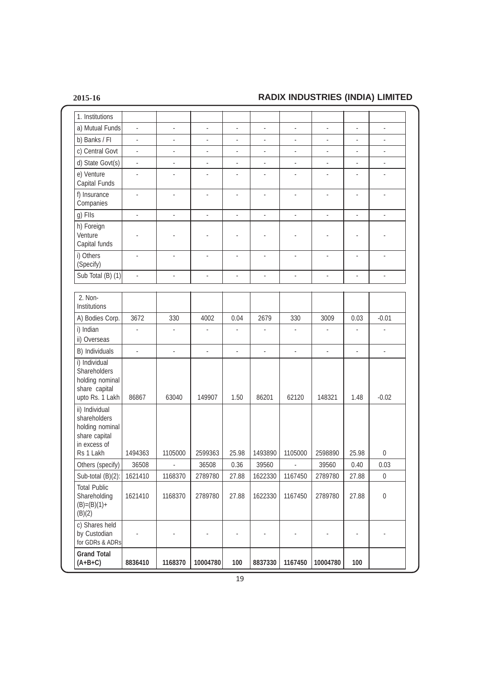| 1. Institutions                                                                                 |         |                          |                          |               |               |                |          |                          |                |
|-------------------------------------------------------------------------------------------------|---------|--------------------------|--------------------------|---------------|---------------|----------------|----------|--------------------------|----------------|
| a) Mutual Funds                                                                                 | L.      | l,                       | $\overline{\phantom{a}}$ | ÷,            | ÷,            | $\overline{a}$ | ÷,       | $\overline{\phantom{a}}$ | ÷,             |
| b) Banks / FI                                                                                   | ä,      | ÷,                       | ä,                       | L,            | L,            | ÷,             | ÷,       | $\overline{\phantom{a}}$ | ä,             |
| c) Central Govt                                                                                 | L.      | ä,                       | ÷                        | Ĭ.            | ÷,            | ÷,             |          | $\overline{\phantom{a}}$ | ä,             |
| d) State Govt(s)                                                                                | ÷.      | $\blacksquare$           | $\overline{\phantom{a}}$ | $\frac{1}{2}$ | $\frac{1}{2}$ | ÷              | ÷        | $\blacksquare$           | $\blacksquare$ |
| e) Venture<br>Capital Funds                                                                     | ä,      | L.                       | ÷,                       | L,            | L,            | ÷,             | L.       | ÷,                       | L.             |
| f) Insurance<br>Companies                                                                       |         |                          |                          | L             | L             | L,             |          | L,                       | L,             |
| g) Flls                                                                                         | ÷,      | $\overline{\phantom{a}}$ | $\overline{\phantom{a}}$ | ÷,            | ä,            | $\overline{a}$ | ÷,       | L                        | ÷,             |
| h) Foreign<br>Venture<br>Capital funds                                                          |         |                          |                          |               |               |                |          |                          |                |
| i) Others<br>(Specify)                                                                          | ä,      | ÷,                       | ÷,                       | L,            | ÷,            | ÷,             | ÷,       | ÷,                       | $\bar{a}$      |
| Sub Total $(B)$ $(1)$                                                                           | ä,      | ä,                       | ä,                       | L             | ÷,            | ÷,             | ÷,       | ä,                       | ä,             |
|                                                                                                 |         |                          |                          |               |               |                |          |                          |                |
| 2. Non-<br>Institutions                                                                         |         |                          |                          |               |               |                |          |                          |                |
| A) Bodies Corp.                                                                                 | 3672    | 330                      | 4002                     | 0.04          | 2679          | 330            | 3009     | 0.03                     | $-0.01$        |
| i) Indian<br>ii) Overseas                                                                       |         |                          |                          |               |               |                |          |                          |                |
| B) Individuals                                                                                  | ÷.      | ÷,                       | ÷,                       | ä,            | L,            | ÷,             | ÷,       | ÷,                       | ä,             |
| i) Individual<br>Shareholders<br>holding nominal<br>share capital<br>upto Rs. 1 Lakh            | 86867   | 63040                    | 149907                   | 1.50          | 86201         | 62120          | 148321   | 1.48                     | $-0.02$        |
| ii) Individual<br>shareholders<br>holding nominal<br>share capital<br>in excess of<br>Rs 1 Lakh | 1494363 | 1105000                  | 2599363                  | 25.98         | 1493890       | 1105000        | 2598890  | 25.98                    | $\mathbf 0$    |
| Others (specify)                                                                                | 36508   | ÷,                       | 36508                    | 0.36          | 39560         | $\overline{a}$ | 39560    | 0.40                     | 0.03           |
| Sub-total (B)(2):                                                                               | 1621410 | 1168370                  | 2789780                  | 27.88         | 1622330       | 1167450        | 2789780  | 27.88                    | $\pmb{0}$      |
| <b>Total Public</b><br>Shareholding<br>$(B)=(B)(1)+$<br>(B)(2)                                  | 1621410 | 1168370                  | 2789780                  | 27.88         | 1622330       | 1167450        | 2789780  | 27.88                    | $\pmb{0}$      |
| c) Shares held<br>by Custodian<br>for GDRs & ADRs                                               |         |                          |                          | ä,            |               |                |          | ä,                       |                |
| <b>Grand Total</b><br>$(A+B+C)$                                                                 | 8836410 | 1168370                  | 10004780                 | 100           | 8837330       | 1167450        | 10004780 | 100                      |                |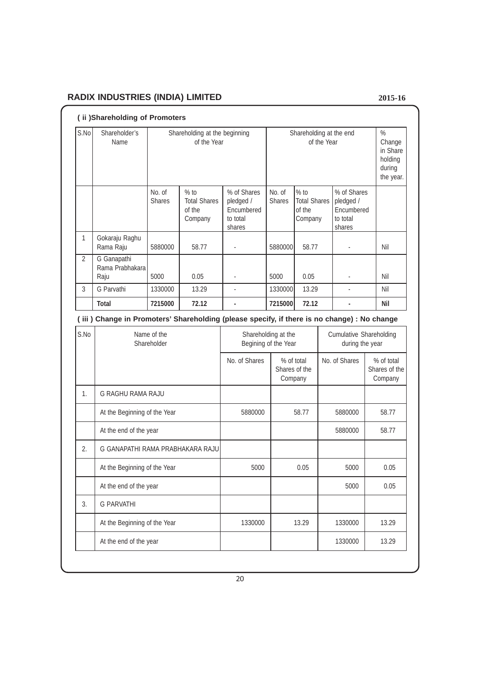**2015-16**

| S.No           | Shareholder's<br>Name                  | Shareholding at the beginning<br>of the Year | Shareholding at the end                            | %<br>Change<br>in Share<br>holding<br>during<br>the year.    |                                                           |                                                    |                                                              |                                                   |
|----------------|----------------------------------------|----------------------------------------------|----------------------------------------------------|--------------------------------------------------------------|-----------------------------------------------------------|----------------------------------------------------|--------------------------------------------------------------|---------------------------------------------------|
|                |                                        | $No$ of<br><b>Shares</b>                     | $%$ to<br><b>Total Shares</b><br>of the<br>Company | % of Shares<br>pledged /<br>Encumbered<br>to total<br>shares | No. of<br><b>Shares</b>                                   | $%$ to<br><b>Total Shares</b><br>of the<br>Company | % of Shares<br>pledged /<br>Encumbered<br>to total<br>shares |                                                   |
| 1              | Gokaraju Raghu<br>Rama Raju            | 5880000                                      | 58.77                                              | ÷,                                                           | 5880000                                                   | 58.77                                              | Ĭ.                                                           | Nil                                               |
| $\overline{2}$ | G Ganapathi<br>Rama Prabhakara<br>Raju | 5000                                         | 0.05                                               |                                                              | 5000                                                      | 0.05                                               |                                                              | Nil                                               |
| 3              | G Parvathi                             | 1330000                                      | 13.29                                              |                                                              | 1330000                                                   | 13.29                                              | ä,                                                           | Nil                                               |
|                | <b>Total</b>                           | 7215000                                      | 72.12                                              |                                                              | 7215000                                                   | 72.12                                              | $\overline{a}$                                               | Nil                                               |
| S.No           |                                        | Name of the<br>Shareholder                   |                                                    |                                                              | Shareholding at the<br>Begining of the Year<br>% of total |                                                    |                                                              | <b>Cumulative Shareholding</b><br>during the year |
|                |                                        |                                              |                                                    | No. of Shares                                                | Shares of the                                             |                                                    | No. of Shares                                                | % of total<br>Shares of the                       |
| $\mathbf{1}$ . | <b>G RAGHU RAMA RAJU</b>               |                                              |                                                    |                                                              | Company                                                   |                                                    |                                                              | Company                                           |
|                | At the Beginning of the Year           |                                              |                                                    | 5880000                                                      |                                                           | 58.77                                              | 5880000                                                      | 58.77                                             |
|                |                                        | At the end of the year                       |                                                    |                                                              |                                                           |                                                    | 5880000                                                      | 58.77                                             |
| 2.             | G GANAPATHI RAMA PRABHAKARA RAJU       |                                              |                                                    |                                                              |                                                           |                                                    |                                                              |                                                   |
|                | At the Beginning of the Year           |                                              |                                                    | 5000                                                         |                                                           | 0.05                                               | 5000                                                         | 0.05                                              |
|                | At the end of the year                 |                                              |                                                    |                                                              |                                                           |                                                    | 5000                                                         | 0.05                                              |
| 3.             | <b>G PARVATHI</b>                      |                                              |                                                    |                                                              |                                                           |                                                    |                                                              |                                                   |
|                | At the Beginning of the Year           | 1330000                                      |                                                    | 13.29                                                        | 1330000                                                   | 13.29                                              |                                                              |                                                   |
|                |                                        | At the end of the year                       |                                                    |                                                              |                                                           |                                                    |                                                              |                                                   |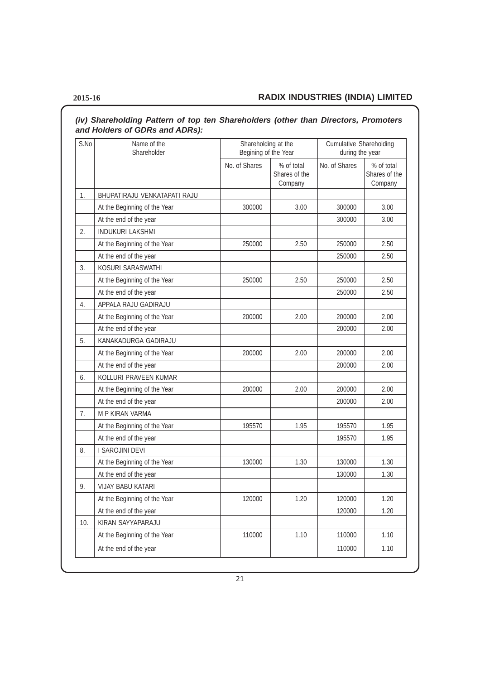| S.No           | Name of the<br>Shareholder   | Shareholding at the<br>Begining of the Year |                                        | <b>Cumulative Shareholding</b><br>during the year |                                        |
|----------------|------------------------------|---------------------------------------------|----------------------------------------|---------------------------------------------------|----------------------------------------|
|                |                              | No. of Shares                               | % of total<br>Shares of the<br>Company | No. of Shares                                     | % of total<br>Shares of the<br>Company |
| $\mathbf{1}$ . | BHUPATIRAJU VENKATAPATI RAJU |                                             |                                        |                                                   |                                        |
|                | At the Beginning of the Year | 300000                                      | 3.00                                   | 300000                                            | 3.00                                   |
|                | At the end of the year       |                                             |                                        | 300000                                            | 3.00                                   |
| 2.             | <b>INDUKURI LAKSHMI</b>      |                                             |                                        |                                                   |                                        |
|                | At the Beginning of the Year | 250000                                      | 2.50                                   | 250000                                            | 2.50                                   |
|                | At the end of the year       |                                             |                                        | 250000                                            | 2.50                                   |
| 3.             | KOSURI SARASWATHI            |                                             |                                        |                                                   |                                        |
|                | At the Beginning of the Year | 250000                                      | 2.50                                   | 250000                                            | 2.50                                   |
|                | At the end of the year       |                                             |                                        | 250000                                            | 2.50                                   |
| 4.             | APPALA RAJU GADIRAJU         |                                             |                                        |                                                   |                                        |
|                | At the Beginning of the Year | 200000                                      | 2.00                                   | 200000                                            | 2.00                                   |
|                | At the end of the year       |                                             |                                        | 200000                                            | 2.00                                   |
| 5.             | KANAKADURGA GADIRAJU         |                                             |                                        |                                                   |                                        |
|                | At the Beginning of the Year | 200000                                      | 2.00                                   | 200000                                            | 2.00                                   |
|                | At the end of the year       |                                             |                                        | 200000                                            | 2.00                                   |
| 6.             | KOLLURI PRAVEEN KUMAR        |                                             |                                        |                                                   |                                        |
|                | At the Beginning of the Year | 200000                                      | 2.00                                   | 200000                                            | 2.00                                   |
|                | At the end of the year       |                                             |                                        | 200000                                            | 2.00                                   |
| 7.             | M P KIRAN VARMA              |                                             |                                        |                                                   |                                        |
|                | At the Beginning of the Year | 195570                                      | 1.95                                   | 195570                                            | 1.95                                   |
|                | At the end of the year       |                                             |                                        | 195570                                            | 1.95                                   |
| 8.             | I SAROJINI DEVI              |                                             |                                        |                                                   |                                        |
|                | At the Beginning of the Year | 130000                                      | 1.30                                   | 130000                                            | 1.30                                   |
|                | At the end of the year       |                                             |                                        | 130000                                            | 1.30                                   |
| 9.             | VIJAY BABU KATARI            |                                             |                                        |                                                   |                                        |
|                | At the Beginning of the Year | 120000                                      | 1.20                                   | 120000                                            | 1.20                                   |
|                | At the end of the year       |                                             |                                        | 120000                                            | 1.20                                   |
| 10.            | KIRAN SAYYAPARAJU            |                                             |                                        |                                                   |                                        |
|                | At the Beginning of the Year | 110000                                      | 1.10                                   | 110000                                            | 1.10                                   |
|                | At the end of the year       |                                             |                                        | 110000                                            | 1.10                                   |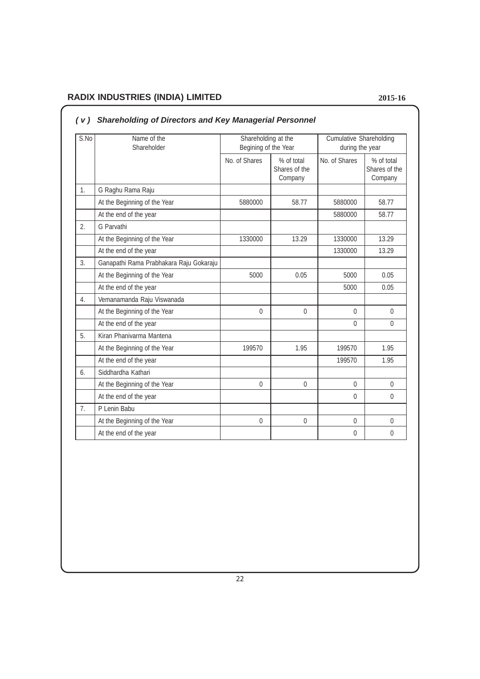**2015-16**

| S.No           | Name of the<br>Shareholder              | Shareholding at the<br>Begining of the Year |                                        | <b>Cumulative Shareholding</b><br>during the year |                                        |  |
|----------------|-----------------------------------------|---------------------------------------------|----------------------------------------|---------------------------------------------------|----------------------------------------|--|
|                |                                         | No. of Shares                               | % of total<br>Shares of the<br>Company | No. of Shares                                     | % of total<br>Shares of the<br>Company |  |
| 1.             | G Raghu Rama Raju                       |                                             |                                        |                                                   |                                        |  |
|                | At the Beginning of the Year            | 5880000                                     | 58.77                                  | 5880000                                           | 58.77                                  |  |
|                | At the end of the year                  |                                             |                                        | 5880000                                           | 58.77                                  |  |
| 2.             | G Parvathi                              |                                             |                                        |                                                   |                                        |  |
|                | At the Beginning of the Year            | 1330000                                     | 13.29                                  | 1330000                                           | 13.29                                  |  |
|                | At the end of the year                  |                                             |                                        | 1330000                                           | 13.29                                  |  |
| 3.             | Ganapathi Rama Prabhakara Raju Gokaraju |                                             |                                        |                                                   |                                        |  |
|                | At the Beginning of the Year            | 5000                                        | 0.05                                   | 5000                                              | 0.05                                   |  |
|                | At the end of the year                  |                                             |                                        | 5000                                              | 0.05                                   |  |
| 4.             | Vemanamanda Raju Viswanada              |                                             |                                        |                                                   |                                        |  |
|                | At the Beginning of the Year            | $\overline{0}$                              | $\Omega$                               | $\Omega$                                          | $\Omega$                               |  |
|                | At the end of the year                  |                                             |                                        | $\Omega$                                          | $\Omega$                               |  |
| 5.             | Kiran Phanivarma Mantena                |                                             |                                        |                                                   |                                        |  |
|                | At the Beginning of the Year            | 199570                                      | 1.95                                   | 199570                                            | 1.95                                   |  |
|                | At the end of the year                  |                                             |                                        | 199570                                            | 1.95                                   |  |
| 6.             | Siddhardha Kathari                      |                                             |                                        |                                                   |                                        |  |
|                | At the Beginning of the Year            | $\overline{0}$                              | $\Omega$                               | $\Omega$                                          | $\Omega$                               |  |
|                | At the end of the year                  |                                             |                                        | $\Omega$                                          | $\Omega$                               |  |
| 7 <sub>1</sub> | P Lenin Babu                            |                                             |                                        |                                                   |                                        |  |
|                | At the Beginning of the Year            | 0                                           | $\theta$                               | $\mathbf{0}$                                      | 0                                      |  |
|                | At the end of the year                  |                                             |                                        | $\mathbf{0}$                                      | $\mathbf{0}$                           |  |

# *( v ) Shareholding of Directors and Key Managerial Personnel*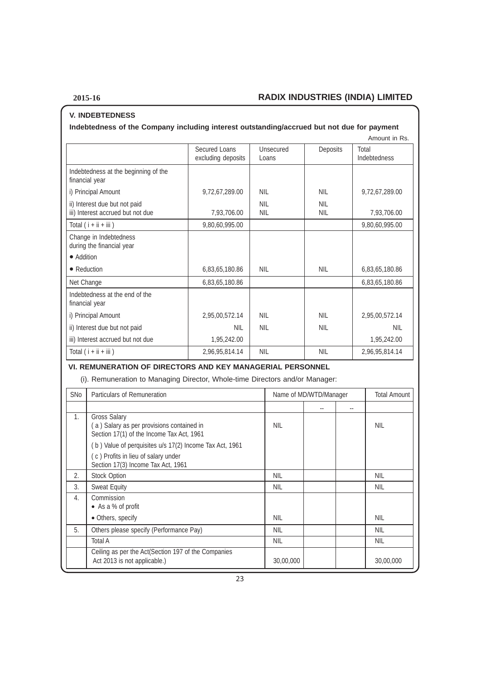# **V. INDEBTEDNESS**

# **Indebtedness of the Company including interest outstanding/accrued but not due for payment**

|                                     |                          |                          | Amount in Rs.                |
|-------------------------------------|--------------------------|--------------------------|------------------------------|
| Secured Loans<br>excluding deposits | Unsecured<br>Loans       | Deposits                 | Total<br><b>Indebtedness</b> |
|                                     |                          |                          |                              |
| 9,72,67,289.00                      | <b>NIL</b>               | <b>NIL</b>               | 9,72,67,289.00               |
| 7,93,706.00                         | <b>NIL</b><br><b>NIL</b> | <b>NIL</b><br><b>NIL</b> | 7,93,706.00                  |
| 9,80,60,995.00                      |                          |                          | 9,80,60,995.00               |
|                                     |                          |                          |                              |
| 6,83,65,180.86                      | <b>NIL</b>               | <b>NIL</b>               | 6,83,65,180.86               |
| 6,83,65,180.86                      |                          |                          | 6,83,65,180.86               |
|                                     |                          |                          |                              |
| 2,95,00,572.14                      | <b>NIL</b>               | <b>NIL</b>               | 2,95,00,572.14               |
| <b>NIL</b>                          | <b>NIL</b>               | <b>NIL</b>               | <b>NIL</b>                   |
| 1,95,242.00                         |                          |                          | 1,95,242.00                  |
| 2,96,95,814.14                      | <b>NIL</b>               | <b>NIL</b>               | 2,96,95,814.14               |
|                                     |                          |                          |                              |

# **VI. REMUNERATION OF DIRECTORS AND KEY MANAGERIAL PERSONNEL**

(i). Remuneration to Managing Director, Whole-time Directors and/or Manager:

| <b>SNo</b> | Particulars of Remuneration                                                                                   | Name of MD/WTD/Manager | <b>Total Amount</b> |            |
|------------|---------------------------------------------------------------------------------------------------------------|------------------------|---------------------|------------|
|            |                                                                                                               |                        |                     |            |
| 1.         | <b>Gross Salary</b><br>(a) Salary as per provisions contained in<br>Section 17(1) of the Income Tax Act, 1961 | NIL                    |                     | NIL        |
|            | (b) Value of perquisites u/s 17(2) Income Tax Act, 1961                                                       |                        |                     |            |
|            | (c) Profits in lieu of salary under<br>Section 17(3) Income Tax Act, 1961                                     |                        |                     |            |
| 2.         | <b>Stock Option</b>                                                                                           | <b>NIL</b>             |                     | <b>NIL</b> |
| 3.         | <b>Sweat Equity</b>                                                                                           | NIL                    |                     | NIL        |
| 4.         | Commission<br>• As a % of profit                                                                              |                        |                     |            |
|            | • Others, specify                                                                                             | NIL                    |                     | NIL        |
| 5.         | Others please specify (Performance Pay)                                                                       | <b>NIL</b>             |                     | NIL        |
|            | <b>Total A</b>                                                                                                | <b>NIL</b>             |                     | NIL        |
|            | Ceiling as per the Act(Section 197 of the Companies<br>Act 2013 is not applicable.)                           | 30,00,000              |                     | 30,00,000  |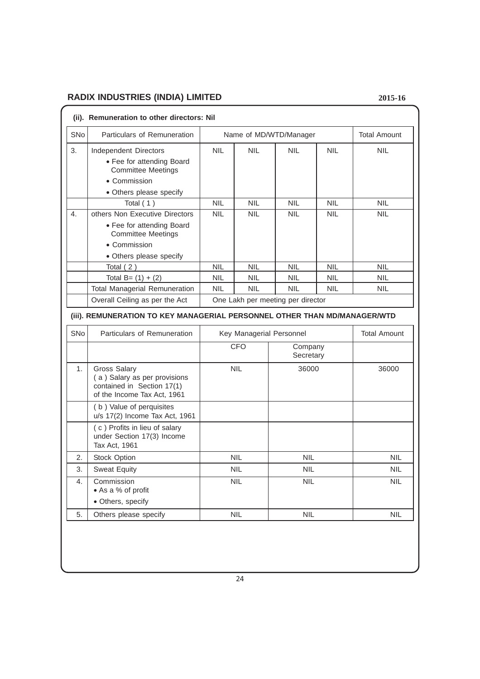**2015-16**

| SNo | Particulars of Remuneration                                                                                                         |                          |            | Name of MD/WTD/Manager            |            | <b>Total Amount</b>                    |
|-----|-------------------------------------------------------------------------------------------------------------------------------------|--------------------------|------------|-----------------------------------|------------|----------------------------------------|
| 3.  | Independent Directors<br>• Fee for attending Board<br><b>Committee Meetings</b><br>• Commission<br>• Others please specify          | <b>NIL</b>               | <b>NIL</b> | <b>NIL</b>                        | <b>NIL</b> | <b>NIL</b>                             |
|     | Total $(1)$                                                                                                                         | <b>NIL</b>               | <b>NIL</b> | <b>NIL</b>                        | <b>NIL</b> | <b>NIL</b>                             |
| 4.  | others Non Executive Directors<br>• Fee for attending Board<br><b>Committee Meetings</b><br>• Commission<br>• Others please specify | <b>NIL</b>               | <b>NIL</b> | <b>NIL</b>                        | <b>NIL</b> | <b>NIL</b>                             |
|     | Total $(2)$                                                                                                                         | <b>NIL</b>               | <b>NIL</b> | <b>NIL</b>                        | <b>NIL</b> | <b>NIL</b>                             |
|     | Total B= $(1) + (2)$                                                                                                                | <b>NIL</b>               | <b>NIL</b> | <b>NIL</b>                        | <b>NIL</b> | <b>NIL</b>                             |
|     | <b>Total Managerial Remuneration</b>                                                                                                | <b>NIL</b>               | <b>NIL</b> | <b>NIL</b>                        | <b>NIL</b> | <b>NIL</b>                             |
|     | Overall Ceiling as per the Act                                                                                                      |                          |            | One Lakh per meeting per director |            |                                        |
|     | (iii). REMUNERATION TO KEY MANAGERIAL PERSONNEL OTHER THAN MD/MANAGER/WTD                                                           |                          |            |                                   |            |                                        |
| SNo | Particulars of Remuneration                                                                                                         | Key Managerial Personnel |            |                                   |            | <b>Total Amount</b>                    |
|     |                                                                                                                                     |                          | <b>CFO</b> | Company<br>Secretary              |            |                                        |
|     |                                                                                                                                     | <b>NIL</b>               |            |                                   |            |                                        |
| 1.  | <b>Gross Salary</b><br>(a) Salary as per provisions<br>contained in Section 17(1)<br>of the Income Tax Act, 1961                    |                          |            | 36000                             |            | 36000                                  |
|     | (b) Value of perquisites<br>u/s 17(2) Income Tax Act, 1961                                                                          |                          |            |                                   |            |                                        |
|     | (c) Profits in lieu of salary<br>under Section 17(3) Income<br>Tax Act, 1961                                                        |                          |            |                                   |            |                                        |
| 2.  | Stock Option                                                                                                                        |                          | <b>NIL</b> | <b>NIL</b>                        |            | <b>NIL</b>                             |
| 3.  | <b>Sweat Equity</b>                                                                                                                 |                          | <b>NIL</b> | <b>NIL</b>                        |            |                                        |
| 4.  | Commission<br>• As a % of profit                                                                                                    |                          | <b>NIL</b> | <b>NIL</b>                        |            |                                        |
| 5.  | · Others, specify<br>Others please specify                                                                                          |                          | <b>NIL</b> | <b>NIL</b>                        |            | <b>NIL</b><br><b>NIL</b><br><b>NIL</b> |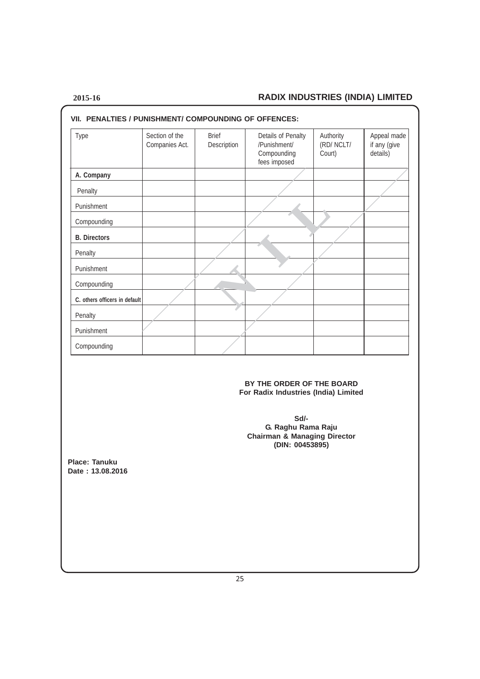| <b>Type</b>                   | Section of the<br>Companies Act. | <b>Brief</b><br>Description | Details of Penalty<br>/Punishment/<br>Compounding<br>fees imposed | Authority<br>(RD/NCLT/<br>Court) | Appeal made<br>if any (give<br>details) |
|-------------------------------|----------------------------------|-----------------------------|-------------------------------------------------------------------|----------------------------------|-----------------------------------------|
| A. Company                    |                                  |                             |                                                                   |                                  |                                         |
| Penalty                       |                                  |                             |                                                                   |                                  |                                         |
| Punishment                    |                                  |                             |                                                                   |                                  |                                         |
| Compounding                   |                                  |                             |                                                                   |                                  |                                         |
| <b>B.</b> Directors           |                                  |                             |                                                                   |                                  |                                         |
| Penalty                       |                                  |                             |                                                                   |                                  |                                         |
| Punishment                    |                                  |                             |                                                                   |                                  |                                         |
| Compounding                   |                                  |                             |                                                                   |                                  |                                         |
| C. others officers in default |                                  |                             |                                                                   |                                  |                                         |
| Penalty                       |                                  |                             |                                                                   |                                  |                                         |
| Punishment                    |                                  |                             |                                                                   |                                  |                                         |
| Compounding                   |                                  |                             |                                                                   |                                  |                                         |

**BY THE ORDER OF THE BOARD For Radix Industries (India) Limited**

**Sd/- G. Raghu Rama Raju Chairman & Managing Director (DIN: 00453895)**

**Place: Tanuku Date : 13.08.2016**

25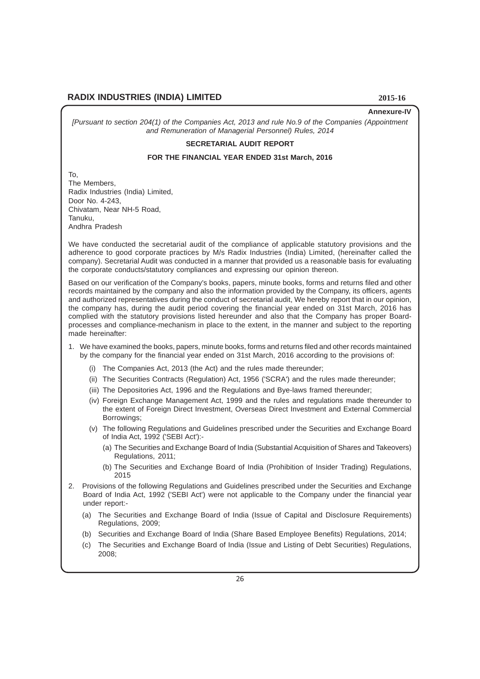# **2015-16**

# **Annexure-IV**

*[Pursuant to section 204(1) of the Companies Act, 2013 and rule No.9 of the Companies (Appointment and Remuneration of Managerial Personnel) Rules, 2014*

# **SECRETARIAL AUDIT REPORT**

# **FOR THE FINANCIAL YEAR ENDED 31st March, 2016**

To, The Members, Radix Industries (India) Limited, Door No. 4-243, Chivatam, Near NH-5 Road, Tanuku, Andhra Pradesh

We have conducted the secretarial audit of the compliance of applicable statutory provisions and the adherence to good corporate practices by M/s Radix Industries (India) Limited, (hereinafter called the company). Secretarial Audit was conducted in a manner that provided us a reasonable basis for evaluating the corporate conducts/statutory compliances and expressing our opinion thereon.

Based on our verification of the Company's books, papers, minute books, forms and returns filed and other records maintained by the company and also the information provided by the Company, its officers, agents and authorized representatives during the conduct of secretarial audit, We hereby report that in our opinion, the company has, during the audit period covering the financial year ended on 31st March, 2016 has complied with the statutory provisions listed hereunder and also that the Company has proper Boardprocesses and compliance-mechanism in place to the extent, in the manner and subject to the reporting made hereinafter:

- 1. We have examined the books, papers, minute books, forms and returns filed and other records maintained by the company for the financial year ended on 31st March, 2016 according to the provisions of:
	- (i) The Companies Act, 2013 (the Act) and the rules made thereunder;
	- (ii) The Securities Contracts (Regulation) Act, 1956 ('SCRA') and the rules made thereunder;
	- (iii) The Depositories Act, 1996 and the Regulations and Bye-laws framed thereunder;
	- (iv) Foreign Exchange Management Act, 1999 and the rules and regulations made thereunder to the extent of Foreign Direct Investment, Overseas Direct Investment and External Commercial Borrowings;
	- (v) The following Regulations and Guidelines prescribed under the Securities and Exchange Board of India Act, 1992 ('SEBI Act'):-
		- (a) The Securities and Exchange Board of India (Substantial Acquisition of Shares and Takeovers) Regulations, 2011;
		- (b) The Securities and Exchange Board of India (Prohibition of Insider Trading) Regulations, 2015
- 2. Provisions of the following Regulations and Guidelines prescribed under the Securities and Exchange Board of India Act, 1992 ('SEBI Act') were not applicable to the Company under the financial year under report:-
	- (a) The Securities and Exchange Board of India (Issue of Capital and Disclosure Requirements) Regulations, 2009;
	- (b) Securities and Exchange Board of India (Share Based Employee Benefits) Regulations, 2014;
	- (c) The Securities and Exchange Board of India (Issue and Listing of Debt Securities) Regulations,  $2008$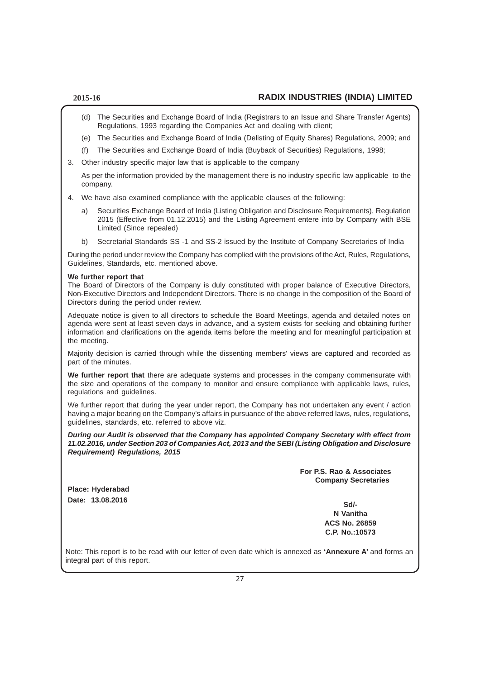- (d) The Securities and Exchange Board of India (Registrars to an Issue and Share Transfer Agents) Regulations, 1993 regarding the Companies Act and dealing with client;
- (e) The Securities and Exchange Board of India (Delisting of Equity Shares) Regulations, 2009; and
- (f) The Securities and Exchange Board of India (Buyback of Securities) Regulations, 1998;
- 3. Other industry specific major law that is applicable to the company

As per the information provided by the management there is no industry specific law applicable to the company.

- 4. We have also examined compliance with the applicable clauses of the following:
	- a) Securities Exchange Board of India (Listing Obligation and Disclosure Requirements), Regulation 2015 (Effective from 01.12.2015) and the Listing Agreement entere into by Company with BSE Limited (Since repealed)
	- b) Secretarial Standards SS -1 and SS-2 issued by the Institute of Company Secretaries of India

During the period under review the Company has complied with the provisions of the Act, Rules, Regulations, Guidelines, Standards, etc. mentioned above.

#### **We further report that**

The Board of Directors of the Company is duly constituted with proper balance of Executive Directors, Non-Executive Directors and Independent Directors. There is no change in the composition of the Board of Directors during the period under review.

Adequate notice is given to all directors to schedule the Board Meetings, agenda and detailed notes on agenda were sent at least seven days in advance, and a system exists for seeking and obtaining further information and clarifications on the agenda items before the meeting and for meaningful participation at the meeting.

Majority decision is carried through while the dissenting members' views are captured and recorded as part of the minutes.

**We further report that** there are adequate systems and processes in the company commensurate with the size and operations of the company to monitor and ensure compliance with applicable laws, rules, regulations and guidelines.

We further report that during the year under report, the Company has not undertaken any event / action having a major bearing on the Company's affairs in pursuance of the above referred laws, rules, regulations, guidelines, standards, etc. referred to above viz.

*During our Audit is observed that the Company has appointed Company Secretary with effect from 11.02.2016, under Section 203 of Companies Act, 2013 and the SEBI (Listing Obligation and Disclosure Requirement) Regulations, 2015*

> **For P.S. Rao & Associates Company Secretaries**

**Place: Hyderabad Date: 13.08.2016 Sd/-**

**N Vanitha ACS No. 26859 C.P. No.:10573**

Note: This report is to be read with our letter of even date which is annexed as **'Annexure A'** and forms an integral part of this report.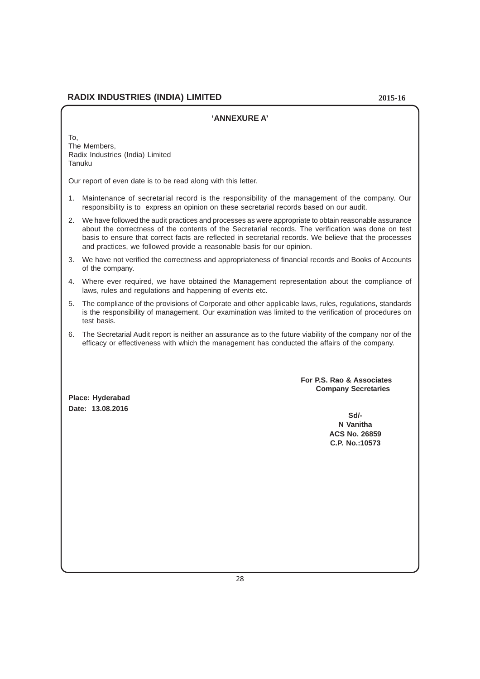# **'ANNEXURE A'**

To, The Members, Radix Industries (India) Limited Tanuku

Our report of even date is to be read along with this letter.

- 1. Maintenance of secretarial record is the responsibility of the management of the company. Our responsibility is to express an opinion on these secretarial records based on our audit.
- 2. We have followed the audit practices and processes as were appropriate to obtain reasonable assurance about the correctness of the contents of the Secretarial records. The verification was done on test basis to ensure that correct facts are reflected in secretarial records. We believe that the processes and practices, we followed provide a reasonable basis for our opinion.
- 3. We have not verified the correctness and appropriateness of financial records and Books of Accounts of the company.
- 4. Where ever required, we have obtained the Management representation about the compliance of laws, rules and regulations and happening of events etc.
- 5. The compliance of the provisions of Corporate and other applicable laws, rules, regulations, standards is the responsibility of management. Our examination was limited to the verification of procedures on test basis.
- 6. The Secretarial Audit report is neither an assurance as to the future viability of the company nor of the efficacy or effectiveness with which the management has conducted the affairs of the company.

**For P.S. Rao & Associates Company Secretaries**

**Place: Hyderabad Date: 13.08.2016**

**Sd/- N Vanitha ACS No. 26859 C.P. No.:10573**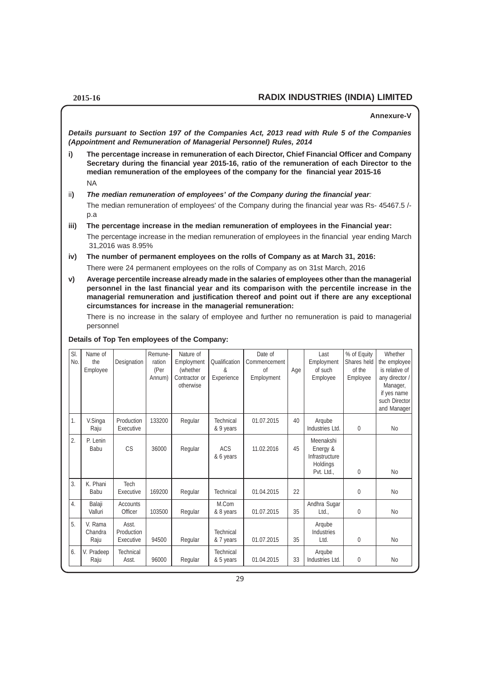#### **Annexure-V**

*Details pursuant to Section 197 of the Companies Act, 2013 read with Rule 5 of the Companies (Appointment and Remuneration of Managerial Personnel) Rules, 2014*

- **i) The percentage increase in remuneration of each Director, Chief Financial Officer and Company Secretary during the financial year 2015-16, ratio of the remuneration of each Director to the median remuneration of the employees of the company for the financial year 2015-16** NA
- ii**)** *The median remuneration of employees' of the Company during the financial year:* The median remuneration of employees' of the Company during the financial year was Rs- 45467.5 / p.a
- **iii) The percentage increase in the median remuneration of employees in the Financial year:** The percentage increase in the median remuneration of employees in the financial year ending March 31,2016 was 8.95%
- **iv) The number of permanent employees on the rolls of Company as at March 31, 2016:** There were 24 permanent employees on the rolls of Company as on 31st March, 2016
- **v) Average percentile increase already made in the salaries of employees other than the managerial personnel in the last financial year and its comparison with the percentile increase in the managerial remuneration and justification thereof and point out if there are any exceptional circumstances for increase in the managerial remuneration:**

There is no increase in the salary of employee and further no remuneration is paid to managerial personnel

|  |  | Details of Top Ten employees of the Company: |  |  |  |
|--|--|----------------------------------------------|--|--|--|
|--|--|----------------------------------------------|--|--|--|

| SI.<br>No.       | Name of<br>the<br>Employee | Designation                      | Remune-<br>ration<br>(Per<br>Annum) | Nature of<br>Employment<br>(whether<br>Contractor or<br>otherwise | Qualification<br>&<br>Experience | Date of<br>Commencement<br><sup>of</sup><br>Employment | Age | Last<br>Employment<br>of such<br>Employee                         | % of Equity<br>Shares held<br>of the<br>Employee | Whether<br>the employee<br>is relative of<br>any director /<br>Manager,<br>if yes name<br>such Director<br>and Manager |
|------------------|----------------------------|----------------------------------|-------------------------------------|-------------------------------------------------------------------|----------------------------------|--------------------------------------------------------|-----|-------------------------------------------------------------------|--------------------------------------------------|------------------------------------------------------------------------------------------------------------------------|
| 1.               | V.Singa<br>Raju            | Production<br>Executive          | 133200                              | Regular                                                           | Technical<br>& 9 years           | 01.07.2015                                             | 40  | Arqube<br>Industries Ltd.                                         | $\mathbf{0}$                                     | N <sub>0</sub>                                                                                                         |
| 2.               | P. Lenin<br>Babu           | <b>CS</b>                        | 36000                               | Regular                                                           | <b>ACS</b><br>& 6 years          | 11.02.2016                                             | 45  | Meenakshi<br>Energy &<br>Infrastructure<br>Holdings<br>Pvt. Ltd., | 0                                                | N <sub>0</sub>                                                                                                         |
| $\overline{3}$ . | K. Phani<br>Babu           | Tech<br>Executive                | 169200                              | Regular                                                           | Technical                        | 01.04.2015                                             | 22  |                                                                   | $\theta$                                         | N <sub>0</sub>                                                                                                         |
| $\overline{4}$ . | Balaji<br>Valluri          | <b>Accounts</b><br>Officer       | 103500                              | Regular                                                           | M.Com<br>& 8 years               | 01.07.2015                                             | 35  | Andhra Sugar<br>Ltd.                                              | $\theta$                                         | N <sub>0</sub>                                                                                                         |
| 5.               | V. Rama<br>Chandra<br>Raju | Asst.<br>Production<br>Executive | 94500                               | Regular                                                           | Technical<br>& 7 years           | 01.07.2015                                             | 35  | Arqube<br>Industries<br>Ltd.                                      | $\theta$                                         | N <sub>0</sub>                                                                                                         |
| 6.               | V. Pradeep<br>Raju         | Technical<br>Asst.               | 96000                               | Regular                                                           | Technical<br>& 5 years           | 01.04.2015                                             | 33  | Arqube<br>Industries Ltd.                                         | 0                                                | No                                                                                                                     |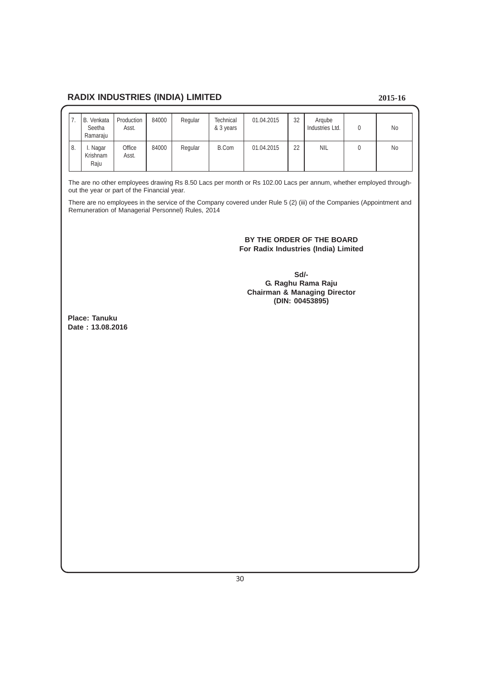**2015-16**

|    | B. Venkata<br>Seetha<br>Ramaraju | Production<br>Asst. | 84000 | Regular | Technical<br>& 3 years | 01.04.2015 | 32 | Argube<br>Industries Ltd. | N <sub>0</sub> |
|----|----------------------------------|---------------------|-------|---------|------------------------|------------|----|---------------------------|----------------|
| 8. | Nagar<br>Krishnam<br>Raju        | Office<br>Asst.     | 84000 | Regular | B.Com                  | 01.04.2015 | 22 | <b>NIL</b>                | N <sub>0</sub> |

The are no other employees drawing Rs 8.50 Lacs per month or Rs 102.00 Lacs per annum, whether employed throughout the year or part of the Financial year.

There are no employees in the service of the Company covered under Rule 5 (2) (iii) of the Companies (Appointment and Remuneration of Managerial Personnel) Rules, 2014

# **BY THE ORDER OF THE BOARD For Radix Industries (India) Limited**

**Sd/- G. Raghu Rama Raju Chairman & Managing Director (DIN: 00453895)**

**Place: Tanuku Date : 13.08.2016**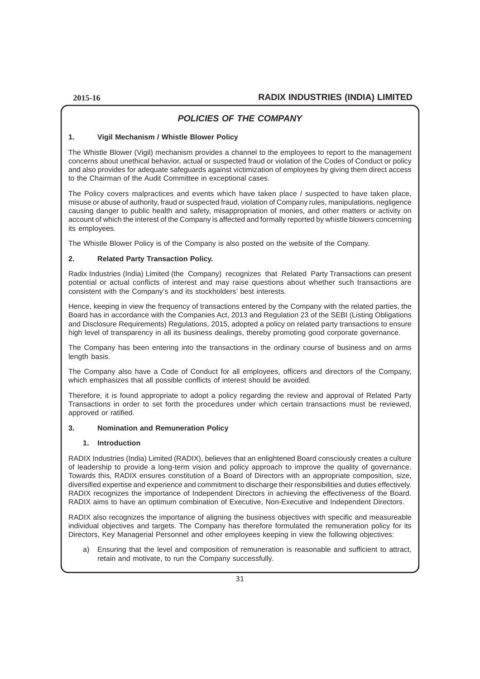# *POLICIES OF THE COMPANY*

# **1. Vigil Mechanism / Whistle Blower Policy**

The Whistle Blower (Vigil) mechanism provides a channel to the employees to report to the management concerns about unethical behavior, actual or suspected fraud or violation of the Codes of Conduct or policy and also provides for adequate safeguards against victimization of employees by giving them direct access to the Chairman of the Audit Committee in exceptional cases.

The Policy covers malpractices and events which have taken place / suspected to have taken place, misuse or abuse of authority, fraud or suspected fraud, violation of Company rules, manipulations, negligence causing danger to public health and safety, misappropriation of monies, and other matters or activity on account of which the interest of the Company is affected and formally reported by whistle blowers concerning its employees.

The Whistle Blower Policy is of the Company is also posted on the website of the Company.

# **2. Related Party Transaction Policy.**

Radix Industries (India) Limited (the Company) recognizes that Related Party Transactions can present potential or actual conflicts of interest and may raise questions about whether such transactions are consistent with the Company's and its stockholders' best interests.

Hence, keeping in view the frequency of transactions entered by the Company with the related parties, the Board has in accordance with the Companies Act, 2013 and Regulation 23 of the SEBI (Listing Obligations and Disclosure Requirements) Regulations, 2015, adopted a policy on related party transactions to ensure high level of transparency in all its business dealings, thereby promoting good corporate governance.

The Company has been entering into the transactions in the ordinary course of business and on arms length basis.

The Company also have a Code of Conduct for all employees, officers and directors of the Company, which emphasizes that all possible conflicts of interest should be avoided.

Therefore, it is found appropriate to adopt a policy regarding the review and approval of Related Party Transactions in order to set forth the procedures under which certain transactions must be reviewed, approved or ratified.

# **3. Nomination and Remuneration Policy**

# **1. Introduction**

RADIX Industries (India) Limited (RADIX), believes that an enlightened Board consciously creates a culture of leadership to provide a long-term vision and policy approach to improve the quality of governance. Towards this, RADIX ensures constitution of a Board of Directors with an appropriate composition, size, diversified expertise and experience and commitment to discharge their responsibilities and duties effectively. RADIX recognizes the importance of Independent Directors in achieving the effectiveness of the Board. RADIX aims to have an optimum combination of Executive, Non-Executive and Independent Directors.

RADIX also recognizes the importance of aligning the business objectives with specific and measureable individual objectives and targets. The Company has therefore formulated the remuneration policy for its Directors, Key Managerial Personnel and other employees keeping in view the following objectives:

a) Ensuring that the level and composition of remuneration is reasonable and sufficient to attract, retain and motivate, to run the Company successfully.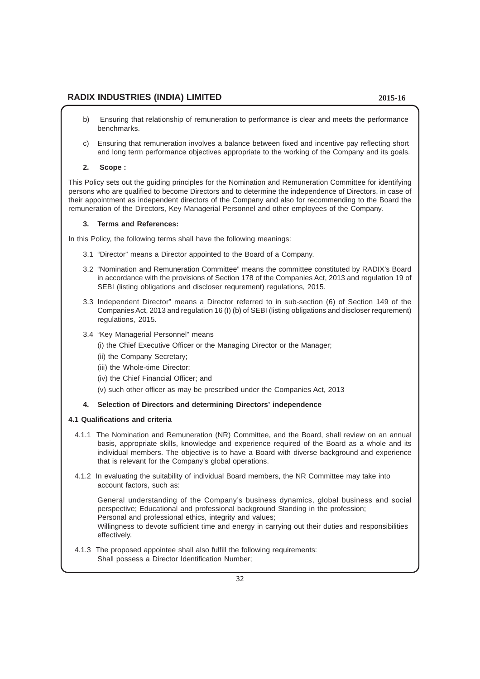- b) Ensuring that relationship of remuneration to performance is clear and meets the performance benchmarks.
- c) Ensuring that remuneration involves a balance between fixed and incentive pay reflecting short and long term performance objectives appropriate to the working of the Company and its goals.

# **2. Scope :**

This Policy sets out the guiding principles for the Nomination and Remuneration Committee for identifying persons who are qualified to become Directors and to determine the independence of Directors, in case of their appointment as independent directors of the Company and also for recommending to the Board the remuneration of the Directors, Key Managerial Personnel and other employees of the Company.

# **3. Terms and References:**

In this Policy, the following terms shall have the following meanings:

- 3.1 "Director" means a Director appointed to the Board of a Company.
- 3.2 "Nomination and Remuneration Committee" means the committee constituted by RADIX's Board in accordance with the provisions of Section 178 of the Companies Act, 2013 and regulation 19 of SEBI (listing obligations and discloser requrement) regulations, 2015.
- 3.3 Independent Director" means a Director referred to in sub-section (6) of Section 149 of the Companies Act, 2013 and regulation 16 (I) (b) of SEBI (listing obligations and discloser requrement) regulations, 2015.
- 3.4 "Key Managerial Personnel" means
	- (i) the Chief Executive Officer or the Managing Director or the Manager;
	- (ii) the Company Secretary;
	- (iii) the Whole-time Director;
	- (iv) the Chief Financial Officer; and
	- (v) such other officer as may be prescribed under the Companies Act, 2013

# **4. Selection of Directors and determining Directors' independence**

# **4.1 Qualifications and criteria**

- 4.1.1 The Nomination and Remuneration (NR) Committee, and the Board, shall review on an annual basis, appropriate skills, knowledge and experience required of the Board as a whole and its individual members. The objective is to have a Board with diverse background and experience that is relevant for the Company's global operations.
- 4.1.2 In evaluating the suitability of individual Board members, the NR Committee may take into account factors, such as:

General understanding of the Company's business dynamics, global business and social perspective; Educational and professional background Standing in the profession; Personal and professional ethics, integrity and values; Willingness to devote sufficient time and energy in carrying out their duties and responsibilities effectively.

4.1.3 The proposed appointee shall also fulfill the following requirements: Shall possess a Director Identification Number;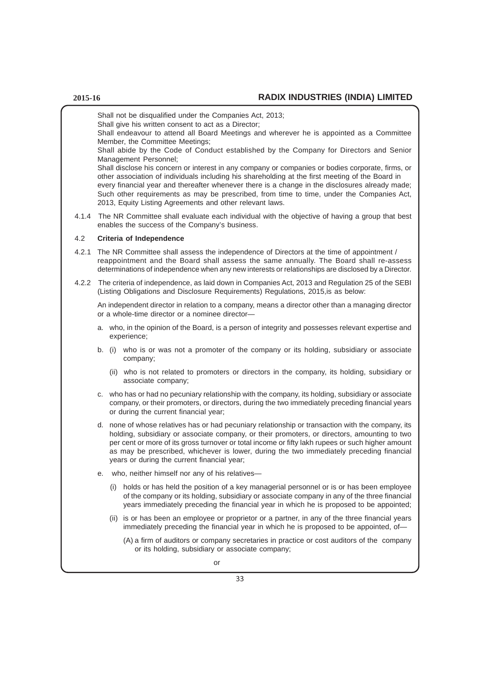Shall not be disqualified under the Companies Act, 2013;

Shall give his written consent to act as a Director;

Shall endeavour to attend all Board Meetings and wherever he is appointed as a Committee Member, the Committee Meetings;

Shall abide by the Code of Conduct established by the Company for Directors and Senior Management Personnel;

Shall disclose his concern or interest in any company or companies or bodies corporate, firms, or other association of individuals including his shareholding at the first meeting of the Board in every financial year and thereafter whenever there is a change in the disclosures already made; Such other requirements as may be prescribed, from time to time, under the Companies Act, 2013, Equity Listing Agreements and other relevant laws.

4.1.4 The NR Committee shall evaluate each individual with the objective of having a group that best enables the success of the Company's business.

# 4.2 **Criteria of Independence**

- 4.2.1 The NR Committee shall assess the independence of Directors at the time of appointment / reappointment and the Board shall assess the same annually. The Board shall re-assess determinations of independence when any new interests or relationships are disclosed by a Director.
- 4.2.2 The criteria of independence, as laid down in Companies Act, 2013 and Regulation 25 of the SEBI (Listing Obligations and Disclosure Requirements) Regulations, 2015,is as below:

An independent director in relation to a company, means a director other than a managing director or a whole-time director or a nominee director—

- a. who, in the opinion of the Board, is a person of integrity and possesses relevant expertise and experience;
- b. (i) who is or was not a promoter of the company or its holding, subsidiary or associate company;
	- (ii) who is not related to promoters or directors in the company, its holding, subsidiary or associate company;
- c. who has or had no pecuniary relationship with the company, its holding, subsidiary or associate company, or their promoters, or directors, during the two immediately preceding financial years or during the current financial year;
- d. none of whose relatives has or had pecuniary relationship or transaction with the company, its holding, subsidiary or associate company, or their promoters, or directors, amounting to two per cent or more of its gross turnover or total income or fifty lakh rupees or such higher amount as may be prescribed, whichever is lower, during the two immediately preceding financial years or during the current financial year;
- e. who, neither himself nor any of his relatives—
	- (i) holds or has held the position of a key managerial personnel or is or has been employee of the company or its holding, subsidiary or associate company in any of the three financial years immediately preceding the financial year in which he is proposed to be appointed;
	- (ii) is or has been an employee or proprietor or a partner, in any of the three financial years immediately preceding the financial year in which he is proposed to be appointed, of—
		- (A) a firm of auditors or company secretaries in practice or cost auditors of the company or its holding, subsidiary or associate company;

or

33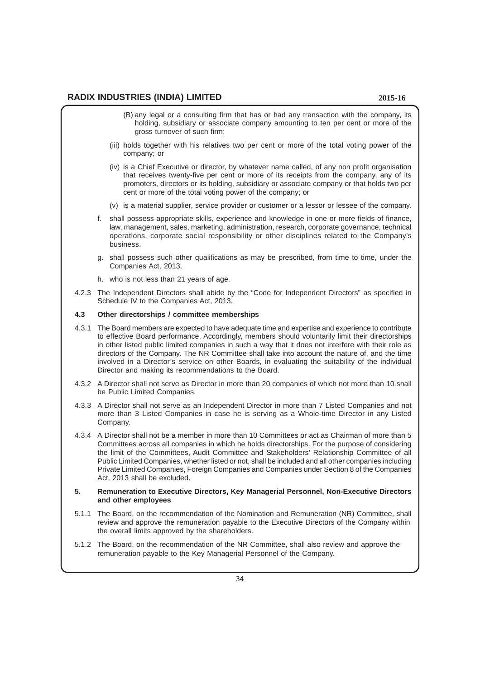- (B) any legal or a consulting firm that has or had any transaction with the company, its holding, subsidiary or associate company amounting to ten per cent or more of the gross turnover of such firm;
- (iii) holds together with his relatives two per cent or more of the total voting power of the company; or
- (iv) is a Chief Executive or director, by whatever name called, of any non profit organisation that receives twenty-five per cent or more of its receipts from the company, any of its promoters, directors or its holding, subsidiary or associate company or that holds two per cent or more of the total voting power of the company; or
- (v) is a material supplier, service provider or customer or a lessor or lessee of the company.
- f. shall possess appropriate skills, experience and knowledge in one or more fields of finance, law, management, sales, marketing, administration, research, corporate governance, technical operations, corporate social responsibility or other disciplines related to the Company's business.
- g. shall possess such other qualifications as may be prescribed, from time to time, under the Companies Act, 2013.
- h. who is not less than 21 years of age.
- 4.2.3 The Independent Directors shall abide by the "Code for Independent Directors" as specified in Schedule IV to the Companies Act, 2013.

#### **4.3 Other directorships / committee memberships**

- 4.3.1 The Board members are expected to have adequate time and expertise and experience to contribute to effective Board performance. Accordingly, members should voluntarily limit their directorships in other listed public limited companies in such a way that it does not interfere with their role as directors of the Company. The NR Committee shall take into account the nature of, and the time involved in a Director's service on other Boards, in evaluating the suitability of the individual Director and making its recommendations to the Board.
- 4.3.2 A Director shall not serve as Director in more than 20 companies of which not more than 10 shall be Public Limited Companies.
- 4.3.3 A Director shall not serve as an Independent Director in more than 7 Listed Companies and not more than 3 Listed Companies in case he is serving as a Whole-time Director in any Listed Company.
- 4.3.4 A Director shall not be a member in more than 10 Committees or act as Chairman of more than 5 Committees across all companies in which he holds directorships. For the purpose of considering the limit of the Committees, Audit Committee and Stakeholders' Relationship Committee of all Public Limited Companies, whether listed or not, shall be included and all other companies including Private Limited Companies, Foreign Companies and Companies under Section 8 of the Companies Act, 2013 shall be excluded.

#### **5. Remuneration to Executive Directors, Key Managerial Personnel, Non-Executive Directors and other employees**

- 5.1.1 The Board, on the recommendation of the Nomination and Remuneration (NR) Committee, shall review and approve the remuneration payable to the Executive Directors of the Company within the overall limits approved by the shareholders.
- 5.1.2 The Board, on the recommendation of the NR Committee, shall also review and approve the remuneration payable to the Key Managerial Personnel of the Company.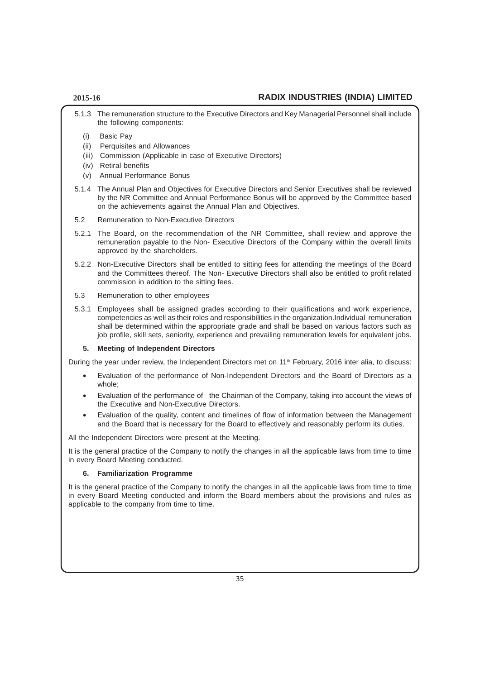- 5.1.3 The remuneration structure to the Executive Directors and Key Managerial Personnel shall include the following components:
	- (i) Basic Pay
	- (ii) Perquisites and Allowances
	- (iii) Commission (Applicable in case of Executive Directors)
	- (iv) Retiral benefits
	- (v) Annual Performance Bonus
- 5.1.4 The Annual Plan and Objectives for Executive Directors and Senior Executives shall be reviewed by the NR Committee and Annual Performance Bonus will be approved by the Committee based on the achievements against the Annual Plan and Objectives.
- 5.2 Remuneration to Non-Executive Directors
- 5.2.1 The Board, on the recommendation of the NR Committee, shall review and approve the remuneration payable to the Non- Executive Directors of the Company within the overall limits approved by the shareholders.
- 5.2.2 Non-Executive Directors shall be entitled to sitting fees for attending the meetings of the Board and the Committees thereof. The Non- Executive Directors shall also be entitled to profit related commission in addition to the sitting fees.
- 5.3 Remuneration to other employees
- 5.3.1 Employees shall be assigned grades according to their qualifications and work experience, competencies as well as their roles and responsibilities in the organization.Individual remuneration shall be determined within the appropriate grade and shall be based on various factors such as job profile, skill sets, seniority, experience and prevailing remuneration levels for equivalent jobs.

#### **5. Meeting of Independent Directors**

During the year under review, the Independent Directors met on 11<sup>th</sup> February, 2016 inter alia, to discuss:

- Evaluation of the performance of Non-Independent Directors and the Board of Directors as a whole;
- Evaluation of the performance of the Chairman of the Company, taking into account the views of the Executive and Non-Executive Directors.
- Evaluation of the quality, content and timelines of flow of information between the Management and the Board that is necessary for the Board to effectively and reasonably perform its duties.

All the Independent Directors were present at the Meeting.

It is the general practice of the Company to notify the changes in all the applicable laws from time to time in every Board Meeting conducted.

### **6. Familiarization Programme**

It is the general practice of the Company to notify the changes in all the applicable laws from time to time in every Board Meeting conducted and inform the Board members about the provisions and rules as applicable to the company from time to time.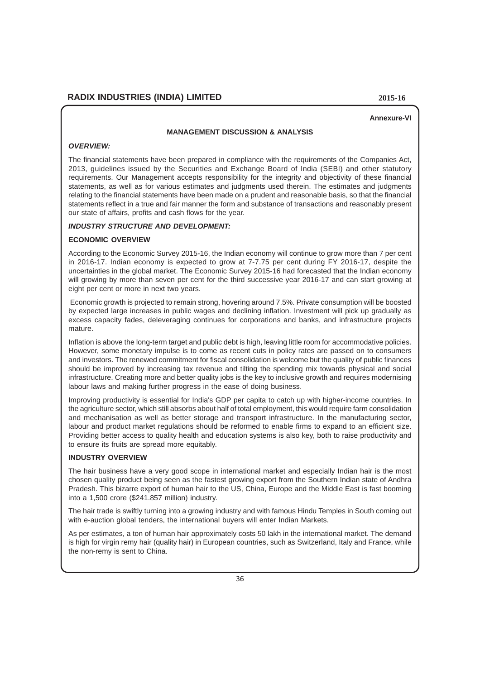#### **Annexure-VI**

#### **MANAGEMENT DISCUSSION & ANALYSIS**

# *OVERVIEW:*

The financial statements have been prepared in compliance with the requirements of the Companies Act, 2013, guidelines issued by the Securities and Exchange Board of India (SEBI) and other statutory requirements. Our Management accepts responsibility for the integrity and objectivity of these financial statements, as well as for various estimates and judgments used therein. The estimates and judgments relating to the financial statements have been made on a prudent and reasonable basis, so that the financial statements reflect in a true and fair manner the form and substance of transactions and reasonably present our state of affairs, profits and cash flows for the year.

# *INDUSTRY STRUCTURE AND DEVELOPMENT:*

#### **ECONOMIC OVERVIEW**

According to the Economic Survey 2015-16, the Indian economy will continue to grow more than 7 per cent in 2016-17. Indian economy is expected to grow at 7-7.75 per cent during FY 2016-17, despite the uncertainties in the global market. The Economic Survey 2015-16 had forecasted that the Indian economy will growing by more than seven per cent for the third successive year 2016-17 and can start growing at eight per cent or more in next two years.

 Economic growth is projected to remain strong, hovering around 7.5%. Private consumption will be boosted by expected large increases in public wages and declining inflation. Investment will pick up gradually as excess capacity fades, deleveraging continues for corporations and banks, and infrastructure projects mature.

Inflation is above the long-term target and public debt is high, leaving little room for accommodative policies. However, some monetary impulse is to come as recent cuts in policy rates are passed on to consumers and investors. The renewed commitment for fiscal consolidation is welcome but the quality of public finances should be improved by increasing tax revenue and tilting the spending mix towards physical and social infrastructure. Creating more and better quality jobs is the key to inclusive growth and requires modernising labour laws and making further progress in the ease of doing business.

Improving productivity is essential for India's GDP per capita to catch up with higher-income countries. In the agriculture sector, which still absorbs about half of total employment, this would require farm consolidation and mechanisation as well as better storage and transport infrastructure. In the manufacturing sector, labour and product market regulations should be reformed to enable firms to expand to an efficient size. Providing better access to quality health and education systems is also key, both to raise productivity and to ensure its fruits are spread more equitably.

# **INDUSTRY OVERVIEW**

The hair business have a very good scope in international market and especially Indian hair is the most chosen quality product being seen as the fastest growing export from the Southern Indian state of Andhra Pradesh. This bizarre export of human hair to the US, China, Europe and the Middle East is fast booming into a 1,500 crore (\$241.857 million) industry.

The hair trade is swiftly turning into a growing industry and with famous Hindu Temples in South coming out with e-auction global tenders, the international buyers will enter Indian Markets.

As per estimates, a ton of human hair approximately costs 50 lakh in the international market. The demand is high for virgin remy hair (quality hair) in European countries, such as Switzerland, Italy and France, while the non-remy is sent to China.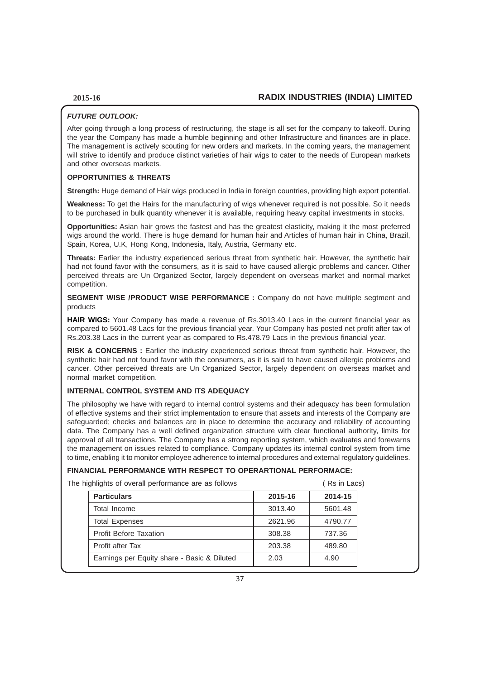#### *FUTURE OUTLOOK:*

After going through a long process of restructuring, the stage is all set for the company to takeoff. During the year the Company has made a humble beginning and other Infrastructure and finances are in place. The management is actively scouting for new orders and markets. In the coming years, the management will strive to identify and produce distinct varieties of hair wigs to cater to the needs of European markets and other overseas markets.

# **OPPORTUNITIES & THREATS**

**Strength:** Huge demand of Hair wigs produced in India in foreign countries, providing high export potential.

**Weakness:** To get the Hairs for the manufacturing of wigs whenever required is not possible. So it needs to be purchased in bulk quantity whenever it is available, requiring heavy capital investments in stocks.

**Opportunities:** Asian hair grows the fastest and has the greatest elasticity, making it the most preferred wigs around the world. There is huge demand for human hair and Articles of human hair in China, Brazil, Spain, Korea, U.K, Hong Kong, Indonesia, Italy, Austria, Germany etc.

**Threats:** Earlier the industry experienced serious threat from synthetic hair. However, the synthetic hair had not found favor with the consumers, as it is said to have caused allergic problems and cancer. Other perceived threats are Un Organized Sector, largely dependent on overseas market and normal market competition.

**SEGMENT WISE /PRODUCT WISE PERFORMANCE :** Company do not have multiple segtment and products

**HAIR WIGS:** Your Company has made a revenue of Rs.3013.40 Lacs in the current financial year as compared to 5601.48 Lacs for the previous financial year. Your Company has posted net profit after tax of Rs.203.38 Lacs in the current year as compared to Rs.478.79 Lacs in the previous financial year.

**RISK & CONCERNS :** Earlier the industry experienced serious threat from synthetic hair. However, the synthetic hair had not found favor with the consumers, as it is said to have caused allergic problems and cancer. Other perceived threats are Un Organized Sector, largely dependent on overseas market and normal market competition.

#### **INTERNAL CONTROL SYSTEM AND ITS ADEQUACY**

The philosophy we have with regard to internal control systems and their adequacy has been formulation of effective systems and their strict implementation to ensure that assets and interests of the Company are safeguarded; checks and balances are in place to determine the accuracy and reliability of accounting data. The Company has a well defined organization structure with clear functional authority, limits for approval of all transactions. The Company has a strong reporting system, which evaluates and forewarns the management on issues related to compliance. Company updates its internal control system from time to time, enabling it to monitor employee adherence to internal procedures and external regulatory guidelines.

#### **FINANCIAL PERFORMANCE WITH RESPECT TO OPERARTIONAL PERFORMACE:**

| highlights of overall performance are as follows |         | (KS IN La |
|--------------------------------------------------|---------|-----------|
| <b>Particulars</b>                               | 2015-16 | 2014-15   |
| Total Income                                     | 3013.40 | 5601.48   |
| <b>Total Expenses</b>                            | 2621.96 | 4790.77   |
| <b>Profit Before Taxation</b>                    | 308.38  | 737.36    |
| Profit after Tax                                 | 203.38  | 489.80    |
| Earnings per Equity share - Basic & Diluted      | 2.03    | 4.90      |
|                                                  |         |           |

The highlights of overall performance are as follows (Rs in Lacs)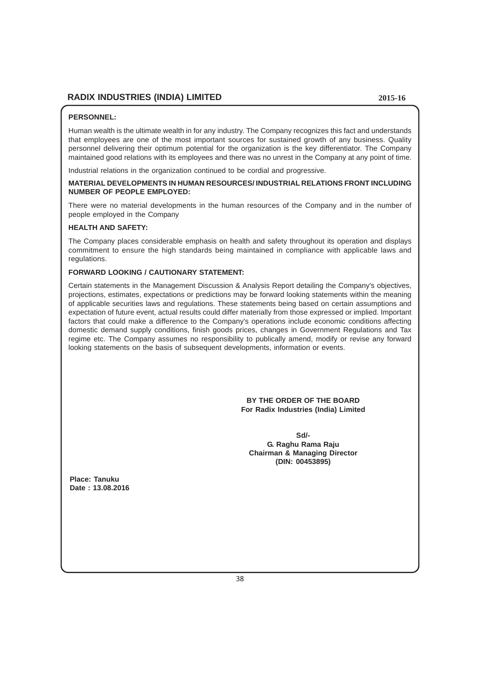#### **PERSONNEL:**

Human wealth is the ultimate wealth in for any industry. The Company recognizes this fact and understands that employees are one of the most important sources for sustained growth of any business. Quality personnel delivering their optimum potential for the organization is the key differentiator. The Company maintained good relations with its employees and there was no unrest in the Company at any point of time.

Industrial relations in the organization continued to be cordial and progressive.

# **MATERIAL DEVELOPMENTS IN HUMAN RESOURCES/ INDUSTRIAL RELATIONS FRONT INCLUDING NUMBER OF PEOPLE EMPLOYED:**

There were no material developments in the human resources of the Company and in the number of people employed in the Company

#### **HEALTH AND SAFETY:**

The Company places considerable emphasis on health and safety throughout its operation and displays commitment to ensure the high standards being maintained in compliance with applicable laws and regulations.

# **FORWARD LOOKING / CAUTIONARY STATEMENT:**

Certain statements in the Management Discussion & Analysis Report detailing the Company's objectives, projections, estimates, expectations or predictions may be forward looking statements within the meaning of applicable securities laws and regulations. These statements being based on certain assumptions and expectation of future event, actual results could differ materially from those expressed or implied. Important factors that could make a difference to the Company's operations include economic conditions affecting domestic demand supply conditions, finish goods prices, changes in Government Regulations and Tax regime etc. The Company assumes no responsibility to publically amend, modify or revise any forward looking statements on the basis of subsequent developments, information or events.

#### **BY THE ORDER OF THE BOARD For Radix Industries (India) Limited**

**Sd/- G. Raghu Rama Raju Chairman & Managing Director (DIN: 00453895)**

**Place: Tanuku Date : 13.08.2016**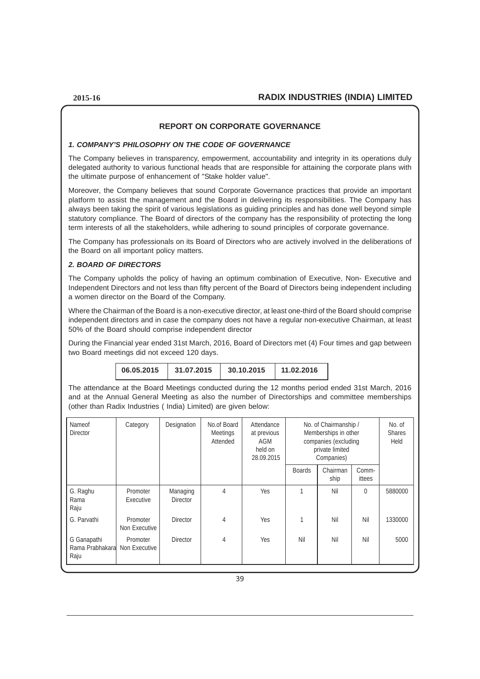# **REPORT ON CORPORATE GOVERNANCE**

# *1. COMPANY'S PHILOSOPHY ON THE CODE OF GOVERNANCE*

The Company believes in transparency, empowerment, accountability and integrity in its operations duly delegated authority to various functional heads that are responsible for attaining the corporate plans with the ultimate purpose of enhancement of "Stake holder value".

Moreover, the Company believes that sound Corporate Governance practices that provide an important platform to assist the management and the Board in delivering its responsibilities. The Company has always been taking the spirit of various legislations as guiding principles and has done well beyond simple statutory compliance. The Board of directors of the company has the responsibility of protecting the long term interests of all the stakeholders, while adhering to sound principles of corporate governance.

The Company has professionals on its Board of Directors who are actively involved in the deliberations of the Board on all important policy matters.

# *2. BOARD OF DIRECTORS*

The Company upholds the policy of having an optimum combination of Executive, Non- Executive and Independent Directors and not less than fifty percent of the Board of Directors being independent including a women director on the Board of the Company.

Where the Chairman of the Board is a non-executive director, at least one-third of the Board should comprise independent directors and in case the company does not have a regular non-executive Chairman, at least 50% of the Board should comprise independent director

During the Financial year ended 31st March, 2016, Board of Directors met (4) Four times and gap between two Board meetings did not exceed 120 days.

| 06.05.2015 | 31.07.2015 | 30.10.2015 | 11.02.2016 |
|------------|------------|------------|------------|
|------------|------------|------------|------------|

The attendance at the Board Meetings conducted during the 12 months period ended 31st March, 2016 and at the Annual General Meeting as also the number of Directorships and committee memberships (other than Radix Industries ( India) Limited) are given below:

| Nameof<br><b>Director</b>              | Category                         | Designation                 | No.of Board<br><b>Meetings</b><br>Attended | Attendance<br>at previous<br>AGM<br>held on<br>28.09.2015 |               | No. of Chairmanship /<br>Memberships in other<br>companies (excluding<br>private limited<br>Companies) |                 | No. of<br><b>Shares</b><br>Held |
|----------------------------------------|----------------------------------|-----------------------------|--------------------------------------------|-----------------------------------------------------------|---------------|--------------------------------------------------------------------------------------------------------|-----------------|---------------------------------|
|                                        |                                  |                             |                                            |                                                           | <b>Boards</b> | Chairman<br>ship                                                                                       | Comm-<br>ittees |                                 |
| G. Raghu<br>Rama<br>Raju               | Promoter<br>Executive            | Managing<br><b>Director</b> | 4                                          | Yes                                                       | 1             | Nil                                                                                                    | $\mathbf{0}$    | 5880000                         |
| G. Parvathi                            | Promoter<br>Non Executive        | <b>Director</b>             | 4                                          | <b>Yes</b>                                                |               | Nil                                                                                                    | Nil             | 1330000                         |
| G Ganapathi<br>Rama Prabhakara<br>Raju | Promoter<br><b>Non Executive</b> | <b>Director</b>             | 4                                          | Yes                                                       | Nil           | Nil                                                                                                    | Nil             | 5000                            |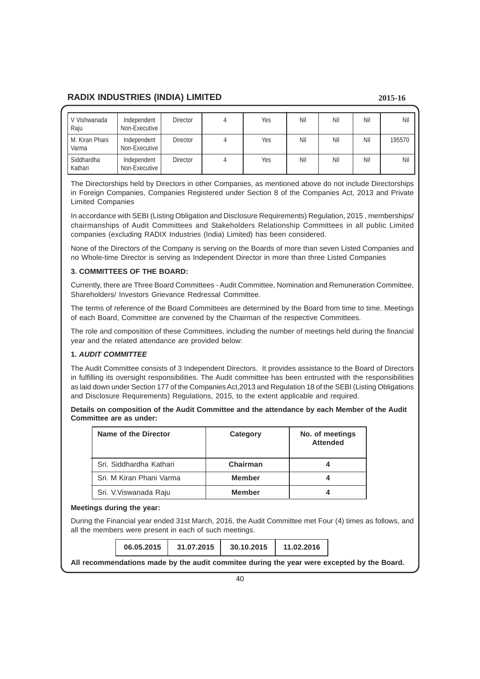**2015-16**

| V Vishwanada<br>Raju    | Independent<br>Non-Executive | <b>Director</b> | Yes | Nil | Nil | Nil | Nil    |
|-------------------------|------------------------------|-----------------|-----|-----|-----|-----|--------|
| M. Kiran Phani<br>Varma | Independent<br>Non-Executive | <b>Director</b> | Yes | Nil | Nil | Nil | 195570 |
| Siddhardha<br>Kathari   | Independent<br>Non-Executive | <b>Director</b> | Yes | Nil | Nil | Nil | Nil    |

The Directorships held by Directors in other Companies, as mentioned above do not include Directorships in Foreign Companies, Companies Registered under Section 8 of the Companies Act, 2013 and Private Limited Companies

In accordance with SEBI (Listing Obligation and Disclosure Requirements) Regulation, 2015 , memberships/ chairmanships of Audit Committees and Stakeholders Relationship Committees in all public Limited companies (excluding RADIX Industries (India) Limited) has been considered.

None of the Directors of the Company is serving on the Boards of more than seven Listed Companies and no Whole-time Director is serving as Independent Director in more than three Listed Companies

# **3. COMMITTEES OF THE BOARD:**

Currently, there are Three Board Committees - Audit Committee, Nomination and Remuneration Committee, Shareholders/ Investors Grievance Redressal Committee.

The terms of reference of the Board Committees are determined by the Board from time to time. Meetings of each Board, Committee are convened by the Chairman of the respective Committees.

The role and composition of these Committees, including the number of meetings held during the financial year and the related attendance are provided below:

#### **1.** *AUDIT COMMITTEE*

The Audit Committee consists of 3 Independent Directors. It provides assistance to the Board of Directors in fulfilling its oversight responsibilities. The Audit committee has been entrusted with the responsibilities as laid down under Section 177 of the Companies Act,2013 and Regulation 18 of the SEBI (Listing Obligations and Disclosure Requirements) Regulations, 2015, to the extent applicable and required.

**Details on composition of the Audit Committee and the attendance by each Member of the Audit Committee are as under:**

| Name of the Director     | Category      | No. of meetings<br><b>Attended</b> |
|--------------------------|---------------|------------------------------------|
| Sri. Siddhardha Kathari  | Chairman      |                                    |
| Sri. M Kiran Phani Varma | <b>Member</b> |                                    |
| Sri. V. Viswanada Raju   | <b>Member</b> |                                    |

# **Meetings during the year:**

During the Financial year ended 31st March, 2016, the Audit Committee met Four (4) times as follows, and all the members were present in each of such meetings.

| 06.05.2015 | 31.07.2015 | 30.10.2015 | 11.02.2016 |
|------------|------------|------------|------------|
|            |            |            |            |

**All recommendations made by the audit commitee during the year were excepted by the Board.**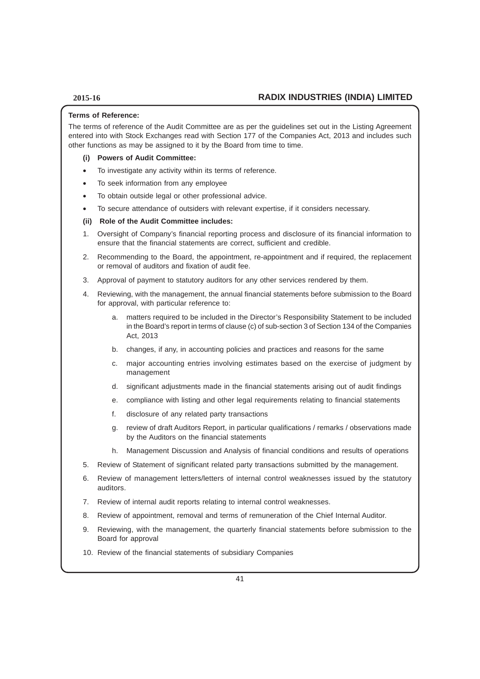#### **Terms of Reference:**

The terms of reference of the Audit Committee are as per the guidelines set out in the Listing Agreement entered into with Stock Exchanges read with Section 177 of the Companies Act, 2013 and includes such other functions as may be assigned to it by the Board from time to time.

#### **(i) Powers of Audit Committee:**

- To investigate any activity within its terms of reference.
- To seek information from any employee
- To obtain outside legal or other professional advice.
- To secure attendance of outsiders with relevant expertise, if it considers necessary.

#### **(ii) Role of the Audit Committee includes:**

- 1. Oversight of Company's financial reporting process and disclosure of its financial information to ensure that the financial statements are correct, sufficient and credible.
- 2. Recommending to the Board, the appointment, re-appointment and if required, the replacement or removal of auditors and fixation of audit fee.
- 3. Approval of payment to statutory auditors for any other services rendered by them.
- 4. Reviewing, with the management, the annual financial statements before submission to the Board for approval, with particular reference to:
	- a. matters required to be included in the Director's Responsibility Statement to be included in the Board's report in terms of clause (c) of sub-section 3 of Section 134 of the Companies Act, 2013
	- b. changes, if any, in accounting policies and practices and reasons for the same
	- c. major accounting entries involving estimates based on the exercise of judgment by management
	- d. significant adjustments made in the financial statements arising out of audit findings
	- e. compliance with listing and other legal requirements relating to financial statements
	- f. disclosure of any related party transactions
	- g. review of draft Auditors Report, in particular qualifications / remarks / observations made by the Auditors on the financial statements
	- h. Management Discussion and Analysis of financial conditions and results of operations
- 5. Review of Statement of significant related party transactions submitted by the management.
- 6. Review of management letters/letters of internal control weaknesses issued by the statutory auditors.
- 7. Review of internal audit reports relating to internal control weaknesses.
- 8. Review of appointment, removal and terms of remuneration of the Chief Internal Auditor.
- 9. Reviewing, with the management, the quarterly financial statements before submission to the Board for approval
- 10. Review of the financial statements of subsidiary Companies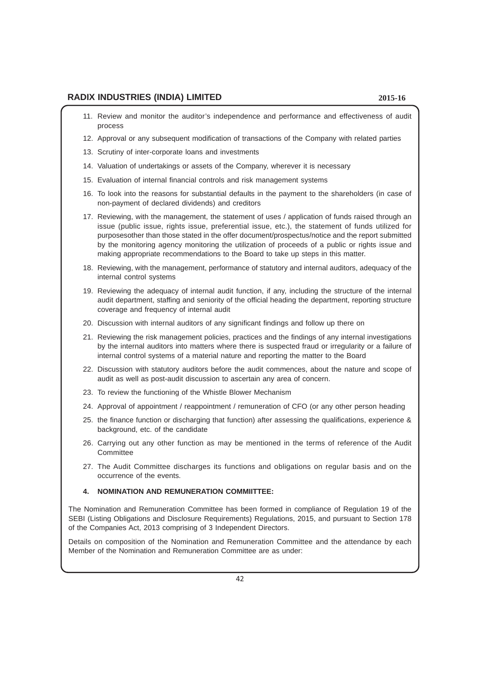- 11. Review and monitor the auditor's independence and performance and effectiveness of audit process
- 12. Approval or any subsequent modification of transactions of the Company with related parties
- 13. Scrutiny of inter-corporate loans and investments
- 14. Valuation of undertakings or assets of the Company, wherever it is necessary
- 15. Evaluation of internal financial controls and risk management systems
- 16. To look into the reasons for substantial defaults in the payment to the shareholders (in case of non-payment of declared dividends) and creditors
- 17. Reviewing, with the management, the statement of uses / application of funds raised through an issue (public issue, rights issue, preferential issue, etc.), the statement of funds utilized for purposesother than those stated in the offer document/prospectus/notice and the report submitted by the monitoring agency monitoring the utilization of proceeds of a public or rights issue and making appropriate recommendations to the Board to take up steps in this matter.
- 18. Reviewing, with the management, performance of statutory and internal auditors, adequacy of the internal control systems
- 19. Reviewing the adequacy of internal audit function, if any, including the structure of the internal audit department, staffing and seniority of the official heading the department, reporting structure coverage and frequency of internal audit
- 20. Discussion with internal auditors of any significant findings and follow up there on
- 21. Reviewing the risk management policies, practices and the findings of any internal investigations by the internal auditors into matters where there is suspected fraud or irregularity or a failure of internal control systems of a material nature and reporting the matter to the Board
- 22. Discussion with statutory auditors before the audit commences, about the nature and scope of audit as well as post-audit discussion to ascertain any area of concern.
- 23. To review the functioning of the Whistle Blower Mechanism
- 24. Approval of appointment / reappointment / remuneration of CFO (or any other person heading
- 25. the finance function or discharging that function) after assessing the qualifications, experience & background, etc. of the candidate
- 26. Carrying out any other function as may be mentioned in the terms of reference of the Audit **Committee**
- 27. The Audit Committee discharges its functions and obligations on regular basis and on the occurrence of the events.

# **4. NOMINATION AND REMUNERATION COMMIITTEE:**

The Nomination and Remuneration Committee has been formed in compliance of Regulation 19 of the SEBI (Listing Obligations and Disclosure Requirements) Regulations, 2015, and pursuant to Section 178 of the Companies Act, 2013 comprising of 3 Independent Directors.

Details on composition of the Nomination and Remuneration Committee and the attendance by each Member of the Nomination and Remuneration Committee are as under: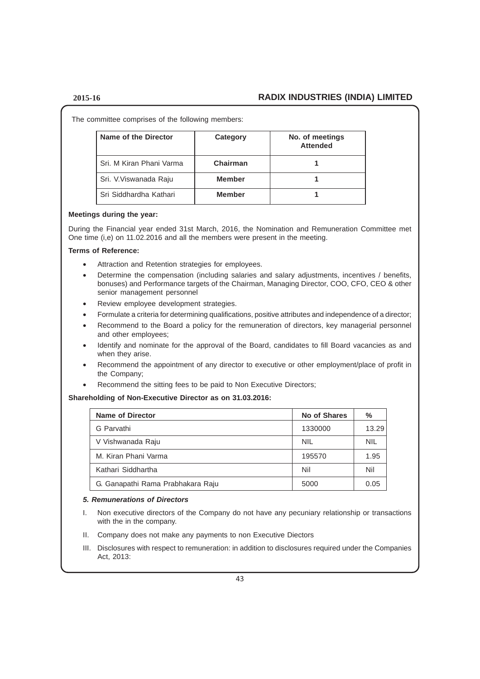The committee comprises of the following members:

| Name of the Director     | Category      | No. of meetings<br><b>Attended</b> |
|--------------------------|---------------|------------------------------------|
| Sri, M Kiran Phani Varma | Chairman      |                                    |
| Sri. V. Viswanada Raju   | <b>Member</b> |                                    |
| Sri Siddhardha Kathari   | <b>Member</b> |                                    |

#### **Meetings during the year:**

During the Financial year ended 31st March, 2016, the Nomination and Remuneration Committee met One time (i,e) on 11.02.2016 and all the members were present in the meeting.

#### **Terms of Reference:**

- Attraction and Retention strategies for employees.
- Determine the compensation (including salaries and salary adjustments, incentives / benefits, bonuses) and Performance targets of the Chairman, Managing Director, COO, CFO, CEO & other senior management personnel
- Review employee development strategies.
- Formulate a criteria for determining qualifications, positive attributes and independence of a director;
- Recommend to the Board a policy for the remuneration of directors, key managerial personnel and other employees;
- Identify and nominate for the approval of the Board, candidates to fill Board vacancies as and when they arise.
- Recommend the appointment of any director to executive or other employment/place of profit in the Company;
- Recommend the sitting fees to be paid to Non Executive Directors:

## **Shareholding of Non-Executive Director as on 31.03.2016:**

| Name of Director                  | No of Shares | ℅          |
|-----------------------------------|--------------|------------|
| G Parvathi                        | 1330000      | 13.29      |
| V Vishwanada Raju                 | <b>NIL</b>   | <b>NIL</b> |
| M. Kiran Phani Varma              | 195570       | 1.95       |
| Kathari Siddhartha                | Nil          | Nil        |
| G. Ganapathi Rama Prabhakara Raju | 5000         | 0.05       |

#### *5. Remunerations of Directors*

- I. Non executive directors of the Company do not have any pecuniary relationship or transactions with the in the company.
- II. Company does not make any payments to non Executive Diectors
- III. Disclosures with respect to remuneration: in addition to disclosures required under the Companies Act, 2013: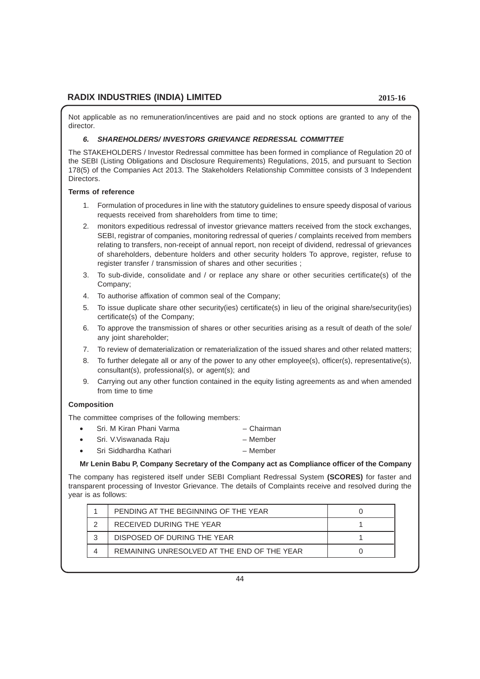Not applicable as no remuneration/incentives are paid and no stock options are granted to any of the director.

# *6. SHAREHOLDERS/ INVESTORS GRIEVANCE REDRESSAL COMMITTEE*

The STAKEHOLDERS / Investor Redressal committee has been formed in compliance of Regulation 20 of the SEBI (Listing Obligations and Disclosure Requirements) Regulations, 2015, and pursuant to Section 178(5) of the Companies Act 2013. The Stakeholders Relationship Committee consists of 3 Independent **Directors** 

# **Terms of reference**

- 1. Formulation of procedures in line with the statutory guidelines to ensure speedy disposal of various requests received from shareholders from time to time;
- 2. monitors expeditious redressal of investor grievance matters received from the stock exchanges, SEBI, registrar of companies, monitoring redressal of queries / complaints received from members relating to transfers, non-receipt of annual report, non receipt of dividend, redressal of grievances of shareholders, debenture holders and other security holders To approve, register, refuse to register transfer / transmission of shares and other securities ;
- 3. To sub-divide, consolidate and / or replace any share or other securities certificate(s) of the Company;
- 4. To authorise affixation of common seal of the Company;
- 5. To issue duplicate share other security(ies) certificate(s) in lieu of the original share/security(ies) certificate(s) of the Company;
- 6. To approve the transmission of shares or other securities arising as a result of death of the sole/ any joint shareholder;
- 7. To review of dematerialization or rematerialization of the issued shares and other related matters;
- 8. To further delegate all or any of the power to any other employee(s), officer(s), representative(s), consultant(s), professional(s), or agent(s); and
- 9. Carrying out any other function contained in the equity listing agreements as and when amended from time to time

# **Composition**

The committee comprises of the following members:

- Sri. M Kiran Phani Varma Chairman
- Sri. V.Viswanada Raju Member
- Sri Siddhardha Kathari Member

# **Mr Lenin Babu P, Company Secretary of the Company act as Compliance officer of the Company**

The company has registered itself under SEBI Compliant Redressal System **(SCORES)** for faster and transparent processing of Investor Grievance. The details of Complaints receive and resolved during the year is as follows:

|   | PENDING AT THE BEGINNING OF THE YEAR        |  |
|---|---------------------------------------------|--|
| ◠ | RECEIVED DURING THE YEAR                    |  |
| ີ | DISPOSED OF DURING THE YEAR                 |  |
| 4 | REMAINING UNRESOLVED AT THE END OF THE YEAR |  |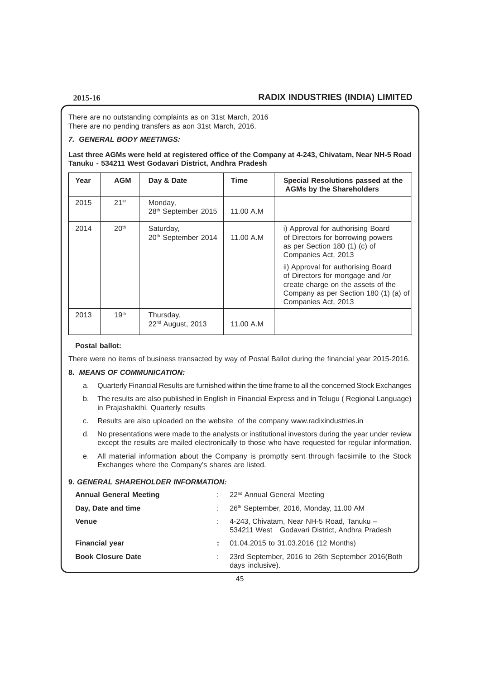There are no outstanding complaints as on 31st March, 2016 There are no pending transfers as aon 31st March, 2016.

# *7. GENERAL BODY MEETINGS:*

**Last three AGMs were held at registered office of the Company at 4-243, Chivatam, Near NH-5 Road Tanuku - 534211 West Godavari District, Andhra Pradesh**

| Year | <b>AGM</b>       | Day & Date                                 | Time      | Special Resolutions passed at the<br><b>AGMs by the Shareholders</b>                                                                                                          |
|------|------------------|--------------------------------------------|-----------|-------------------------------------------------------------------------------------------------------------------------------------------------------------------------------|
| 2015 | 21 <sup>st</sup> | Monday,<br>28 <sup>th</sup> September 2015 | 11.00 A.M |                                                                                                                                                                               |
| 2014 | 20 <sup>th</sup> | Saturday,<br>20th September 2014           | 11.00 A.M | i) Approval for authorising Board<br>of Directors for borrowing powers<br>as per Section 180 (1) (c) of<br>Companies Act, 2013                                                |
|      |                  |                                            |           | ii) Approval for authorising Board<br>of Directors for mortgage and /or<br>create charge on the assets of the<br>Company as per Section 180 (1) (a) of<br>Companies Act, 2013 |
| 2013 | 19 <sup>th</sup> | Thursday,<br>22 <sup>nd</sup> August, 2013 | 11.00 A.M |                                                                                                                                                                               |

#### **Postal ballot:**

There were no items of business transacted by way of Postal Ballot during the financial year 2015-2016.

#### **8.** *MEANS OF COMMUNICATION:*

- a. Quarterly Financial Results are furnished within the time frame to all the concerned Stock Exchanges
- b. The results are also published in English in Financial Express and in Telugu ( Regional Language) in Prajashakthi. Quarterly results
- c. Results are also uploaded on the website of the company www.radixindustries.in
- d. No presentations were made to the analysts or institutional investors during the year under review except the results are mailed electronically to those who have requested for regular information.
- e. All material information about the Company is promptly sent through facsimile to the Stock Exchanges where the Company's shares are listed.

# **9.** *GENERAL SHAREHOLDER INFORMATION:*

| <b>Annual General Meeting</b> | $\mathbb{Z}^{\mathbb{Z}}$ | 22 <sup>nd</sup> Annual General Meeting                                                    |
|-------------------------------|---------------------------|--------------------------------------------------------------------------------------------|
| Day, Date and time            |                           | 26th September, 2016, Monday, 11.00 AM                                                     |
| <b>Venue</b>                  |                           | 4-243, Chivatam, Near NH-5 Road, Tanuku -<br>534211 West Godavari District, Andhra Pradesh |
| <b>Financial year</b>         | ÷.                        | 01.04.2015 to 31.03.2016 (12 Months)                                                       |
| <b>Book Closure Date</b>      | ÷                         | 23rd September, 2016 to 26th September 2016(Both<br>days inclusive).                       |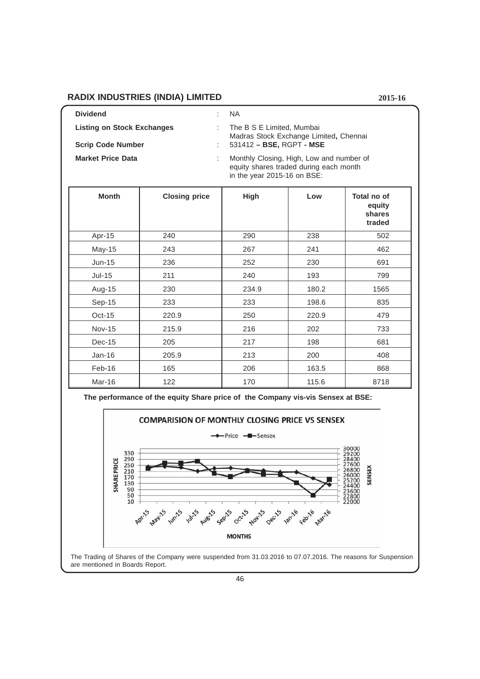| <b>Dividend</b>            | t. | - NA                                                                                                              |
|----------------------------|----|-------------------------------------------------------------------------------------------------------------------|
| Listing on Stock Exchanges |    | : The B S E Limited, Mumbai<br>Madras Stock Exchange Limited, Chennai                                             |
| <b>Scrip Code Number</b>   |    | : $531412 - BSE$ , RGPT - MSE                                                                                     |
| <b>Market Price Data</b>   |    | Monthly Closing, High, Low and number of<br>equity shares traded during each month<br>in the year 2015-16 on BSE: |

| <b>Month</b>  | <b>Closing price</b> | High  | Low   | Total no of<br>equity<br>shares<br>traded |
|---------------|----------------------|-------|-------|-------------------------------------------|
| Apr-15        | 240                  | 290   | 238   | 502                                       |
| May-15        | 243                  | 267   | 241   | 462                                       |
| $Jun-15$      | 236                  | 252   | 230   | 691                                       |
| $Jul-15$      | 211                  | 240   | 193   | 799                                       |
| Aug-15        | 230                  | 234.9 | 180.2 | 1565                                      |
| Sep-15        | 233                  | 233   | 198.6 | 835                                       |
| $Oct-15$      | 220.9                | 250   | 220.9 | 479                                       |
| <b>Nov-15</b> | 215.9                | 216   | 202   | 733                                       |
| $Dec-15$      | 205                  | 217   | 198   | 681                                       |
| $Jan-16$      | 205.9                | 213   | 200   | 408                                       |
| Feb-16        | 165                  | 206   | 163.5 | 868                                       |
| Mar-16        | 122                  | 170   | 115.6 | 8718                                      |





The Trading of Shares of the Company were suspended from 31.03.2016 to 07.07.2016. The reasons for Suspension are mentioned in Boards Report.

46

**2015-16**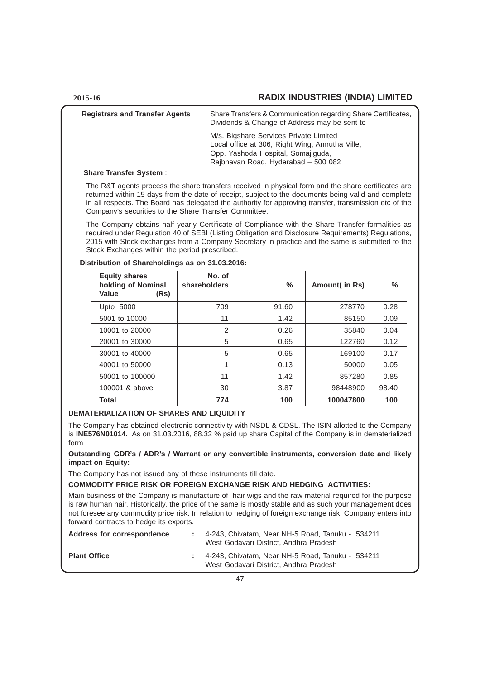# **Registrars and Transfer Agents** : Share Transfers & Communication regarding Share Certificates, Dividends & Change of Address may be sent to M/s. Bigshare Services Private Limited

Local office at 306, Right Wing, Amrutha Ville, Opp. Yashoda Hospital, Somajiguda, Rajbhavan Road, Hyderabad – 500 082

# **Share Transfer System** :

The R&T agents process the share transfers received in physical form and the share certificates are returned within 15 days from the date of receipt, subject to the documents being valid and complete in all respects. The Board has delegated the authority for approving transfer, transmission etc of the Company's securities to the Share Transfer Committee.

The Company obtains half yearly Certificate of Compliance with the Share Transfer formalities as required under Regulation 40 of SEBI (Listing Obligation and Disclosure Requirements) Regulations, 2015 with Stock exchanges from a Company Secretary in practice and the same is submitted to the Stock Exchanges within the period prescribed.

# **Distribution of Shareholdings as on 31.03.2016:**

| <b>Equity shares</b><br>holding of Nominal<br>Value<br>(Rs) | No. of<br>shareholders | $\%$  | Amount( in Rs) | $\frac{0}{0}$ |
|-------------------------------------------------------------|------------------------|-------|----------------|---------------|
| Upto 5000                                                   | 709                    | 91.60 | 278770         | 0.28          |
| 5001 to 10000                                               | 11                     | 1.42  | 85150          | 0.09          |
| 10001 to 20000                                              | 2                      | 0.26  | 35840          | 0.04          |
| 20001 to 30000                                              | 5                      | 0.65  | 122760         | 0.12          |
| 30001 to 40000                                              | 5                      | 0.65  | 169100         | 0.17          |
| 40001 to 50000                                              |                        | 0.13  | 50000          | 0.05          |
| 50001 to 100000                                             | 11                     | 1.42  | 857280         | 0.85          |
| 100001 & above                                              | 30                     | 3.87  | 98448900       | 98.40         |
| Total                                                       | 774                    | 100   | 100047800      | 100           |

# **DEMATERIALIZATION OF SHARES AND LIQUIDITY**

The Company has obtained electronic connectivity with NSDL & CDSL. The ISIN allotted to the Company is **INE576N01014.** As on 31.03.2016, 88.32 % paid up share Capital of the Company is in dematerialized form.

#### **Outstanding GDR's / ADR's / Warrant or any convertible instruments, conversion date and likely impact on Equity:**

The Company has not issued any of these instruments till date.

# **COMMODITY PRICE RISK OR FOREIGN EXCHANGE RISK AND HEDGING ACTIVITIES:**

Main business of the Company is manufacture of hair wigs and the raw material required for the purpose is raw human hair. Historically, the price of the same is mostly stable and as such your management does not foresee any commodity price risk. In relation to hedging of foreign exchange risk, Company enters into forward contracts to hedge its exports.

| Address for correspondence | 4-243, Chivatam, Near NH-5 Road, Tanuku - 534211<br>West Godavari District. Andhra Pradesh   |
|----------------------------|----------------------------------------------------------------------------------------------|
| <b>Plant Office</b>        | : 4-243, Chivatam, Near NH-5 Road, Tanuku - 534211<br>West Godavari District. Andhra Pradesh |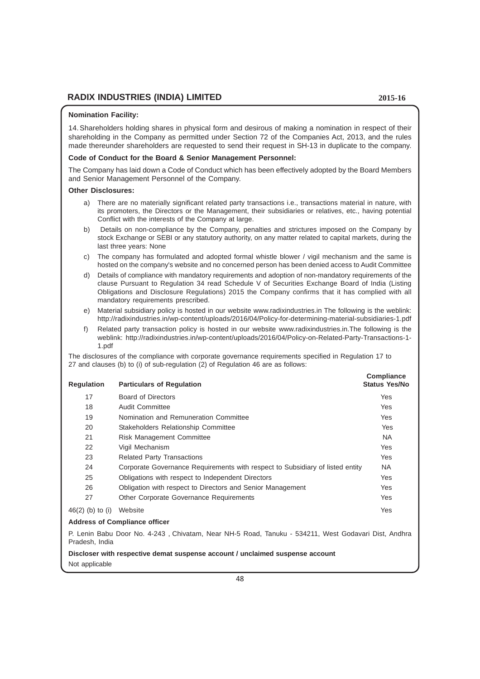#### **Nomination Facility:**

14. Shareholders holding shares in physical form and desirous of making a nomination in respect of their shareholding in the Company as permitted under Section 72 of the Companies Act, 2013, and the rules made thereunder shareholders are requested to send their request in SH-13 in duplicate to the company.

#### **Code of Conduct for the Board & Senior Management Personnel:**

The Company has laid down a Code of Conduct which has been effectively adopted by the Board Members and Senior Management Personnel of the Company.

#### **Other Disclosures:**

- a) There are no materially significant related party transactions i.e., transactions material in nature, with its promoters, the Directors or the Management, their subsidiaries or relatives, etc., having potential Conflict with the interests of the Company at large.
- b) Details on non-compliance by the Company, penalties and strictures imposed on the Company by stock Exchange or SEBI or any statutory authority, on any matter related to capital markets, during the last three years: None
- c) The company has formulated and adopted formal whistle blower / vigil mechanism and the same is hosted on the company's website and no concerned person has been denied access to Audit Committee
- d) Details of compliance with mandatory requirements and adoption of non-mandatory requirements of the clause Pursuant to Regulation 34 read Schedule V of Securities Exchange Board of India (Listing Obligations and Disclosure Regulations) 2015 the Company confirms that it has complied with all mandatory requirements prescribed.
- e) Material subsidiary policy is hosted in our website www.radixindustries.in The following is the weblink: http://radixindustries.in/wp-content/uploads/2016/04/Policy-for-determining-material-subsidiaries-1.pdf
- f) Related party transaction policy is hosted in our website www.radixindustries.in.The following is the weblink: http://radixindustries.in/wp-content/uploads/2016/04/Policy-on-Related-Party-Transactions-1- 1.pdf

The disclosures of the compliance with corporate governance requirements specified in Regulation 17 to 27 and clauses (b) to (i) of sub-regulation (2) of Regulation 46 are as follows:

| <b>Regulation</b>  | <b>Particulars of Regulation</b>                                                                    | <b>Compliance</b><br><b>Status Yes/No</b> |
|--------------------|-----------------------------------------------------------------------------------------------------|-------------------------------------------|
| 17                 | <b>Board of Directors</b>                                                                           | <b>Yes</b>                                |
| 18                 | Audit Committee                                                                                     | <b>Yes</b>                                |
| 19                 | Nomination and Remuneration Committee                                                               | <b>Yes</b>                                |
| 20                 | Stakeholders Relationship Committee                                                                 | Yes                                       |
| 21                 | <b>Risk Management Committee</b>                                                                    | <b>NA</b>                                 |
| 22                 | Vigil Mechanism                                                                                     | Yes                                       |
| 23                 | <b>Related Party Transactions</b>                                                                   | <b>Yes</b>                                |
| 24                 | Corporate Governance Requirements with respect to Subsidiary of listed entity                       | NA.                                       |
| 25                 | Obligations with respect to Independent Directors                                                   | Yes                                       |
| 26                 | Obligation with respect to Directors and Senior Management                                          | Yes                                       |
| 27                 | <b>Other Corporate Governance Requirements</b>                                                      | Yes                                       |
| $46(2)$ (b) to (i) | Website                                                                                             | <b>Yes</b>                                |
|                    | <b>Address of Compliance officer</b>                                                                |                                           |
| Pradesh, India     | P. Lenin Babu Door No. 4-243, Chivatam, Near NH-5 Road, Tanuku - 534211, West Godavari Dist, Andhra |                                           |

**Discloser with respective demat suspense account / unclaimed suspense account** Not applicable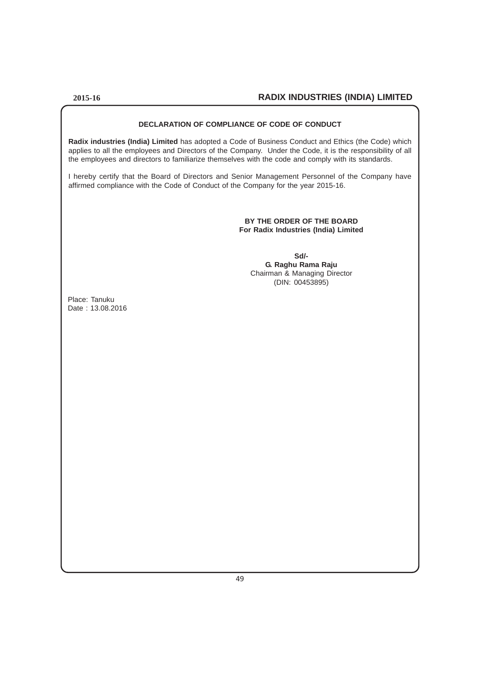### **DECLARATION OF COMPLIANCE OF CODE OF CONDUCT**

**Radix industries (India) Limited** has adopted a Code of Business Conduct and Ethics (the Code) which applies to all the employees and Directors of the Company. Under the Code, it is the responsibility of all the employees and directors to familiarize themselves with the code and comply with its standards.

I hereby certify that the Board of Directors and Senior Management Personnel of the Company have affirmed compliance with the Code of Conduct of the Company for the year 2015-16.

# **BY THE ORDER OF THE BOARD For Radix Industries (India) Limited**

**Sd/- G. Raghu Rama Raju** Chairman & Managing Director (DIN: 00453895)

Place: Tanuku Date : 13.08.2016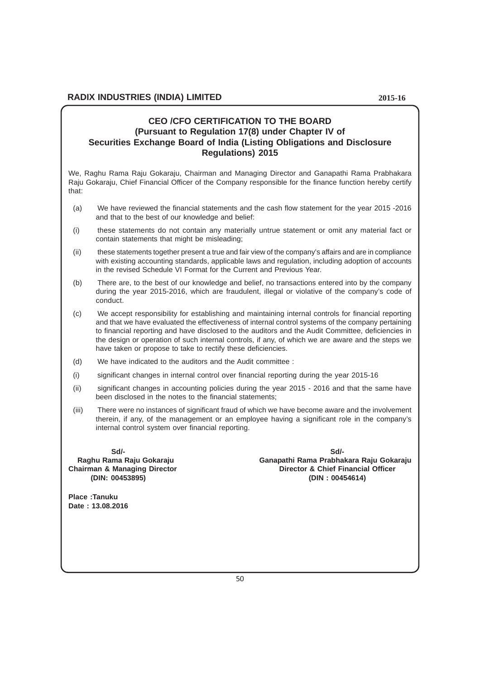# **CEO /CFO CERTIFICATION TO THE BOARD (Pursuant to Regulation 17(8) under Chapter IV of Securities Exchange Board of India (Listing Obligations and Disclosure Regulations) 2015**

We, Raghu Rama Raju Gokaraju, Chairman and Managing Director and Ganapathi Rama Prabhakara Raju Gokaraju, Chief Financial Officer of the Company responsible for the finance function hereby certify that:

- (a) We have reviewed the financial statements and the cash flow statement for the year 2015 -2016 and that to the best of our knowledge and belief:
- (i) these statements do not contain any materially untrue statement or omit any material fact or contain statements that might be misleading;
- (ii) these statements together present a true and fair view of the company's affairs and are in compliance with existing accounting standards, applicable laws and regulation, including adoption of accounts in the revised Schedule VI Format for the Current and Previous Year.
- (b) There are, to the best of our knowledge and belief, no transactions entered into by the company during the year 2015-2016, which are fraudulent, illegal or violative of the company's code of conduct.
- (c) We accept responsibility for establishing and maintaining internal controls for financial reporting and that we have evaluated the effectiveness of internal control systems of the company pertaining to financial reporting and have disclosed to the auditors and the Audit Committee, deficiencies in the design or operation of such internal controls, if any, of which we are aware and the steps we have taken or propose to take to rectify these deficiencies.
- (d) We have indicated to the auditors and the Audit committee :
- (i) significant changes in internal control over financial reporting during the year 2015-16
- (ii) significant changes in accounting policies during the year 2015 2016 and that the same have been disclosed in the notes to the financial statements;
- (iii) There were no instances of significant fraud of which we have become aware and the involvement therein, if any, of the management or an employee having a significant role in the company's internal control system over financial reporting.

**Sd/- Sd/- Raghu Rama Raju Gokaraju Ganapathi Rama Prabhakara Raju Gokaraju Chairman & Managing Director Director & Chief Financial Officer (DIN: 00453895) (DIN : 00454614)**

**Place :Tanuku Date : 13.08.2016**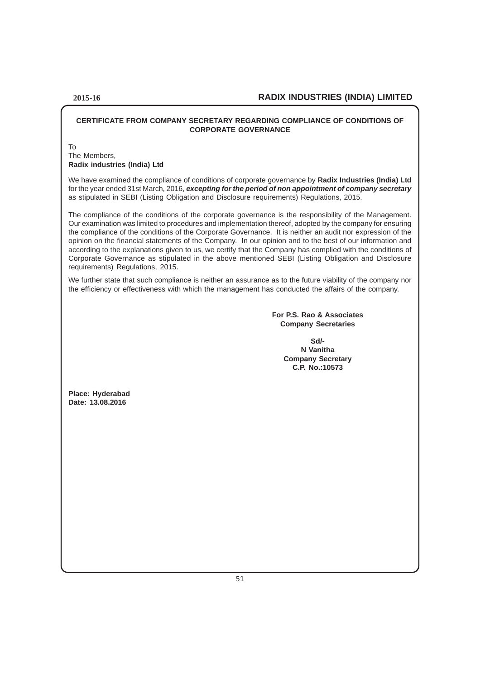# **CERTIFICATE FROM COMPANY SECRETARY REGARDING COMPLIANCE OF CONDITIONS OF CORPORATE GOVERNANCE**

To The Members, **Radix industries (India) Ltd**

We have examined the compliance of conditions of corporate governance by **Radix Industries (India) Ltd** for the year ended 31st March, 2016, *excepting for the period of non appointment of company secretary* as stipulated in SEBI (Listing Obligation and Disclosure requirements) Regulations, 2015.

The compliance of the conditions of the corporate governance is the responsibility of the Management. Our examination was limited to procedures and implementation thereof, adopted by the company for ensuring the compliance of the conditions of the Corporate Governance. It is neither an audit nor expression of the opinion on the financial statements of the Company. In our opinion and to the best of our information and according to the explanations given to us, we certify that the Company has complied with the conditions of Corporate Governance as stipulated in the above mentioned SEBI (Listing Obligation and Disclosure requirements) Regulations, 2015.

We further state that such compliance is neither an assurance as to the future viability of the company nor the efficiency or effectiveness with which the management has conducted the affairs of the company.

#### **For P.S. Rao & Associates Company Secretaries**

**Sd/- N Vanitha Company Secretary C.P. No.:10573**

**Place: Hyderabad Date: 13.08.2016**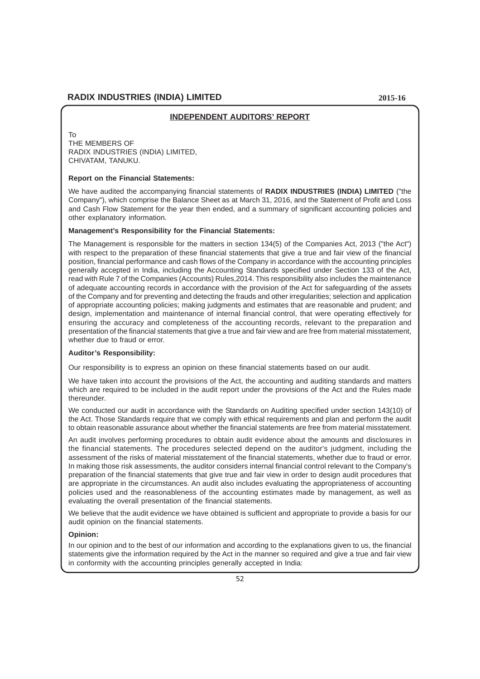# **INDEPENDENT AUDITORS' REPORT**

To

THE MEMBERS OF RADIX INDUSTRIES (INDIA) LIMITED, CHIVATAM, TANUKU.

#### **Report on the Financial Statements:**

We have audited the accompanying financial statements of **RADIX INDUSTRIES (INDIA) LIMITED** ("the Company"), which comprise the Balance Sheet as at March 31, 2016, and the Statement of Profit and Loss and Cash Flow Statement for the year then ended, and a summary of significant accounting policies and other explanatory information.

#### **Management's Responsibility for the Financial Statements:**

The Management is responsible for the matters in section 134(5) of the Companies Act, 2013 ("the Act") with respect to the preparation of these financial statements that give a true and fair view of the financial position, financial performance and cash flows of the Company in accordance with the accounting principles generally accepted in India, including the Accounting Standards specified under Section 133 of the Act, read with Rule 7 of the Companies (Accounts) Rules,2014. This responsibility also includes the maintenance of adequate accounting records in accordance with the provision of the Act for safeguarding of the assets of the Company and for preventing and detecting the frauds and other irregularities; selection and application of appropriate accounting policies; making judgments and estimates that are reasonable and prudent; and design, implementation and maintenance of internal financial control, that were operating effectively for ensuring the accuracy and completeness of the accounting records, relevant to the preparation and presentation of the financial statements that give a true and fair view and are free from material misstatement, whether due to fraud or error.

#### **Auditor's Responsibility:**

Our responsibility is to express an opinion on these financial statements based on our audit.

We have taken into account the provisions of the Act, the accounting and auditing standards and matters which are required to be included in the audit report under the provisions of the Act and the Rules made thereunder.

We conducted our audit in accordance with the Standards on Auditing specified under section 143(10) of the Act. Those Standards require that we comply with ethical requirements and plan and perform the audit to obtain reasonable assurance about whether the financial statements are free from material misstatement.

An audit involves performing procedures to obtain audit evidence about the amounts and disclosures in the financial statements. The procedures selected depend on the auditor's judgment, including the assessment of the risks of material misstatement of the financial statements, whether due to fraud or error. In making those risk assessments, the auditor considers internal financial control relevant to the Company's preparation of the financial statements that give true and fair view in order to design audit procedures that are appropriate in the circumstances. An audit also includes evaluating the appropriateness of accounting policies used and the reasonableness of the accounting estimates made by management, as well as evaluating the overall presentation of the financial statements.

We believe that the audit evidence we have obtained is sufficient and appropriate to provide a basis for our audit opinion on the financial statements.

#### **Opinion:**

In our opinion and to the best of our information and according to the explanations given to us, the financial statements give the information required by the Act in the manner so required and give a true and fair view in conformity with the accounting principles generally accepted in India:

**2015-16**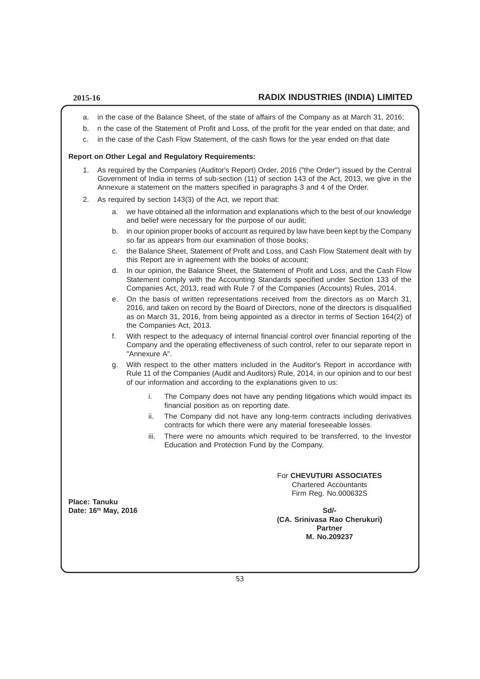- a. in the case of the Balance Sheet, of the state of affairs of the Company as at March 31, 2016;
- b. n the case of the Statement of Profit and Loss, of the profit for the year ended on that date; and
- c. in the case of the Cash Flow Statement, of the cash flows for the year ended on that date

# **Report on Other Legal and Regulatory Requirements:**

- 1. As required by the Companies (Auditor's Report) Order, 2016 ("the Order") issued by the Central Government of India in terms of sub-section (11) of section 143 of the Act, 2013, we give in the Annexure a statement on the matters specified in paragraphs 3 and 4 of the Order.
- 2. As required by section 143(3) of the Act, we report that:
	- a. we have obtained all the information and explanations which to the best of our knowledge and belief were necessary for the purpose of our audit;
	- b. in our opinion proper books of account as required by law have been kept by the Company so far as appears from our examination of those books;
	- c. the Balance Sheet, Statement of Profit and Loss, and Cash Flow Statement dealt with by this Report are in agreement with the books of account;
	- d. In our opinion, the Balance Sheet, the Statement of Profit and Loss, and the Cash Flow Statement comply with the Accounting Standards specified under Section 133 of the Companies Act, 2013, read with Rule 7 of the Companies (Accounts) Rules, 2014.
	- e. On the basis of written representations received from the directors as on March 31, 2016, and taken on record by the Board of Directors, none of the directors is disqualified as on March 31, 2016, from being appointed as a director in terms of Section 164(2) of the Companies Act, 2013.
	- f. With respect to the adequacy of internal financial control over financial reporting of the Company and the operating effectiveness of such control, refer to our separate report in "Annexure A".
	- g. With respect to the other matters included in the Auditor's Report in accordance with Rule 11 of the Companies (Audit and Auditors) Rule, 2014, in our opinion and to our best of our information and according to the explanations given to us:
		- i. The Company does not have any pending litigations which would impact its financial position as on reporting date.
		- ii. The Company did not have any long-term contracts including derivatives contracts for which there were any material foreseeable losses.
		- iii. There were no amounts which required to be transferred, to the Investor Education and Protection Fund by the Company.

For **CHEVUTURI ASSOCIATES** Chartered Accountants Firm Reg. No.000632S

**Place: Tanuku Date: 16<sup>th</sup> May, 2016** Solley State: 16<sup>th</sup> May, 2016

**(CA. Srinivasa Rao Cherukuri) Partner M. No.209237**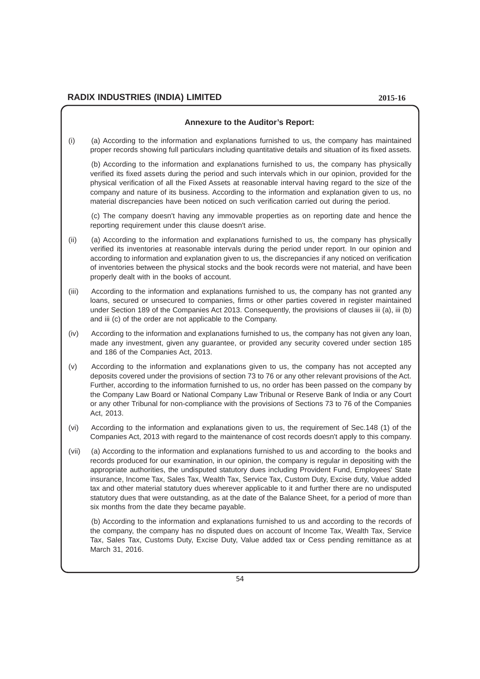|       | <b>Annexure to the Auditor's Report:</b>                                                                                                                                                                                                                                                                                                                                                                                                                                                                                       |
|-------|--------------------------------------------------------------------------------------------------------------------------------------------------------------------------------------------------------------------------------------------------------------------------------------------------------------------------------------------------------------------------------------------------------------------------------------------------------------------------------------------------------------------------------|
| (i)   | (a) According to the information and explanations furnished to us, the company has maintained<br>proper records showing full particulars including quantitative details and situation of its fixed assets.                                                                                                                                                                                                                                                                                                                     |
|       | (b) According to the information and explanations furnished to us, the company has physically<br>verified its fixed assets during the period and such intervals which in our opinion, provided for the<br>physical verification of all the Fixed Assets at reasonable interval having regard to the size of the<br>company and nature of its business. According to the information and explanation given to us, no<br>material discrepancies have been noticed on such verification carried out during the period.            |
|       | (c) The company doesn't having any immovable properties as on reporting date and hence the<br>reporting requirement under this clause doesn't arise.                                                                                                                                                                                                                                                                                                                                                                           |
| (ii)  | (a) According to the information and explanations furnished to us, the company has physically<br>verified its inventories at reasonable intervals during the period under report. In our opinion and<br>according to information and explanation given to us, the discrepancies if any noticed on verification<br>of inventories between the physical stocks and the book records were not material, and have been<br>properly dealt with in the books of account.                                                             |
| (iii) | According to the information and explanations furnished to us, the company has not granted any<br>loans, secured or unsecured to companies, firms or other parties covered in register maintained<br>under Section 189 of the Companies Act 2013. Consequently, the provisions of clauses iii (a), iii (b)<br>and iii (c) of the order are not applicable to the Company.                                                                                                                                                      |
| (iv)  | According to the information and explanations furnished to us, the company has not given any loan,<br>made any investment, given any guarantee, or provided any security covered under section 185<br>and 186 of the Companies Act, 2013.                                                                                                                                                                                                                                                                                      |
| (v)   | According to the information and explanations given to us, the company has not accepted any<br>deposits covered under the provisions of section 73 to 76 or any other relevant provisions of the Act.<br>Further, according to the information furnished to us, no order has been passed on the company by<br>the Company Law Board or National Company Law Tribunal or Reserve Bank of India or any Court<br>or any other Tribunal for non-compliance with the provisions of Sections 73 to 76 of the Companies<br>Act, 2013. |
| (vi)  | According to the information and explanations given to us, the requirement of Sec.148 (1) of the<br>Companies Act, 2013 with regard to the maintenance of cost records doesn't apply to this company.                                                                                                                                                                                                                                                                                                                          |
| (vii) | (a) According to the information and explanations furnished to us and according to the books and<br>records produced for our examination, in our opinion, the company is regular in depositing with the<br>appropriate authorities, the undisputed statutory dues including Provident Fund, Employees' State<br>insurance, Income Tax, Sales Tax, Wealth Tax, Service Tax, Custom Duty, Excise duty, Value added<br>tax and other material statutory dues wherever applicable to it and further there are no undisputed        |

(b) According to the information and explanations furnished to us and according to the records of the company, the company has no disputed dues on account of Income Tax, Wealth Tax, Service Tax, Sales Tax, Customs Duty, Excise Duty, Value added tax or Cess pending remittance as at March 31, 2016.

statutory dues that were outstanding, as at the date of the Balance Sheet, for a period of more than

six months from the date they became payable.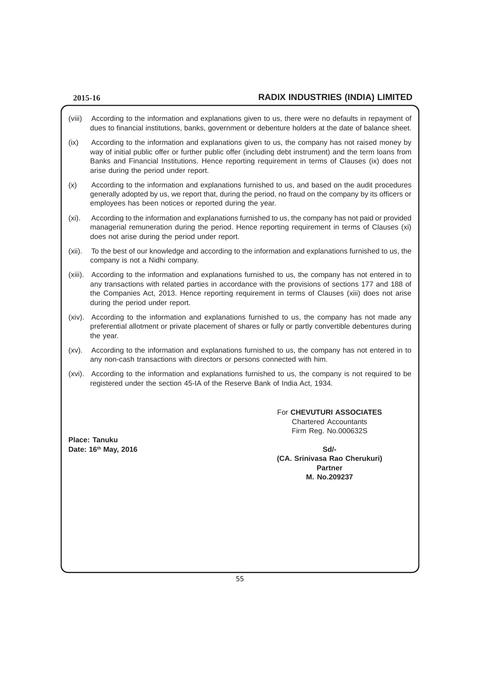- (viii) According to the information and explanations given to us, there were no defaults in repayment of dues to financial institutions, banks, government or debenture holders at the date of balance sheet.
- (ix) According to the information and explanations given to us, the company has not raised money by way of initial public offer or further public offer (including debt instrument) and the term loans from Banks and Financial Institutions. Hence reporting requirement in terms of Clauses (ix) does not arise during the period under report.
- (x) According to the information and explanations furnished to us, and based on the audit procedures generally adopted by us, we report that, during the period, no fraud on the company by its officers or employees has been notices or reported during the year.
- (xi). According to the information and explanations furnished to us, the company has not paid or provided managerial remuneration during the period. Hence reporting requirement in terms of Clauses (xi) does not arise during the period under report.
- (xii). To the best of our knowledge and according to the information and explanations furnished to us, the company is not a Nidhi company.
- (xiii). According to the information and explanations furnished to us, the company has not entered in to any transactions with related parties in accordance with the provisions of sections 177 and 188 of the Companies Act, 2013. Hence reporting requirement in terms of Clauses (xiii) does not arise during the period under report.
- (xiv). According to the information and explanations furnished to us, the company has not made any preferential allotment or private placement of shares or fully or partly convertible debentures during the year.
- (xv). According to the information and explanations furnished to us, the company has not entered in to any non-cash transactions with directors or persons connected with him.
- (xvi). According to the information and explanations furnished to us, the company is not required to be registered under the section 45-IA of the Reserve Bank of India Act, 1934.

For **CHEVUTURI ASSOCIATES** Chartered Accountants Firm Reg. No.000632S

**Place: Tanuku** Date: 16<sup>th</sup> May, 2016 **Sd/-** Sd/-

**(CA. Srinivasa Rao Cherukuri) Partner M. No.209237**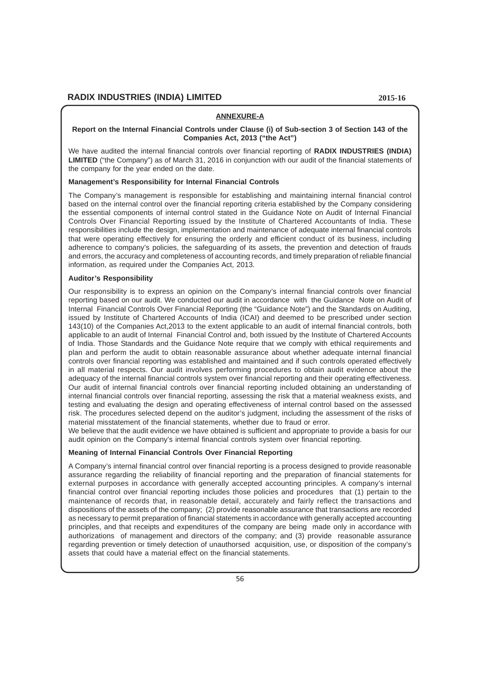#### **ANNEXURE-A**

# **Report on the Internal Financial Controls under Clause (i) of Sub-section 3 of Section 143 of the Companies Act, 2013 ("the Act")**

We have audited the internal financial controls over financial reporting of **RADIX INDUSTRIES (INDIA) LIMITED** ("the Company") as of March 31, 2016 in conjunction with our audit of the financial statements of the company for the year ended on the date.

### **Management's Responsibility for Internal Financial Controls**

The Company's management is responsible for establishing and maintaining internal financial control based on the internal control over the financial reporting criteria established by the Company considering the essential components of internal control stated in the Guidance Note on Audit of Internal Financial Controls Over Financial Reporting issued by the Institute of Chartered Accountants of India. These responsibilities include the design, implementation and maintenance of adequate internal financial controls that were operating effectively for ensuring the orderly and efficient conduct of its business, including adherence to company's policies, the safeguarding of its assets, the prevention and detection of frauds and errors, the accuracy and completeness of accounting records, and timely preparation of reliable financial information, as required under the Companies Act, 2013.

### **Auditor's Responsibility**

Our responsibility is to express an opinion on the Company's internal financial controls over financial reporting based on our audit. We conducted our audit in accordance with the Guidance Note on Audit of Internal Financial Controls Over Financial Reporting (the "Guidance Note") and the Standards on Auditing, issued by Institute of Chartered Accounts of India (ICAI) and deemed to be prescribed under section 143(10) of the Companies Act,2013 to the extent applicable to an audit of internal financial controls, both applicable to an audit of Internal Financial Control and, both issued by the Institute of Chartered Accounts of India. Those Standards and the Guidance Note require that we comply with ethical requirements and plan and perform the audit to obtain reasonable assurance about whether adequate internal financial controls over financial reporting was established and maintained and if such controls operated effectively in all material respects. Our audit involves performing procedures to obtain audit evidence about the adequacy of the internal financial controls system over financial reporting and their operating effectiveness. Our audit of internal financial controls over financial reporting included obtaining an understanding of internal financial controls over financial reporting, assessing the risk that a material weakness exists, and testing and evaluating the design and operating effectiveness of internal control based on the assessed risk. The procedures selected depend on the auditor's judgment, including the assessment of the risks of material misstatement of the financial statements, whether due to fraud or error.

We believe that the audit evidence we have obtained is sufficient and appropriate to provide a basis for our audit opinion on the Company's internal financial controls system over financial reporting.

#### **Meaning of Internal Financial Controls Over Financial Reporting**

A Company's internal financial control over financial reporting is a process designed to provide reasonable assurance regarding the reliability of financial reporting and the preparation of financial statements for external purposes in accordance with generally accepted accounting principles. A company's internal financial control over financial reporting includes those policies and procedures that (1) pertain to the maintenance of records that, in reasonable detail, accurately and fairly reflect the transactions and dispositions of the assets of the company; (2) provide reasonable assurance that transactions are recorded as necessary to permit preparation of financial statements in accordance with generally accepted accounting principles, and that receipts and expenditures of the company are being made only in accordance with authorizations of management and directors of the company; and (3) provide reasonable assurance regarding prevention or timely detection of unauthorsed acquisition, use, or disposition of the company's assets that could have a material effect on the financial statements.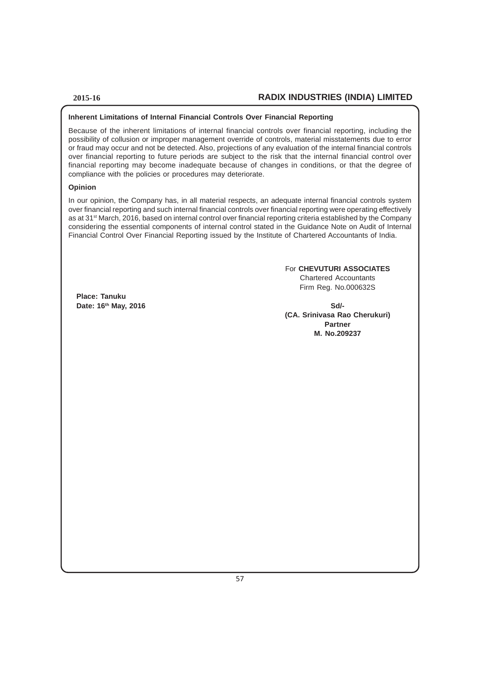#### **Inherent Limitations of Internal Financial Controls Over Financial Reporting**

Because of the inherent limitations of internal financial controls over financial reporting, including the possibility of collusion or improper management override of controls, material misstatements due to error or fraud may occur and not be detected. Also, projections of any evaluation of the internal financial controls over financial reporting to future periods are subject to the risk that the internal financial control over financial reporting may become inadequate because of changes in conditions, or that the degree of compliance with the policies or procedures may deteriorate.

#### **Opinion**

In our opinion, the Company has, in all material respects, an adequate internal financial controls system over financial reporting and such internal financial controls over financial reporting were operating effectively as at 31st March, 2016, based on internal control over financial reporting criteria established by the Company considering the essential components of internal control stated in the Guidance Note on Audit of Internal Financial Control Over Financial Reporting issued by the Institute of Chartered Accountants of India.

# For **CHEVUTURI ASSOCIATES**

Chartered Accountants Firm Reg. No.000632S

**Place: Tanuku** Date: 16<sup>th</sup> May, 2016 Sd/-

**(CA. Srinivasa Rao Cherukuri) Partner M. No.209237**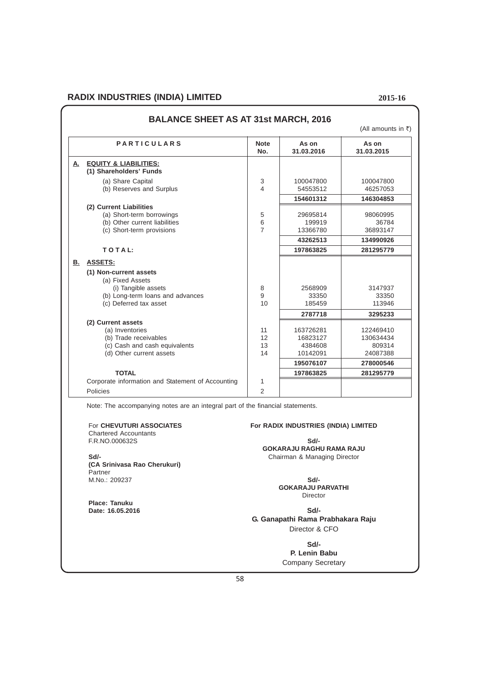**2015-16**

|                                        | <b>PARTICULARS</b>                                                             | <b>Note</b><br>No. | As on<br>31.03.2016                  | As on<br>31.03.2015 |
|----------------------------------------|--------------------------------------------------------------------------------|--------------------|--------------------------------------|---------------------|
| <b>EQUITY &amp; LIABILITIES:</b><br>А. |                                                                                |                    |                                      |                     |
| (1) Shareholders' Funds                |                                                                                |                    |                                      |                     |
| (a) Share Capital                      |                                                                                | 3                  | 100047800                            | 100047800           |
|                                        | (b) Reserves and Surplus                                                       | 4                  | 54553512                             | 46257053            |
|                                        |                                                                                |                    | 154601312                            | 146304853           |
| (2) Current Liabilities                |                                                                                |                    |                                      |                     |
|                                        | (a) Short-term borrowings                                                      | 5                  | 29695814                             | 98060995            |
|                                        | (b) Other current liabilities                                                  | 6                  | 199919                               | 36784               |
|                                        | (c) Short-term provisions                                                      | $\overline{7}$     | 13366780                             | 36893147            |
|                                        |                                                                                |                    | 43262513                             | 134990926           |
| TOTAL:                                 |                                                                                |                    | 197863825                            | 281295779           |
| B. ASSETS:                             |                                                                                |                    |                                      |                     |
| (1) Non-current assets                 |                                                                                |                    |                                      |                     |
| (a) Fixed Assets                       |                                                                                |                    |                                      |                     |
|                                        | (i) Tangible assets                                                            | 8                  | 2568909                              | 3147937             |
|                                        | (b) Long-term loans and advances                                               | 9                  | 33350                                | 33350               |
|                                        | (c) Deferred tax asset                                                         | 10                 | 185459                               | 113946              |
|                                        |                                                                                |                    | 2787718                              | 3295233             |
| (2) Current assets<br>(a) Inventories  |                                                                                | 11                 | 163726281                            | 122469410           |
|                                        | (b) Trade receivables                                                          | 12                 | 16823127                             | 130634434           |
|                                        | (c) Cash and cash equivalents                                                  | 13                 | 4384608                              | 809314              |
|                                        | (d) Other current assets                                                       | 14                 | 10142091                             | 24087388            |
|                                        |                                                                                |                    | 195076107                            | 278000546           |
| <b>TOTAL</b>                           |                                                                                |                    | 197863825                            | 281295779           |
|                                        | Corporate information and Statement of Accounting                              | $\mathbf{1}$       |                                      |                     |
| Policies                               |                                                                                | $\overline{2}$     |                                      |                     |
|                                        | Note: The accompanying notes are an integral part of the financial statements. |                    |                                      |                     |
|                                        | For CHEVUTURI ASSOCIATES                                                       |                    | For RADIX INDUSTRIES (INDIA) LIMITED |                     |
| <b>Chartered Accountants</b>           |                                                                                |                    |                                      |                     |
| F.R.NO.000632S                         |                                                                                |                    | Sd/-                                 |                     |
|                                        |                                                                                |                    | GOKARAJU RAGHU RAMA RAJU             |                     |
| Sd/-                                   |                                                                                |                    | Chairman & Managing Director         |                     |
|                                        | (CA Srinivasa Rao Cherukuri)                                                   |                    |                                      |                     |
| Partner<br>M.No.: 209237               |                                                                                |                    | $Sd$ -                               |                     |
|                                        |                                                                                |                    | <b>GOKARAJU PARVATHI</b>             |                     |

**Date: 16.05.2016 Sd/- G. Ganapathi Rama Prabhakara Raju** Director & CFO

**Sd/-**

**P. Lenin Babu** Company Secretary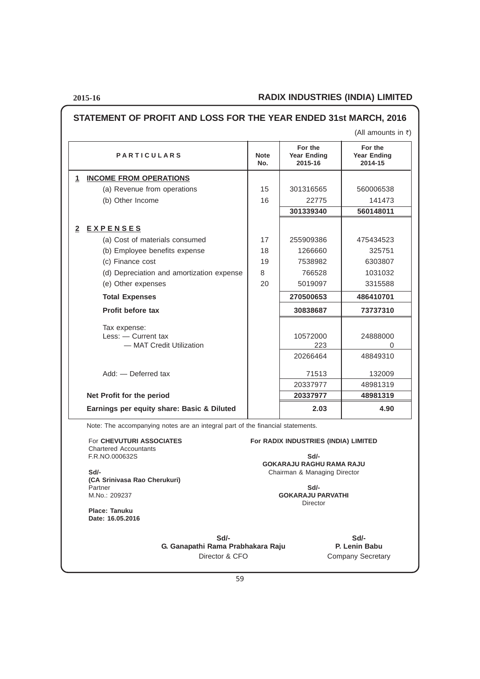# **STATEMENT OF PROFIT AND LOSS FOR THE YEAR ENDED 31st MARCH, 2016**

(All amounts in  $\bar{z}$ )

| <b>PARTICULARS</b>                                                             | <b>Note</b><br>No. | For the<br><b>Year Ending</b><br>2015-16 | For the<br><b>Year Ending</b><br>2014-15 |
|--------------------------------------------------------------------------------|--------------------|------------------------------------------|------------------------------------------|
| <b>INCOME FROM OPERATIONS</b><br>1.                                            |                    |                                          |                                          |
| (a) Revenue from operations                                                    | 15                 | 301316565                                | 560006538                                |
| (b) Other Income                                                               | 16                 | 22775                                    | 141473                                   |
|                                                                                |                    | 301339340                                | 560148011                                |
| <b>EXPENSES</b><br>$\mathbf{2}$                                                |                    |                                          |                                          |
| (a) Cost of materials consumed                                                 | 17                 | 255909386                                | 475434523                                |
| (b) Employee benefits expense                                                  | 18                 | 1266660                                  | 325751                                   |
| (c) Finance cost                                                               | 19                 | 7538982                                  | 6303807                                  |
| (d) Depreciation and amortization expense                                      | 8                  | 766528                                   | 1031032                                  |
| (e) Other expenses                                                             | 20                 | 5019097                                  | 3315588                                  |
| <b>Total Expenses</b>                                                          |                    | 270500653                                | 486410701                                |
| Profit before tax                                                              |                    | 30838687                                 | 73737310                                 |
| Tax expense:                                                                   |                    |                                          |                                          |
| $Less: - Current tax$                                                          |                    | 10572000                                 | 24888000                                 |
| - MAT Credit Utilization                                                       |                    | 223                                      | 0                                        |
|                                                                                |                    | 20266464                                 | 48849310                                 |
| Add: - Deferred tax                                                            |                    | 71513                                    | 132009                                   |
|                                                                                |                    | 20337977                                 | 48981319                                 |
| Net Profit for the period                                                      |                    | 20337977                                 | 48981319                                 |
| Earnings per equity share: Basic & Diluted                                     |                    | 2.03                                     | 4.90                                     |
| Note: The accompanying notes are an integral part of the financial statements. |                    |                                          |                                          |

Chartered Accountants F.R.NO.000632S **Sd/-**

**(CA Srinivasa Rao Cherukuri)**

# For **CHEVUTURI ASSOCIATES For RADIX INDUSTRIES (INDIA) LIMITED**

**GOKARAJU RAGHU RAMA RAJU Sd/-** Chairman & Managing Director

Partner **Sd/-**M.No.: 209237 **GOKARAJU PARVATHI** Director

**Place: Tanuku Date: 16.05.2016**

> **Sd/- G. Ganapathi Rama Prabhakara Raju** Director & CFO

**Sd/- P. Lenin Babu** Company Secretary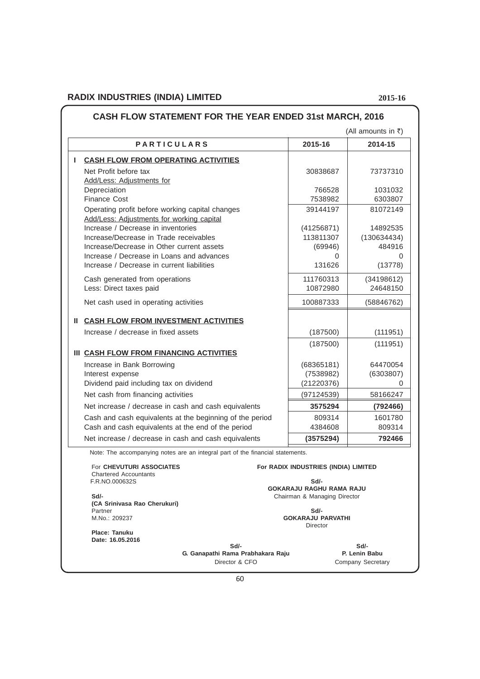**2015-16**

|                                                                                              |                                                                                |                                                                         | (All amounts in ₹) |
|----------------------------------------------------------------------------------------------|--------------------------------------------------------------------------------|-------------------------------------------------------------------------|--------------------|
| <b>PARTICULARS</b>                                                                           |                                                                                | 2015-16                                                                 | 2014-15            |
| <b>CASH FLOW FROM OPERATING ACTIVITIES</b><br>L                                              |                                                                                |                                                                         |                    |
| Net Profit before tax<br>Add/Less: Adjustments for                                           |                                                                                | 30838687                                                                | 73737310           |
| Depreciation                                                                                 |                                                                                | 766528                                                                  | 1031032            |
| <b>Finance Cost</b>                                                                          |                                                                                | 7538982                                                                 | 6303807            |
| Operating profit before working capital changes<br>Add/Less: Adjustments for working capital |                                                                                | 39144197                                                                | 81072149           |
| Increase / Decrease in inventories                                                           |                                                                                | (41256871)                                                              | 14892535           |
| Increase/Decrease in Trade receivables                                                       |                                                                                | 113811307                                                               | (130634434)        |
| Increase/Decrease in Other current assets<br>Increase / Decrease in Loans and advances       |                                                                                | (69946)                                                                 | 484916             |
| Increase / Decrease in current liabilities                                                   |                                                                                | 0<br>131626                                                             | 0<br>(13778)       |
| Cash generated from operations                                                               |                                                                                | 111760313                                                               | (34198612)         |
| Less: Direct taxes paid                                                                      |                                                                                | 10872980                                                                | 24648150           |
| Net cash used in operating activities                                                        |                                                                                | 100887333                                                               | (58846762)         |
| <b>II CASH FLOW FROM INVESTMENT ACTIVITIES</b>                                               |                                                                                |                                                                         |                    |
| Increase / decrease in fixed assets                                                          |                                                                                | (187500)                                                                | (111951)           |
|                                                                                              |                                                                                | (187500)                                                                | (111951)           |
| III CASH FLOW FROM FINANCING ACTIVITIES                                                      |                                                                                |                                                                         |                    |
| Increase in Bank Borrowing                                                                   |                                                                                | (68365181)                                                              | 64470054           |
| Interest expense                                                                             |                                                                                | (7538982)                                                               | (6303807)          |
| Dividend paid including tax on dividend                                                      |                                                                                | (21220376)                                                              | 0                  |
| Net cash from financing activities                                                           |                                                                                | (97124539)                                                              | 58166247           |
| Net increase / decrease in cash and cash equivalents                                         |                                                                                | 3575294                                                                 | (792466)           |
| Cash and cash equivalents at the beginning of the period                                     |                                                                                | 809314                                                                  | 1601780            |
| Cash and cash equivalents at the end of the period                                           |                                                                                | 4384608                                                                 | 809314             |
| Net increase / decrease in cash and cash equivalents                                         |                                                                                | (3575294)                                                               | 792466             |
|                                                                                              | Note: The accompanying notes are an integral part of the financial statements. |                                                                         |                    |
| For CHEVUTURI ASSOCIATES<br><b>Chartered Accountants</b>                                     |                                                                                | For RADIX INDUSTRIES (INDIA) LIMITED                                    |                    |
| F.R.NO.000632S<br>Sd/-                                                                       |                                                                                | Sd/-<br><b>GOKARAJU RAGHU RAMA RAJU</b><br>Chairman & Managing Director |                    |
| (CA Srinivasa Rao Cherukuri)                                                                 |                                                                                |                                                                         |                    |
| Partner<br>M.No.: 209237                                                                     |                                                                                | Sd/-<br><b>GOKARAJU PARVATHI</b><br>Director                            |                    |
| Place: Tanuku                                                                                |                                                                                |                                                                         |                    |
| Date: 16.05.2016                                                                             | Sd/-                                                                           |                                                                         | Sd/-               |
|                                                                                              | G. Ganapathi Rama Prabhakara Raju                                              |                                                                         | P. Lenin Babu      |

Director & CFO

Company Secretary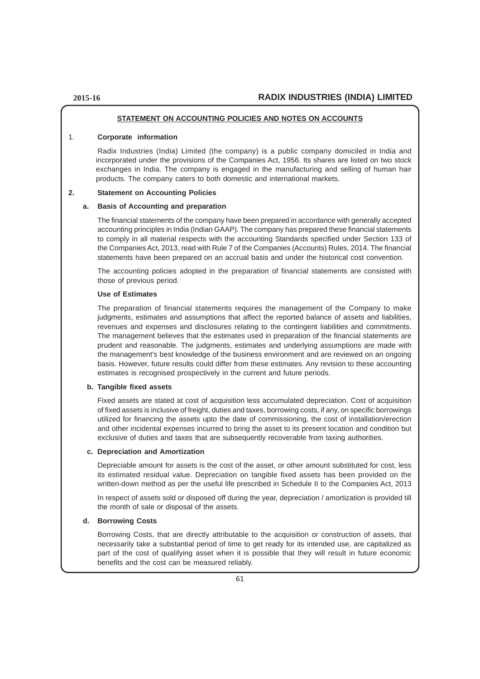### **STATEMENT ON ACCOUNTING POLICIES AND NOTES ON ACCOUNTS**

# 1. **Corporate information**

Radix Industries (India) Limited (the company) is a public company domiciled in India and incorporated under the provisions of the Companies Act, 1956. Its shares are listed on two stock exchanges in India. The company is engaged in the manufacturing and selling of human hair products. The company caters to both domestic and international markets.

#### **2. Statement on Accounting Policies**

#### **a. Basis of Accounting and preparation**

The financial statements of the company have been prepared in accordance with generally accepted accounting principles in India (Indian GAAP). The company has prepared these financial statements to comply in all material respects with the accounting Standards specified under Section 133 of the Companies Act, 2013, read with Rule 7 of the Companies (Accounts) Rules, 2014. The financial statements have been prepared on an accrual basis and under the historical cost convention.

The accounting policies adopted in the preparation of financial statements are consisted with those of previous period.

#### **Use of Estimates**

The preparation of financial statements requires the management of the Company to make judgments, estimates and assumptions that affect the reported balance of assets and liabilities, revenues and expenses and disclosures relating to the contingent liabilities and commitments. The management believes that the estimates used in preparation of the financial statements are prudent and reasonable. The judgments, estimates and underlying assumptions are made with the management's best knowledge of the business environment and are reviewed on an ongoing basis. However, future results could differ from these estimates. Any revision to these accounting estimates is recognised prospectively in the current and future periods.

#### **b. Tangible fixed assets**

Fixed assets are stated at cost of acquisition less accumulated depreciation. Cost of acquisition of fixed assets is inclusive of freight, duties and taxes, borrowing costs, if any, on specific borrowings utilized for financing the assets upto the date of commissioning, the cost of installation/erection and other incidental expenses incurred to bring the asset to its present location and condition but exclusive of duties and taxes that are subsequently recoverable from taxing authorities.

#### **c. Depreciation and Amortization**

Depreciable amount for assets is the cost of the asset, or other amount substituted for cost, less its estimated residual value. Depreciation on tangible fixed assets has been provided on the written-down method as per the useful life prescribed in Schedule II to the Companies Act, 2013

In respect of assets sold or disposed off during the year, depreciation / amortization is provided till the month of sale or disposal of the assets.

#### **d. Borrowing Costs**

Borrowing Costs, that are directly attributable to the acquisition or construction of assets, that necessarily take a substantial period of time to get ready for its intended use, are capitalized as part of the cost of qualifying asset when it is possible that they will result in future economic benefits and the cost can be measured reliably.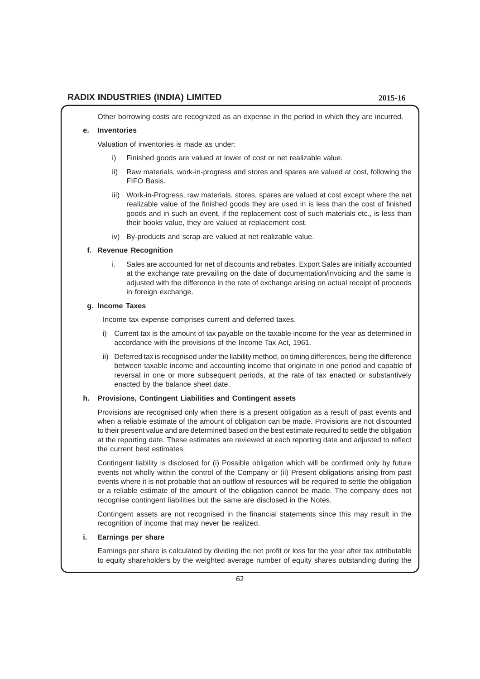Other borrowing costs are recognized as an expense in the period in which they are incurred.

#### **e. Inventories**

Valuation of inventories is made as under:

- i) Finished goods are valued at lower of cost or net realizable value.
- ii) Raw materials, work-in-progress and stores and spares are valued at cost, following the FIFO Basis.
- iii) Work-in-Progress, raw materials, stores, spares are valued at cost except where the net realizable value of the finished goods they are used in is less than the cost of finished goods and in such an event, if the replacement cost of such materials etc., is less than their books value, they are valued at replacement cost.
- iv) By-products and scrap are valued at net realizable value.

#### **f. Revenue Recognition**

i. Sales are accounted for net of discounts and rebates. Export Sales are initially accounted at the exchange rate prevailing on the date of documentation/invoicing and the same is adjusted with the difference in the rate of exchange arising on actual receipt of proceeds in foreign exchange.

#### **g. Income Taxes**

Income tax expense comprises current and deferred taxes.

- i) Current tax is the amount of tax payable on the taxable income for the year as determined in accordance with the provisions of the Income Tax Act, 1961.
- ii) Deferred tax is recognised under the liability method, on timing differences, being the difference between taxable income and accounting income that originate in one period and capable of reversal in one or more subsequent periods, at the rate of tax enacted or substantively enacted by the balance sheet date.

#### **h. Provisions, Contingent Liabilities and Contingent assets**

Provisions are recognised only when there is a present obligation as a result of past events and when a reliable estimate of the amount of obligation can be made. Provisions are not discounted to their present value and are determined based on the best estimate required to settle the obligation at the reporting date. These estimates are reviewed at each reporting date and adjusted to reflect the current best estimates.

Contingent liability is disclosed for (i) Possible obligation which will be confirmed only by future events not wholly within the control of the Company or (ii) Present obligations arising from past events where it is not probable that an outflow of resources will be required to settle the obligation or a reliable estimate of the amount of the obligation cannot be made. The company does not recognise contingent liabilities but the same are disclosed in the Notes.

Contingent assets are not recognised in the financial statements since this may result in the recognition of income that may never be realized.

# **i. Earnings per share**

Earnings per share is calculated by dividing the net profit or loss for the year after tax attributable to equity shareholders by the weighted average number of equity shares outstanding during the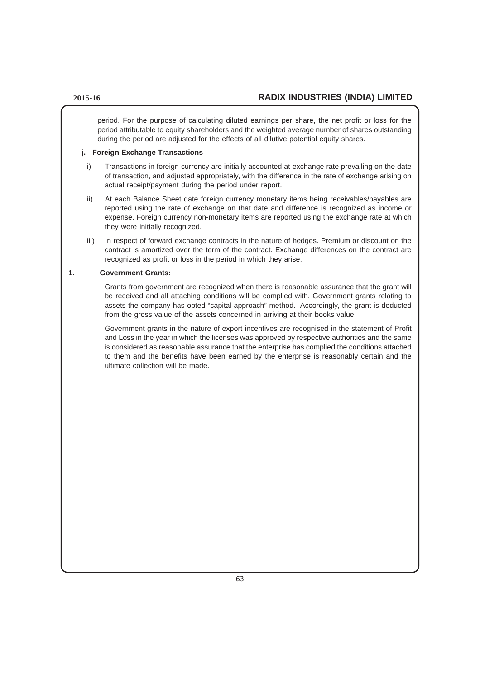period. For the purpose of calculating diluted earnings per share, the net profit or loss for the period attributable to equity shareholders and the weighted average number of shares outstanding during the period are adjusted for the effects of all dilutive potential equity shares.

#### **j. Foreign Exchange Transactions**

- i) Transactions in foreign currency are initially accounted at exchange rate prevailing on the date of transaction, and adjusted appropriately, with the difference in the rate of exchange arising on actual receipt/payment during the period under report.
- ii) At each Balance Sheet date foreign currency monetary items being receivables/payables are reported using the rate of exchange on that date and difference is recognized as income or expense. Foreign currency non-monetary items are reported using the exchange rate at which they were initially recognized.
- iii) In respect of forward exchange contracts in the nature of hedges. Premium or discount on the contract is amortized over the term of the contract. Exchange differences on the contract are recognized as profit or loss in the period in which they arise.

#### **1. Government Grants:**

Grants from government are recognized when there is reasonable assurance that the grant will be received and all attaching conditions will be complied with. Government grants relating to assets the company has opted "capital approach" method. Accordingly, the grant is deducted from the gross value of the assets concerned in arriving at their books value.

Government grants in the nature of export incentives are recognised in the statement of Profit and Loss in the year in which the licenses was approved by respective authorities and the same is considered as reasonable assurance that the enterprise has complied the conditions attached to them and the benefits have been earned by the enterprise is reasonably certain and the ultimate collection will be made.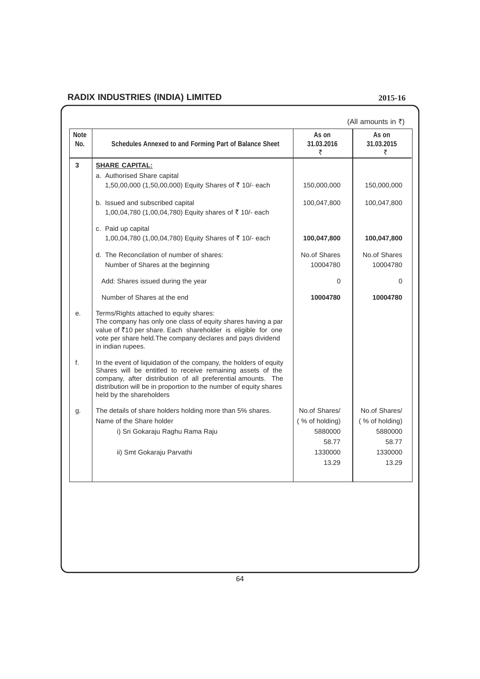**2015-16**

| <b>Note</b><br>No. | Schedules Annexed to and Forming Part of Balance Sheet                                                                                                                                                                                                                                           | As on<br>31.03.2016<br>₹           | As on<br>31.03.2015<br>₹           |
|--------------------|--------------------------------------------------------------------------------------------------------------------------------------------------------------------------------------------------------------------------------------------------------------------------------------------------|------------------------------------|------------------------------------|
| 3                  | <b>SHARE CAPITAL:</b>                                                                                                                                                                                                                                                                            |                                    |                                    |
|                    | a. Authorised Share capital<br>1,50,00,000 (1,50,00,000) Equity Shares of ₹ 10/- each                                                                                                                                                                                                            | 150,000,000                        | 150,000,000                        |
|                    | b. Issued and subscribed capital<br>1,00,04,780 (1,00,04,780) Equity shares of ₹ 10/- each                                                                                                                                                                                                       | 100,047,800                        | 100,047,800                        |
|                    | c. Paid up capital<br>1,00,04,780 (1,00,04,780) Equity Shares of ₹10/- each                                                                                                                                                                                                                      | 100,047,800                        | 100,047,800                        |
|                    | d. The Reconcilation of number of shares:<br>Number of Shares at the beginning                                                                                                                                                                                                                   | No.of Shares<br>10004780           | No.of Shares<br>10004780           |
|                    | Add: Shares issued during the year                                                                                                                                                                                                                                                               | $\Omega$                           | $\Omega$                           |
|                    | Number of Shares at the end                                                                                                                                                                                                                                                                      | 10004780                           | 10004780                           |
| е.                 | Terms/Rights attached to equity shares:<br>The company has only one class of equity shares having a par<br>value of ₹10 per share. Each shareholder is eligible for one<br>vote per share held. The company declares and pays dividend<br>in indian rupees.                                      |                                    |                                    |
| f.                 | In the event of liquidation of the company, the holders of equity<br>Shares will be entitled to receive remaining assets of the<br>company, after distribution of all preferential amounts. The<br>distribution will be in proportion to the number of equity shares<br>held by the shareholders |                                    |                                    |
| g.                 | The details of share holders holding more than 5% shares.                                                                                                                                                                                                                                        | No.of Shares/                      | No.of Shares/                      |
|                    | Name of the Share holder<br>i) Sri Gokaraju Raghu Rama Raju                                                                                                                                                                                                                                      | (% of holding)<br>5880000<br>58.77 | (% of holding)<br>5880000<br>58.77 |
|                    | ii) Smt Gokaraju Parvathi                                                                                                                                                                                                                                                                        | 1330000<br>13.29                   | 1330000<br>13.29                   |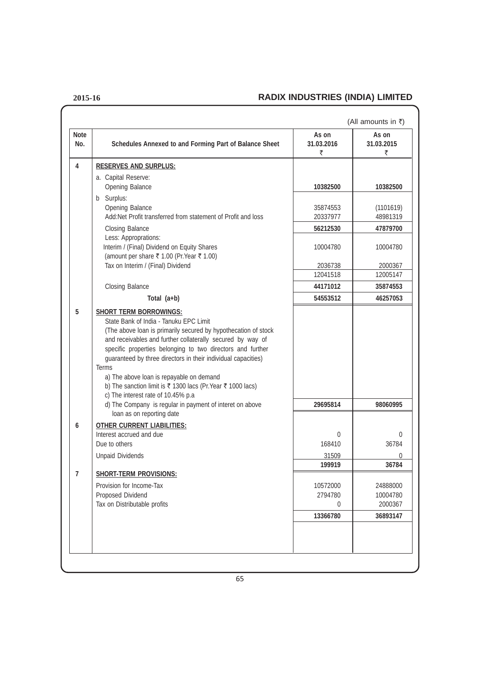| <b>Note</b><br>No. | Schedules Annexed to and Forming Part of Balance Sheet                                                                                                                                                                                                                                                                                                                                                                                                         | As on<br>31.03.2016<br>₹ | As on<br>31.03.2015<br>₹ |
|--------------------|----------------------------------------------------------------------------------------------------------------------------------------------------------------------------------------------------------------------------------------------------------------------------------------------------------------------------------------------------------------------------------------------------------------------------------------------------------------|--------------------------|--------------------------|
| 4                  | <b>RESERVES AND SURPLUS:</b>                                                                                                                                                                                                                                                                                                                                                                                                                                   |                          |                          |
|                    | a. Capital Reserve:                                                                                                                                                                                                                                                                                                                                                                                                                                            |                          |                          |
|                    | <b>Opening Balance</b>                                                                                                                                                                                                                                                                                                                                                                                                                                         | 10382500                 | 10382500                 |
|                    | b Surplus:                                                                                                                                                                                                                                                                                                                                                                                                                                                     |                          |                          |
|                    | <b>Opening Balance</b>                                                                                                                                                                                                                                                                                                                                                                                                                                         | 35874553                 | (1101619)                |
|                    | Add:Net Profit transferred from statement of Profit and loss                                                                                                                                                                                                                                                                                                                                                                                                   | 20337977                 | 48981319                 |
|                    | <b>Closing Balance</b>                                                                                                                                                                                                                                                                                                                                                                                                                                         | 56212530                 | 47879700                 |
|                    | Less: Approprations:                                                                                                                                                                                                                                                                                                                                                                                                                                           |                          |                          |
|                    | Interim / (Final) Dividend on Equity Shares                                                                                                                                                                                                                                                                                                                                                                                                                    | 10004780                 | 10004780                 |
|                    | (amount per share ₹ 1.00 (Pr. Year ₹ 1.00)                                                                                                                                                                                                                                                                                                                                                                                                                     |                          |                          |
|                    | Tax on Interim / (Final) Dividend                                                                                                                                                                                                                                                                                                                                                                                                                              | 2036738                  | 2000367                  |
|                    |                                                                                                                                                                                                                                                                                                                                                                                                                                                                | 12041518                 | 12005147                 |
|                    | <b>Closing Balance</b>                                                                                                                                                                                                                                                                                                                                                                                                                                         | 44171012                 | 35874553                 |
|                    | Total $(a+b)$                                                                                                                                                                                                                                                                                                                                                                                                                                                  | 54553512                 | 46257053                 |
|                    | State Bank of India - Tanuku EPC Limit<br>(The above loan is primarily secured by hypothecation of stock<br>and receivables and further collaterally secured by way of<br>specific properties belonging to two directors and further<br>guaranteed by three directors in their individual capacities)<br>Terms<br>a) The above loan is repayable on demand<br>b) The sanction limit is ₹ 1300 lacs (Pr.Year ₹ 1000 lacs)<br>c) The interest rate of 10.45% p.a |                          |                          |
|                    | d) The Company is regular in payment of interet on above<br>loan as on reporting date                                                                                                                                                                                                                                                                                                                                                                          | 29695814                 | 98060995                 |
| 6                  | <b>OTHER CURRENT LIABILITIES:</b>                                                                                                                                                                                                                                                                                                                                                                                                                              |                          |                          |
|                    | Interest accrued and due<br>Due to others                                                                                                                                                                                                                                                                                                                                                                                                                      | 0<br>168410              | $\Omega$<br>36784        |
|                    |                                                                                                                                                                                                                                                                                                                                                                                                                                                                |                          |                          |
|                    | <b>Unpaid Dividends</b>                                                                                                                                                                                                                                                                                                                                                                                                                                        | 31509<br>199919          | 0<br>36784               |
| 7                  | <b>SHORT-TERM PROVISIONS:</b>                                                                                                                                                                                                                                                                                                                                                                                                                                  |                          |                          |
|                    |                                                                                                                                                                                                                                                                                                                                                                                                                                                                |                          |                          |
|                    | Provision for Income-Tax<br>Proposed Dividend                                                                                                                                                                                                                                                                                                                                                                                                                  | 10572000<br>2794780      | 24888000<br>10004780     |
|                    | Tax on Distributable profits                                                                                                                                                                                                                                                                                                                                                                                                                                   | 0                        | 2000367                  |
|                    |                                                                                                                                                                                                                                                                                                                                                                                                                                                                | 13366780                 | 36893147                 |
|                    |                                                                                                                                                                                                                                                                                                                                                                                                                                                                |                          |                          |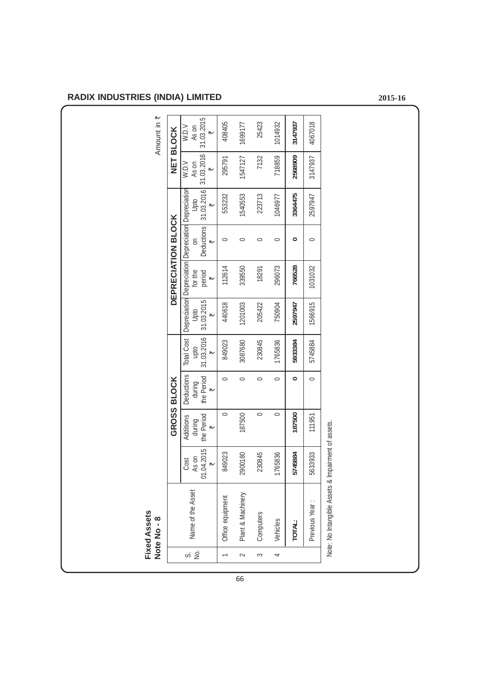|        | <b>Fixed Assets</b><br>Note No-8                   |                                       |                      |                                        |                    |                                                     |                                     |                         |            |                                                               | Amount in ₹      |
|--------|----------------------------------------------------|---------------------------------------|----------------------|----------------------------------------|--------------------|-----------------------------------------------------|-------------------------------------|-------------------------|------------|---------------------------------------------------------------|------------------|
|        |                                                    |                                       |                      | GROSS BLOCK                            |                    |                                                     | DEPRECIATION BLOCK                  |                         |            |                                                               | <b>NET BLOCK</b> |
| vi g   | Name of the Asset                                  | Cost                                  | Additions            | Deductions                             | <b>Total Cost</b>  | Depreciation Depreciation Depreciation Depreciation |                                     |                         | Upto       | W.D.V<br>As on                                                | W.D.V<br>As on   |
|        |                                                    | 01.04.2015<br>As on<br>$\overline{a}$ | the Period<br>during | the Period<br>during<br>$\overline{r}$ | 31.03.2016<br>upto | 31.03.2015<br>Upto<br>₩                             | for the<br>period<br>$\overline{a}$ | Deductions<br>δ<br>$\,$ | 31.03.2016 | $\begin{array}{ c c } \hline 31.03.2016 \ \hline \end{array}$ | 31.03.2015       |
|        | Office equipment                                   | 849023                                | 0                    | $\circ$                                | 849023             | 440618                                              | 112614                              | $\circ$                 | 553232     | 295791                                                        | 408405           |
| $\sim$ | Plant & Machinery                                  | 2900180                               | 187500               | $\circ$                                | 3087680            | 1201003                                             | 339550                              | $\circ$                 | 1540553    | 1547127                                                       | 1699177          |
| 3      | Computers                                          | 230845                                | $\circ$              | $\circ$                                | 230845             | 205422                                              | 18291                               | $\circ$                 | 223713     | 7132                                                          | 25423            |
| 4      | Vehicles                                           | 1765836                               | $\circ$              | $\circ$                                | 1765836            | 750904                                              | 296073                              | $\circ$                 | 1046977    | 718859                                                        | 1014932          |
|        | TOTAL:                                             | 5745884                               | 187500               | 0                                      | 5933384            | 2597947                                             | 766528                              | 0                       | 3364475    | 2568909                                                       | 3147937          |
|        | Previous Year:                                     | 5633933                               | 111951               | $\circ$                                | 5745884            | 1566915                                             | 1031032                             | $\circ$                 | 2597947    | 3147937                                                       | 4067018          |
|        | Note: No Intangible Assets & Impairment of assets. |                                       |                      |                                        |                    |                                                     |                                     |                         |            |                                                               |                  |

66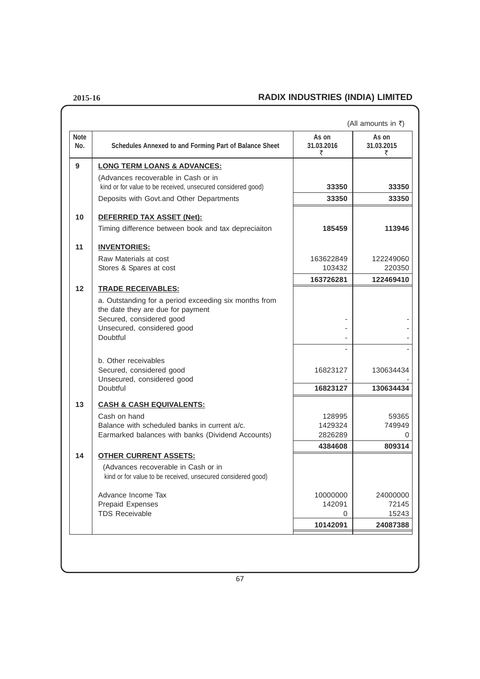| <b>Note</b><br>No. | Schedules Annexed to and Forming Part of Balance Sheet       | As on<br>31.03.2016<br>₹ | As on<br>31.03.2015<br>₹ |
|--------------------|--------------------------------------------------------------|--------------------------|--------------------------|
| 9                  | <b>LONG TERM LOANS &amp; ADVANCES:</b>                       |                          |                          |
|                    | (Advances recoverable in Cash or in                          |                          |                          |
|                    | kind or for value to be received, unsecured considered good) | 33350                    | 33350                    |
|                    | Deposits with Govt.and Other Departments                     | 33350                    | 33350                    |
| 10                 | DEFERRED TAX ASSET (Net):                                    |                          |                          |
|                    | Timing difference between book and tax depreciaiton          | 185459                   | 113946                   |
| 11                 | <b>INVENTORIES:</b>                                          |                          |                          |
|                    | Raw Materials at cost                                        | 163622849                | 122249060                |
|                    | Stores & Spares at cost                                      | 103432                   | 220350                   |
|                    |                                                              | 163726281                | 122469410                |
| $12 \,$            | <b>TRADE RECEIVABLES:</b>                                    |                          |                          |
|                    | a. Outstanding for a period exceeding six months from        |                          |                          |
|                    | the date they are due for payment                            |                          |                          |
|                    | Secured, considered good<br>Unsecured, considered good       |                          |                          |
|                    | Doubtful                                                     |                          |                          |
|                    |                                                              |                          |                          |
|                    | b. Other receivables                                         |                          |                          |
|                    | Secured, considered good                                     | 16823127                 | 130634434                |
|                    | Unsecured, considered good                                   |                          |                          |
|                    | Doubtful                                                     | 16823127                 | 130634434                |
| 13                 | <b>CASH &amp; CASH EQUIVALENTS:</b>                          |                          |                          |
|                    | Cash on hand                                                 | 128995                   | 59365                    |
|                    | Balance with scheduled banks in current a/c.                 | 1429324                  | 749949                   |
|                    | Earmarked balances with banks (Dividend Accounts)            | 2826289                  | 0                        |
| 14                 |                                                              | 4384608                  | 809314                   |
|                    | <b>OTHER CURRENT ASSETS:</b>                                 |                          |                          |
|                    | (Advances recoverable in Cash or in                          |                          |                          |
|                    | kind or for value to be received, unsecured considered good) |                          |                          |
|                    | Advance Income Tax                                           | 10000000                 | 24000000                 |
|                    | Prepaid Expenses                                             | 142091                   | 72145                    |
|                    | <b>TDS Receivable</b>                                        | 0                        | 15243                    |
|                    |                                                              | 10142091                 | 24087388                 |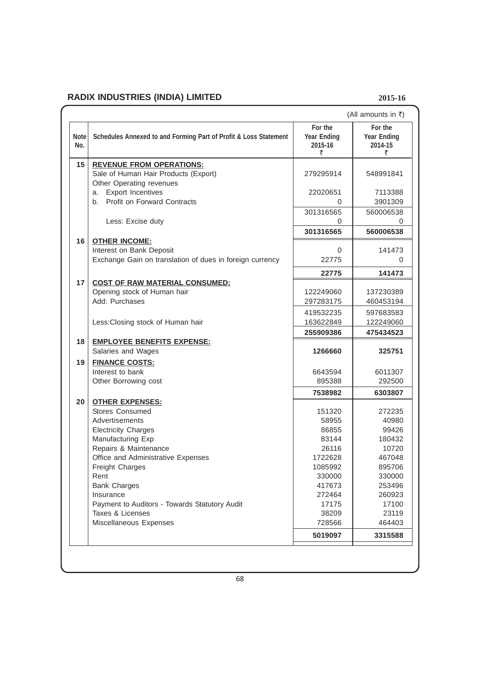**2015-16**

|                    |                                                                  | (All amounts in ₹)                            |                                               |
|--------------------|------------------------------------------------------------------|-----------------------------------------------|-----------------------------------------------|
| <b>Note</b><br>No. | Schedules Annexed to and Forming Part of Profit & Loss Statement | For the<br><b>Year Ending</b><br>2015-16<br>₹ | For the<br><b>Year Ending</b><br>2014-15<br>₹ |
| 15                 | <b>REVENUE FROM OPERATIONS:</b>                                  |                                               |                                               |
|                    | Sale of Human Hair Products (Export)                             | 279295914                                     | 548991841                                     |
|                    | Other Operating revenues                                         |                                               |                                               |
|                    | <b>Export Incentives</b><br>a.                                   | 22020651                                      | 7113388                                       |
|                    | <b>Profit on Forward Contracts</b><br>b.                         | 0                                             | 3901309                                       |
|                    |                                                                  | 301316565                                     | 560006538                                     |
|                    | Less: Excise duty                                                | 0                                             | 0                                             |
|                    |                                                                  | 301316565                                     | 560006538                                     |
| 16                 | <b>OTHER INCOME:</b>                                             |                                               |                                               |
|                    | Interest on Bank Deposit                                         | 0                                             | 141473                                        |
|                    | Exchange Gain on translation of dues in foreign currency         | 22775                                         | 0                                             |
|                    |                                                                  | 22775                                         | 141473                                        |
| 17                 | <b>COST OF RAW MATERIAL CONSUMED:</b>                            |                                               |                                               |
|                    | Opening stock of Human hair                                      | 122249060                                     | 137230389                                     |
|                    | Add: Purchases                                                   | 297283175                                     | 460453194                                     |
|                    |                                                                  | 419532235                                     | 597683583                                     |
|                    | Less: Closing stock of Human hair                                | 163622849                                     | 122249060                                     |
|                    |                                                                  | 255909386                                     | 475434523                                     |
| 18                 | <b>EMPLOYEE BENEFITS EXPENSE:</b>                                |                                               |                                               |
|                    | Salaries and Wages                                               | 1266660                                       | 325751                                        |
| 19                 | <b>FINANCE COSTS:</b>                                            |                                               |                                               |
|                    | Interest to bank                                                 | 6643594                                       | 6011307                                       |
|                    | Other Borrowing cost                                             | 895388                                        | 292500                                        |
|                    |                                                                  | 7538982                                       | 6303807                                       |
| 20                 | <b>OTHER EXPENSES:</b>                                           |                                               |                                               |
|                    | <b>Stores Consumed</b>                                           | 151320                                        | 272235                                        |
|                    | Advertisements                                                   | 58955                                         | 40980                                         |
|                    | <b>Electricity Charges</b>                                       | 86855                                         | 99426                                         |
|                    | Manufacturing Exp                                                | 83144                                         | 180432                                        |
|                    | Repairs & Maintenance                                            | 26116                                         | 10720                                         |
|                    | Office and Administrative Expenses                               | 1722628                                       | 467048                                        |
|                    | <b>Freight Charges</b>                                           | 1085992                                       | 895706                                        |
|                    | Rent                                                             | 330000                                        | 330000                                        |
|                    | <b>Bank Charges</b>                                              | 417673                                        | 253496                                        |
|                    | Insurance                                                        | 272464                                        | 260923                                        |
|                    | Payment to Auditors - Towards Statutory Audit                    | 17175                                         | 17100                                         |
|                    | Taxes & Licenses                                                 | 38209                                         | 23119                                         |
|                    | Miscellaneous Expenses                                           | 728566                                        | 464403                                        |
|                    |                                                                  |                                               |                                               |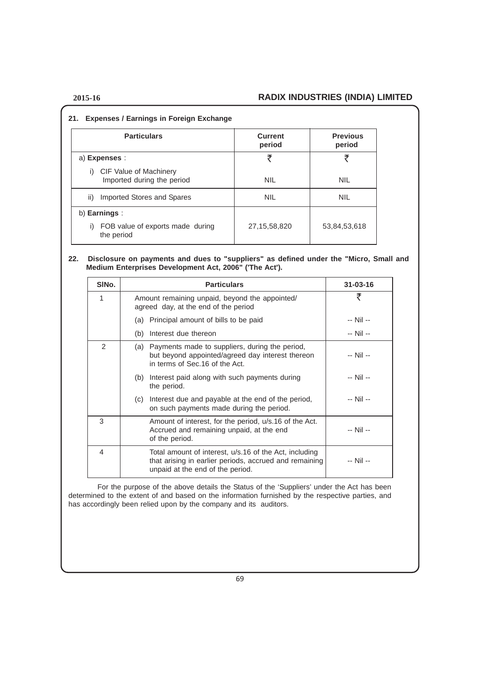# **21. Expenses / Earnings in Foreign Exchange**

| <b>Particulars</b>                                         | <b>Current</b><br>period | <b>Previous</b><br>period |
|------------------------------------------------------------|--------------------------|---------------------------|
| a) Expenses :                                              |                          |                           |
| CIF Value of Machinery<br>i)<br>Imported during the period | <b>NIL</b>               | <b>NIL</b>                |
| ii)<br>Imported Stores and Spares                          | <b>NIL</b>               | <b>NIL</b>                |
| b) Earnings :                                              |                          |                           |
| FOB value of exports made during<br>i)<br>the period       | 27, 15, 58, 820          | 53,84,53,618              |

# **22. Disclosure on payments and dues to "suppliers" as defined under the "Micro, Small and Medium Enterprises Development Act, 2006" ('The Act').**

| SINo.                    | <b>Particulars</b>                                                                                                                                   | $31 - 03 - 16$ |
|--------------------------|------------------------------------------------------------------------------------------------------------------------------------------------------|----------------|
| 1                        | Amount remaining unpaid, beyond the appointed/<br>agreed day, at the end of the period                                                               | ₹              |
|                          | (a) Principal amount of bills to be paid                                                                                                             | -- Nil --      |
|                          | Interest due thereon<br>(b)                                                                                                                          | -- Nil --      |
| $\mathcal{P}$            | (a) Payments made to suppliers, during the period,<br>but beyond appointed/agreed day interest thereon<br>in terms of Sec.16 of the Act.             | -- Nil --      |
|                          | Interest paid along with such payments during<br>(b)<br>the period.                                                                                  | -- Nil --      |
|                          | (c) Interest due and payable at the end of the period,<br>on such payments made during the period.                                                   | -- Nil --      |
| 3                        | Amount of interest, for the period, u/s.16 of the Act.<br>Accrued and remaining unpaid, at the end<br>of the period.                                 | -- Nil --      |
| $\overline{\mathcal{L}}$ | Total amount of interest, u/s.16 of the Act, including<br>that arising in earlier periods, accrued and remaining<br>unpaid at the end of the period. | -- Nil --      |

For the purpose of the above details the Status of the 'Suppliers' under the Act has been determined to the extent of and based on the information furnished by the respective parties, and has accordingly been relied upon by the company and its auditors.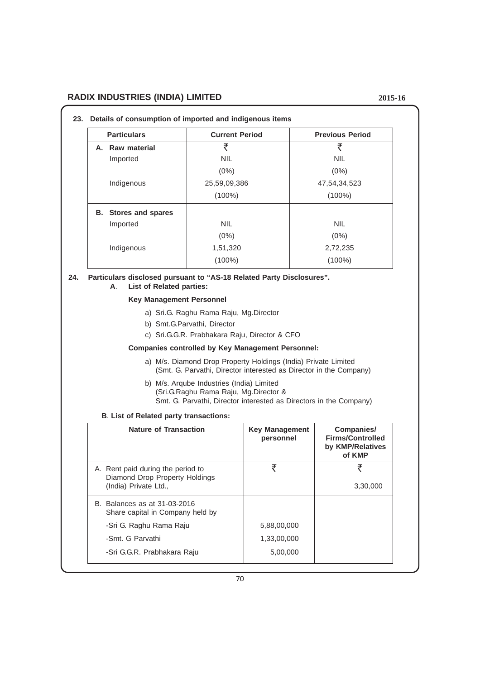#### **RADIX INDUSTRIES (INDIA) LIMITED**

**2015-16**

| <b>Particulars</b>          | <b>Current Period</b> | <b>Previous Period</b> |
|-----------------------------|-----------------------|------------------------|
| A. Raw material             | ₹                     | ₹                      |
| Imported                    | <b>NIL</b>            | <b>NIL</b>             |
|                             | $(0\%)$               | $(0\%)$                |
| Indigenous                  | 25,59,09,386          | 47,54,34,523           |
|                             | $(100\%)$             | $(100\%)$              |
| <b>B.</b> Stores and spares |                       |                        |
| Imported                    | <b>NIL</b>            | <b>NIL</b>             |
|                             | $(0\%)$               | $(0\%)$                |
| Indigenous                  | 1,51,320              | 2,72,235               |
|                             | $(100\%)$             | $(100\%)$              |

#### **24. Particulars disclosed pursuant to "AS-18 Related Party Disclosures". A**. **List of Related parties:**

#### **Key Management Personnel**

- a) Sri.G. Raghu Rama Raju, Mg.Director
- b) Smt.G.Parvathi, Director
- c) Sri.G.G.R. Prabhakara Raju, Director & CFO

### **Companies controlled by Key Management Personnel:**

- a) M/s. Diamond Drop Property Holdings (India) Private Limited (Smt. G. Parvathi, Director interested as Director in the Company)
- b) M/s. Arqube Industries (India) Limited (Sri.G.Raghu Rama Raju, Mg.Director &
	- Smt. G. Parvathi, Director interested as Directors in the Company)

#### **B**. **List of Related party transactions:**

| <b>Nature of Transaction</b>                                                                 | <b>Key Management</b><br>personnel | Companies/<br><b>Firms/Controlled</b><br>by KMP/Relatives<br>of KMP |
|----------------------------------------------------------------------------------------------|------------------------------------|---------------------------------------------------------------------|
| A. Rent paid during the period to<br>Diamond Drop Property Holdings<br>(India) Private Ltd., | ₹                                  | ₹<br>3,30,000                                                       |
| B. Balances as at 31-03-2016<br>Share capital in Company held by                             |                                    |                                                                     |
| -Sri G. Raghu Rama Raju                                                                      | 5,88,00,000                        |                                                                     |
| -Smt. G Parvathi                                                                             | 1,33,00,000                        |                                                                     |
| -Sri G.G.R. Prabhakara Raju                                                                  | 5,00,000                           |                                                                     |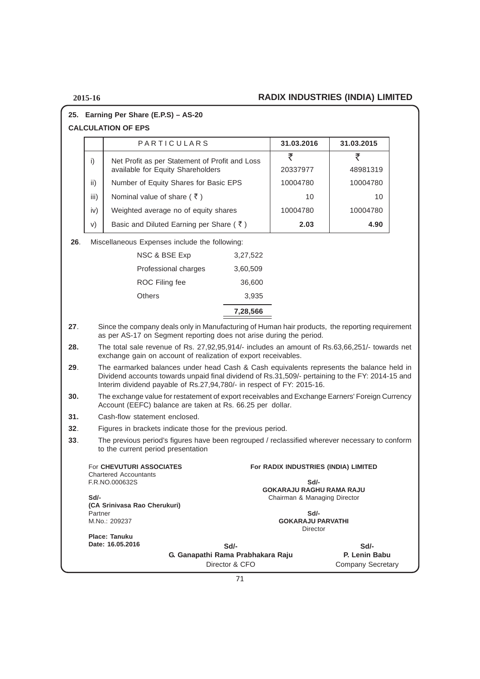#### **2015-16 RADIX INDUSTRIES (INDIA) LIMITED**

#### **25. Earning Per Share (E.P.S) – AS-20**

#### **CALCULATION OF EPS**

|      | PARTICULARS                                                                         | 31.03.2016 | 31.03.2015 |
|------|-------------------------------------------------------------------------------------|------------|------------|
| i)   | Net Profit as per Statement of Profit and Loss<br>available for Equity Shareholders | 20337977   | 48981319   |
| ii)  | Number of Equity Shares for Basic EPS                                               | 10004780   | 10004780   |
| iii) | Nominal value of share ( $\bar{z}$ )                                                | 10         | 10         |
| iv)  | Weighted average no of equity shares                                                | 10004780   | 10004780   |
| V)   | Basic and Diluted Earning per Share ( $\bar{\zeta}$ )                               | 2.03       | 4.90       |

#### **26**. Miscellaneous Expenses include the following:

|                       | 7,28,566 |
|-----------------------|----------|
| Others                | 3,935    |
| <b>ROC Filing fee</b> | 36,600   |
| Professional charges  | 3,60,509 |
| NSC & BSE Exp         | 3,27,522 |

#### **27**. Since the company deals only in Manufacturing of Human hair products, the reporting requirement as per AS-17 on Segment reporting does not arise during the period.

- **28.** The total sale revenue of Rs. 27,92,95,914/- includes an amount of Rs.63,66,251/- towards net exchange gain on account of realization of export receivables.
- **29**. The earmarked balances under head Cash & Cash equivalents represents the balance held in Dividend accounts towards unpaid final dividend of Rs.31,509/- pertaining to the FY: 2014-15 and Interim dividend payable of Rs.27,94,780/- in respect of FY: 2015-16.
- **30.** The exchange value for restatement of export receivables and Exchange Earners' Foreign Currency Account (EEFC) balance are taken at Rs. 66.25 per dollar.
- **31.** Cash-flow statement enclosed.
- **32**. Figures in brackets indicate those for the previous period.
- **33**. The previous period's figures have been regrouped / reclassified wherever necessary to conform to the current period presentation

| For CHEVUTURI ASSOCIATES<br><b>Chartered Accountants</b> |                                   | For RADIX INDUSTRIES (INDIA) LIMITED      |  |
|----------------------------------------------------------|-----------------------------------|-------------------------------------------|--|
| F.R.NO.000632S                                           |                                   | $Sd$ -<br><b>GOKARAJU RAGHU RAMA RAJU</b> |  |
|                                                          |                                   |                                           |  |
| Sd/-                                                     |                                   | Chairman & Managing Director              |  |
| (CA Srinivasa Rao Cherukuri)                             |                                   |                                           |  |
| Partner                                                  |                                   | $Sd$ -                                    |  |
| M.No.: 209237                                            | <b>GOKARAJU PARVATHI</b>          |                                           |  |
|                                                          | Director                          |                                           |  |
| Place: Tanuku                                            |                                   |                                           |  |
| Date: 16.05.2016                                         | $Sd$ -                            | $Sd$ -                                    |  |
|                                                          | G. Ganapathi Rama Prabhakara Raju | P. Lenin Babu                             |  |
|                                                          | Director & CFO                    | Company Secretary                         |  |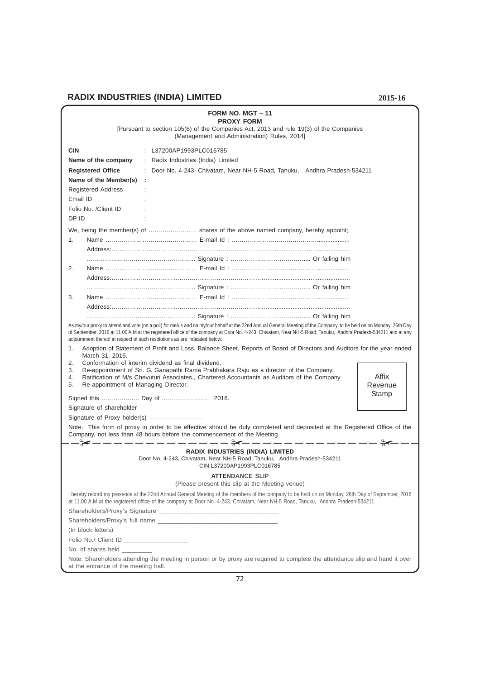# **RADIX INDUSTRIES (INDIA) LIMITED**

| FORM NO. MGT - 11<br><b>PROXY FORM</b><br>[Pursuant to section 105(6) of the Companies Act, 2013 and rule 19(3) of the Companies<br>(Management and Administration) Rules, 2014] |                                                                                                                                                                                                                                                                                                                                                                                                                                                                                                                                                                                                                                                                                                                       |                           |  |  |
|----------------------------------------------------------------------------------------------------------------------------------------------------------------------------------|-----------------------------------------------------------------------------------------------------------------------------------------------------------------------------------------------------------------------------------------------------------------------------------------------------------------------------------------------------------------------------------------------------------------------------------------------------------------------------------------------------------------------------------------------------------------------------------------------------------------------------------------------------------------------------------------------------------------------|---------------------------|--|--|
| <b>CIN</b><br>Name of the company<br><b>Registered Office</b><br>Name of the Member(s)<br><b>Registered Address</b><br>Email ID                                                  | : L37200AP1993PLC016785<br>: Radix Industries (India) Limited<br>Door No. 4-243, Chivatam, Near NH-5 Road, Tanuku, Andhra Pradesh-534211<br>÷.<br>- 1                                                                                                                                                                                                                                                                                                                                                                                                                                                                                                                                                                 |                           |  |  |
| Folio No. / Client ID<br>DP ID                                                                                                                                                   |                                                                                                                                                                                                                                                                                                                                                                                                                                                                                                                                                                                                                                                                                                                       |                           |  |  |
| 1.                                                                                                                                                                               | We, being the member(s) of  shares of the above named company, hereby appoint;                                                                                                                                                                                                                                                                                                                                                                                                                                                                                                                                                                                                                                        |                           |  |  |
| 2.                                                                                                                                                                               |                                                                                                                                                                                                                                                                                                                                                                                                                                                                                                                                                                                                                                                                                                                       |                           |  |  |
| 3.                                                                                                                                                                               |                                                                                                                                                                                                                                                                                                                                                                                                                                                                                                                                                                                                                                                                                                                       |                           |  |  |
|                                                                                                                                                                                  | As my/our proxy to attend and vote (on a poll) for me/us and on my/our behalf at the 22nd Annual General Meeting of the Company, to be held on on Monday, 26th Day<br>of September, 2016 at 11.00 A.M at the registered office of the company at Door No. 4-243, Chivatam, Near NH-5 Road, Tanuku, Andhra Pradesh-534211 and at any                                                                                                                                                                                                                                                                                                                                                                                   |                           |  |  |
| 1.<br>March 31, 2016.<br>2.<br>3.<br>4.<br>Re-appointment of Managing Director.<br>5.<br>Signature of shareholder                                                                | adjournment thereof in respect of such resolutions as are indicated below:<br>Adoption of Statement of Profit and Loss, Balance Sheet, Reports of Board of Directors and Auditors for the year ended<br>Conformation of interim dividend as final dividend.<br>Re-appointment of Sri. G. Ganapathi Rama Prabhakara Raju as a director of the Company.<br>Ratification of M/s Chevuturi Associates., Chartered Accountants as Auditors of the Company<br>Note: This form of proxy in order to be effective should be duly completed and deposited at the Registered Office of the<br>Company, not less than 48 hours before the commencement of the Meeting.<br><del>%</del> <------------- <del>%</del> <------------ | Affix<br>Revenue<br>Stamp |  |  |
|                                                                                                                                                                                  | <b>RADIX INDUSTRIES (INDIA) LIMITED</b><br>Door No. 4-243, Chivatam, Near NH-5 Road, Tanuku, Andhra Pradesh-534211<br>CIN:L37200AP1993PLC016785                                                                                                                                                                                                                                                                                                                                                                                                                                                                                                                                                                       |                           |  |  |
| <b>ATTENDANCE SLIP</b><br>(Please present this slip at the Meeting venue)                                                                                                        |                                                                                                                                                                                                                                                                                                                                                                                                                                                                                                                                                                                                                                                                                                                       |                           |  |  |
|                                                                                                                                                                                  | I hereby record my presence at the 22nd Annual General Meeting of the members of the company to be held on on Monday, 26th Day of September, 2016<br>at 11.00 A.M at the registered office of the company at Door No. 4-243, Chivatam, Near NH-5 Road, Tanuku, Andhra Pradesh-534211.                                                                                                                                                                                                                                                                                                                                                                                                                                 |                           |  |  |
| (In block letters)<br>Folio No./ Client ID                                                                                                                                       |                                                                                                                                                                                                                                                                                                                                                                                                                                                                                                                                                                                                                                                                                                                       |                           |  |  |
| at the entrance of the meeting hall.                                                                                                                                             | Note: Shareholders attending the meeting in person or by proxy are required to complete the attendance slip and hand it over                                                                                                                                                                                                                                                                                                                                                                                                                                                                                                                                                                                          |                           |  |  |

**2015-16**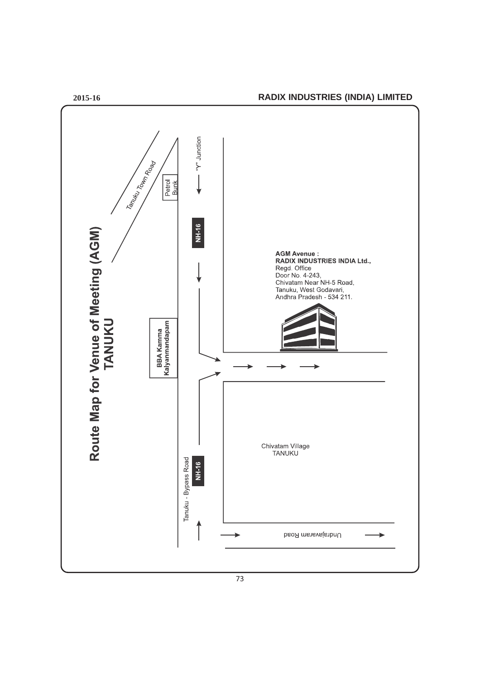